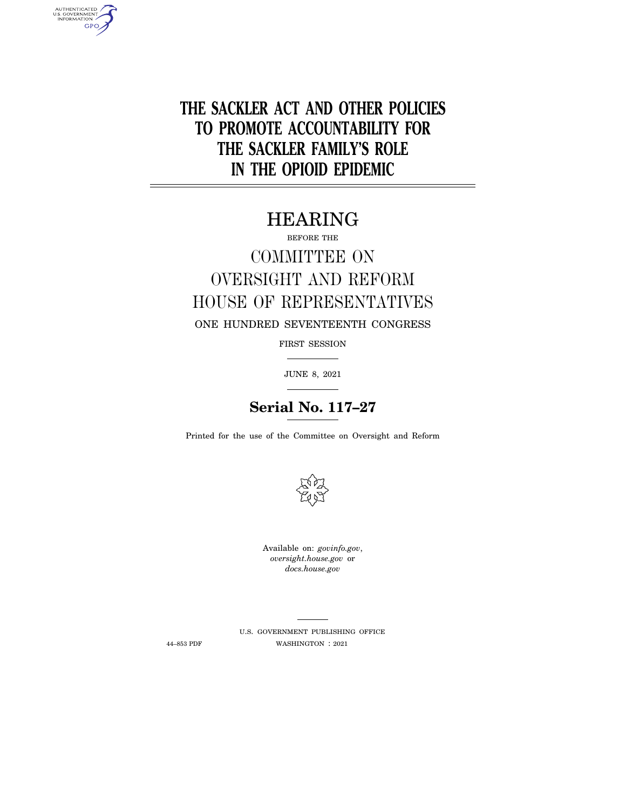**THE SACKLER ACT AND OTHER POLICIES TO PROMOTE ACCOUNTABILITY FOR THE SACKLER FAMILY'S ROLE IN THE OPIOID EPIDEMIC** 

# HEARING

BEFORE THE

# COMMITTEE ON OVERSIGHT AND REFORM HOUSE OF REPRESENTATIVES

ONE HUNDRED SEVENTEENTH CONGRESS

FIRST SESSION

JUNE 8, 2021

# **Serial No. 117–27**

Printed for the use of the Committee on Oversight and Reform



Available on: *govinfo.gov*, *oversight.house.gov* or *docs.house.gov* 

AUTHENTICATED<br>U.S. GOVERNMENT<br>INFORMATION **GPO** 

> U.S. GOVERNMENT PUBLISHING OFFICE 44–853 PDF WASHINGTON : 2021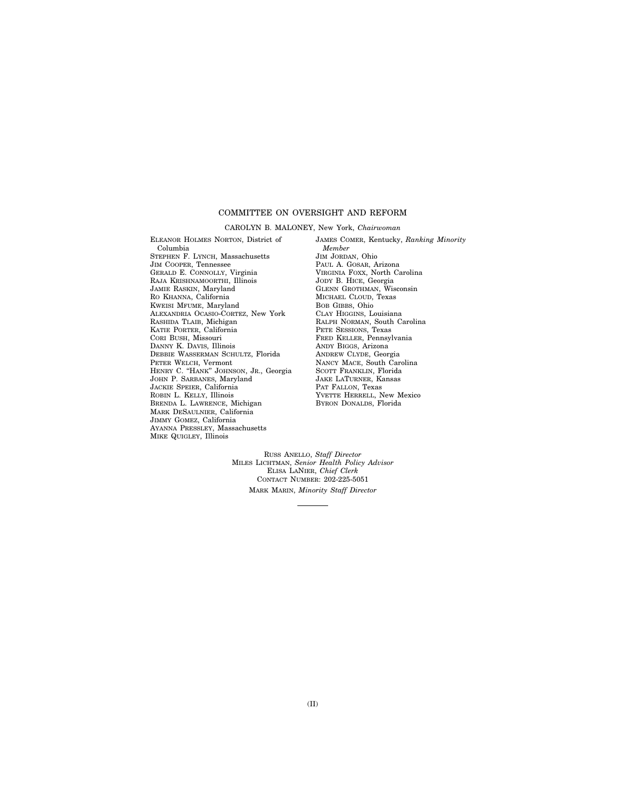### COMMITTEE ON OVERSIGHT AND REFORM

#### CAROLYN B. MALONEY, New York, *Chairwoman*

ELEANOR HOLMES NORTON, District of Columbia STEPHEN F. LYNCH, Massachusetts JIM COOPER, Tennessee GERALD E. CONNOLLY, Virginia RAJA KRISHNAMOORTHI, Illinois JAMIE RASKIN, Maryland RO KHANNA, California KWEISI MFUME, Maryland ALEXANDRIA OCASIO-CORTEZ, New York RASHIDA TLAIB, Michigan KATIE PORTER, California CORI BUSH, Missouri DANNY K. DAVIS, Illinois DEBBIE WASSERMAN SCHULTZ, Florida PETER WELCH, Vermont HENRY C. ''HANK'' JOHNSON, JR., Georgia JOHN P. SARBANES, Maryland JACKIE SPEIER, California ROBIN L. KELLY, Illinois BRENDA L. LAWRENCE, Michigan MARK DESAULNIER, California JIMMY GOMEZ, California AYANNA PRESSLEY, Massachusetts MIKE QUIGLEY, Illinois

JAMES COMER, Kentucky, *Ranking Minority Member*  JIM JORDAN, Ohio PAUL A. GOSAR, Arizona VIRGINIA FOXX, North Carolina JODY B. HICE, Georgia GLENN GROTHMAN, Wisconsin MICHAEL CLOUD, Texas BOB GIBBS, Ohio CLAY HIGGINS, Louisiana RALPH NORMAN, South Carolina PETE SESSIONS, Texas FRED KELLER, Pennsylvania ANDY BIGGS, Arizona ANDREW CLYDE, Georgia NANCY MACE, South Carolina SCOTT FRANKLIN, Florida JAKE LATURNER, Kansas PAT FALLON, Texas YVETTE HERRELL, New Mexico BYRON DONALDS, Florida

RUSS ANELLO, *Staff Director*  MILES LICHTMAN, *Senior Health Policy Advisor*  ELISA LANIER, *Chief Clerk*  CONTACT NUMBER: 202-225-5051 MARK MARIN, *Minority Staff Director*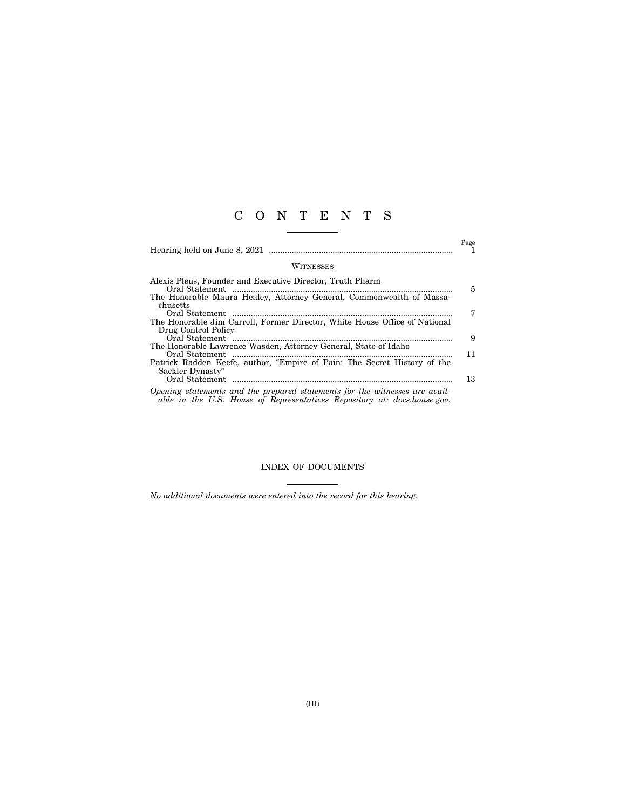## C O N T E N T S

|                                                                                                   | Page |
|---------------------------------------------------------------------------------------------------|------|
| WITNESSES                                                                                         |      |
| Alexis Pleus, Founder and Executive Director, Truth Pharm                                         | 5    |
| The Honorable Maura Healey, Attorney General, Commonwealth of Massa-<br>chusetts                  | 7    |
| The Honorable Jim Carroll, Former Director, White House Office of National<br>Drug Control Policy |      |
| The Honorable Lawrence Wasden, Attorney General, State of Idaho                                   | 9    |
| Patrick Radden Keefe, author, "Empire of Pain: The Secret History of the                          | 11   |
| Sackler Dynasty"                                                                                  | 13   |
| Opening statements and the prepared statements for the witnesses are avail-                       |      |

*able in the U.S. House of Representatives Repository at: docs.house.gov.* 

### INDEX OF DOCUMENTS

*No additional documents were entered into the record for this hearing.*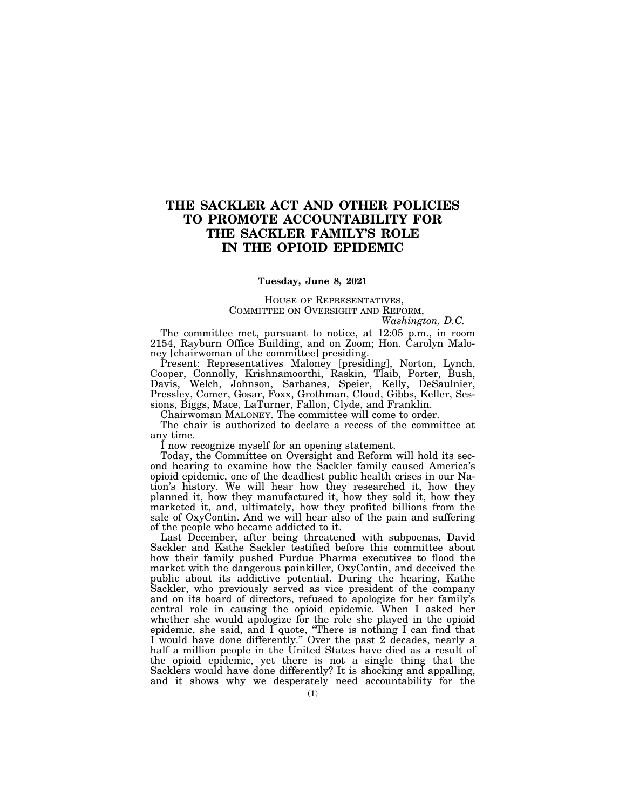### **THE SACKLER ACT AND OTHER POLICIES TO PROMOTE ACCOUNTABILITY FOR THE SACKLER FAMILY'S ROLE IN THE OPIOID EPIDEMIC**

### **Tuesday, June 8, 2021**

HOUSE OF REPRESENTATIVES, COMMITTEE ON OVERSIGHT AND REFORM,

*Washington, D.C.* 

The committee met, pursuant to notice, at 12:05 p.m., in room 2154, Rayburn Office Building, and on Zoom; Hon. Carolyn Maloney [chairwoman of the committee] presiding.

Present: Representatives Maloney [presiding], Norton, Lynch, Cooper, Connolly, Krishnamoorthi, Raskin, Tlaib, Porter, Bush, Davis, Welch, Johnson, Sarbanes, Speier, Kelly, DeSaulnier, Pressley, Comer, Gosar, Foxx, Grothman, Cloud, Gibbs, Keller, Sessions, Biggs, Mace, LaTurner, Fallon, Clyde, and Franklin.

Chairwoman MALONEY. The committee will come to order.

The chair is authorized to declare a recess of the committee at any time.

I now recognize myself for an opening statement.

Today, the Committee on Oversight and Reform will hold its second hearing to examine how the Sackler family caused America's opioid epidemic, one of the deadliest public health crises in our Nation's history. We will hear how they researched it, how they planned it, how they manufactured it, how they sold it, how they marketed it, and, ultimately, how they profited billions from the sale of OxyContin. And we will hear also of the pain and suffering of the people who became addicted to it.

Last December, after being threatened with subpoenas, David Sackler and Kathe Sackler testified before this committee about how their family pushed Purdue Pharma executives to flood the market with the dangerous painkiller, OxyContin, and deceived the public about its addictive potential. During the hearing, Kathe Sackler, who previously served as vice president of the company and on its board of directors, refused to apologize for her family's central role in causing the opioid epidemic. When I asked her whether she would apologize for the role she played in the opioid epidemic, she said, and I quote, ''There is nothing I can find that I would have done differently.'' Over the past 2 decades, nearly a half a million people in the United States have died as a result of the opioid epidemic, yet there is not a single thing that the Sacklers would have done differently? It is shocking and appalling, and it shows why we desperately need accountability for the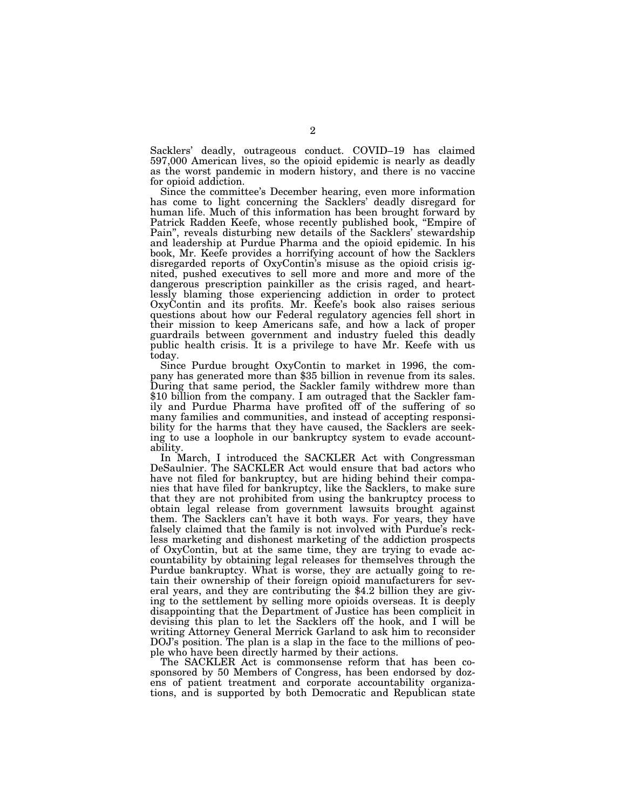Sacklers' deadly, outrageous conduct. COVID–19 has claimed 597,000 American lives, so the opioid epidemic is nearly as deadly as the worst pandemic in modern history, and there is no vaccine for opioid addiction.

Since the committee's December hearing, even more information has come to light concerning the Sacklers' deadly disregard for human life. Much of this information has been brought forward by Patrick Radden Keefe, whose recently published book, "Empire of Pain'', reveals disturbing new details of the Sacklers' stewardship and leadership at Purdue Pharma and the opioid epidemic. In his book, Mr. Keefe provides a horrifying account of how the Sacklers disregarded reports of OxyContin's misuse as the opioid crisis ignited, pushed executives to sell more and more and more of the dangerous prescription painkiller as the crisis raged, and heartlessly blaming those experiencing addiction in order to protect OxyContin and its profits. Mr. Keefe's book also raises serious questions about how our Federal regulatory agencies fell short in their mission to keep Americans safe, and how a lack of proper guardrails between government and industry fueled this deadly public health crisis. It is a privilege to have Mr. Keefe with us

today.<br>Since Purdue brought OxyContin to market in 1996, the company has generated more than \$35 billion in revenue from its sales. During that same period, the Sackler family withdrew more than \$10 billion from the company. I am outraged that the Sackler family and Purdue Pharma have profited off of the suffering of so many families and communities, and instead of accepting responsibility for the harms that they have caused, the Sacklers are seeking to use a loophole in our bankruptcy system to evade accountability.

In March, I introduced the SACKLER Act with Congressman DeSaulnier. The SACKLER Act would ensure that bad actors who have not filed for bankruptcy, but are hiding behind their companies that have filed for bankruptcy, like the Sacklers, to make sure that they are not prohibited from using the bankruptcy process to obtain legal release from government lawsuits brought against them. The Sacklers can't have it both ways. For years, they have falsely claimed that the family is not involved with Purdue's reckless marketing and dishonest marketing of the addiction prospects of OxyContin, but at the same time, they are trying to evade accountability by obtaining legal releases for themselves through the Purdue bankruptcy. What is worse, they are actually going to retain their ownership of their foreign opioid manufacturers for several years, and they are contributing the \$4.2 billion they are giving to the settlement by selling more opioids overseas. It is deeply disappointing that the Department of Justice has been complicit in devising this plan to let the Sacklers off the hook, and I will be writing Attorney General Merrick Garland to ask him to reconsider DOJ's position. The plan is a slap in the face to the millions of people who have been directly harmed by their actions.

The SACKLER Act is commonsense reform that has been cosponsored by 50 Members of Congress, has been endorsed by dozens of patient treatment and corporate accountability organizations, and is supported by both Democratic and Republican state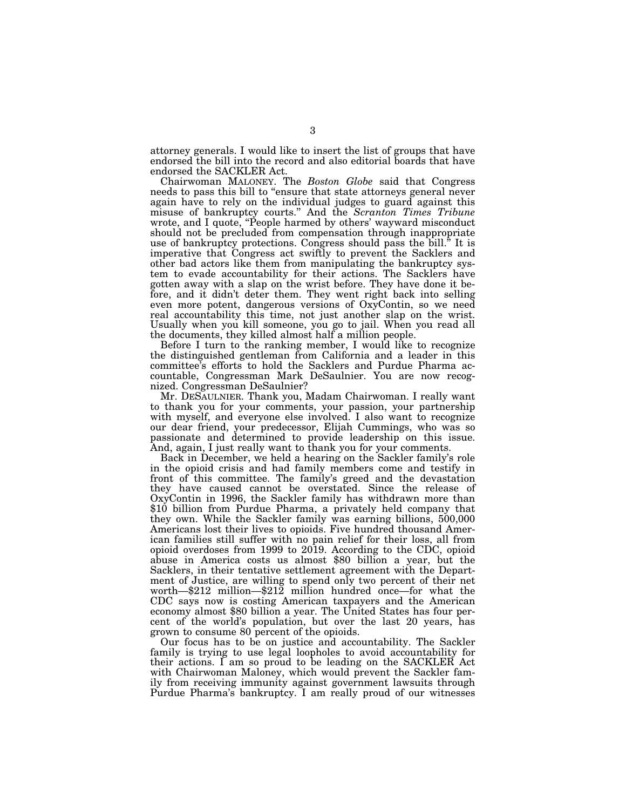attorney generals. I would like to insert the list of groups that have endorsed the bill into the record and also editorial boards that have endorsed the SACKLER Act.

Chairwoman MALONEY. The *Boston Globe* said that Congress needs to pass this bill to ''ensure that state attorneys general never again have to rely on the individual judges to guard against this misuse of bankruptcy courts.'' And the *Scranton Times Tribune*  wrote, and I quote, "People harmed by others' wayward misconduct should not be precluded from compensation through inappropriate use of bankruptcy protections. Congress should pass the bill.<sup>5</sup> It is imperative that Congress act swiftly to prevent the Sacklers and other bad actors like them from manipulating the bankruptcy system to evade accountability for their actions. The Sacklers have gotten away with a slap on the wrist before. They have done it before, and it didn't deter them. They went right back into selling even more potent, dangerous versions of OxyContin, so we need real accountability this time, not just another slap on the wrist. Usually when you kill someone, you go to jail. When you read all the documents, they killed almost half a million people.

Before I turn to the ranking member, I would like to recognize the distinguished gentleman from California and a leader in this committee's efforts to hold the Sacklers and Purdue Pharma accountable, Congressman Mark DeSaulnier. You are now recognized. Congressman DeSaulnier?

Mr. DESAULNIER. Thank you, Madam Chairwoman. I really want to thank you for your comments, your passion, your partnership with myself, and everyone else involved. I also want to recognize our dear friend, your predecessor, Elijah Cummings, who was so passionate and determined to provide leadership on this issue. And, again, I just really want to thank you for your comments.

Back in December, we held a hearing on the Sackler family's role in the opioid crisis and had family members come and testify in front of this committee. The family's greed and the devastation they have caused cannot be overstated. Since the release of OxyContin in 1996, the Sackler family has withdrawn more than \$10 billion from Purdue Pharma, a privately held company that they own. While the Sackler family was earning billions, 500,000 Americans lost their lives to opioids. Five hundred thousand American families still suffer with no pain relief for their loss, all from opioid overdoses from 1999 to 2019. According to the CDC, opioid abuse in America costs us almost \$80 billion a year, but the Sacklers, in their tentative settlement agreement with the Department of Justice, are willing to spend only two percent of their net worth—\$212 million—\$212 million hundred once—for what the CDC says now is costing American taxpayers and the American economy almost \$80 billion a year. The United States has four percent of the world's population, but over the last 20 years, has grown to consume 80 percent of the opioids.

Our focus has to be on justice and accountability. The Sackler family is trying to use legal loopholes to avoid accountability for their actions. I am so proud to be leading on the SACKLER Act with Chairwoman Maloney, which would prevent the Sackler family from receiving immunity against government lawsuits through Purdue Pharma's bankruptcy. I am really proud of our witnesses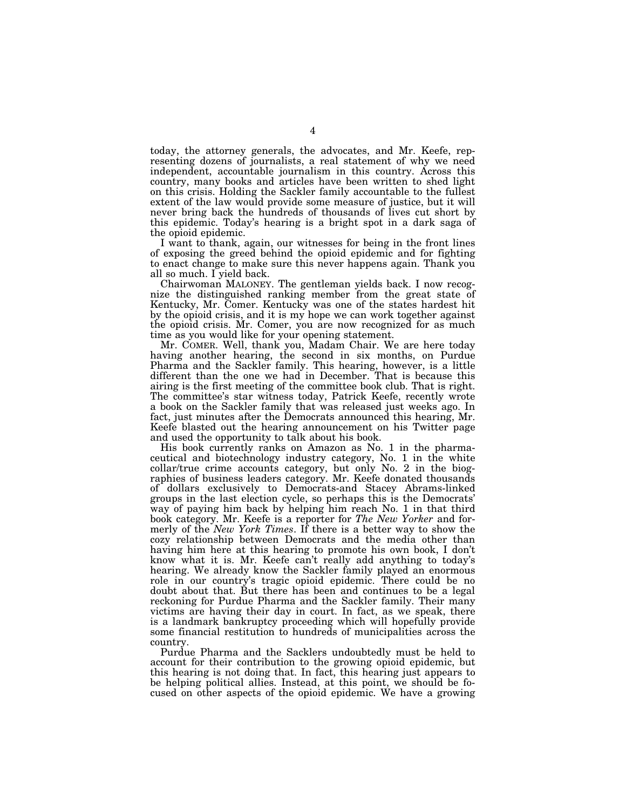today, the attorney generals, the advocates, and Mr. Keefe, representing dozens of journalists, a real statement of why we need independent, accountable journalism in this country. Across this country, many books and articles have been written to shed light on this crisis. Holding the Sackler family accountable to the fullest extent of the law would provide some measure of justice, but it will never bring back the hundreds of thousands of lives cut short by this epidemic. Today's hearing is a bright spot in a dark saga of the opioid epidemic.

I want to thank, again, our witnesses for being in the front lines of exposing the greed behind the opioid epidemic and for fighting to enact change to make sure this never happens again. Thank you all so much. I yield back.

Chairwoman MALONEY. The gentleman yields back. I now recognize the distinguished ranking member from the great state of Kentucky, Mr. Comer. Kentucky was one of the states hardest hit by the opioid crisis, and it is my hope we can work together against the opioid crisis. Mr. Comer, you are now recognized for as much time as you would like for your opening statement.

Mr. COMER. Well, thank you, Madam Chair. We are here today having another hearing, the second in six months, on Purdue Pharma and the Sackler family. This hearing, however, is a little different than the one we had in December. That is because this airing is the first meeting of the committee book club. That is right. The committee's star witness today, Patrick Keefe, recently wrote a book on the Sackler family that was released just weeks ago. In fact, just minutes after the Democrats announced this hearing, Mr. Keefe blasted out the hearing announcement on his Twitter page and used the opportunity to talk about his book.

His book currently ranks on Amazon as No. 1 in the pharmaceutical and biotechnology industry category, No. 1 in the white collar/true crime accounts category, but only No. 2 in the biographies of business leaders category. Mr. Keefe donated thousands of dollars exclusively to Democrats-and Stacey Abrams-linked groups in the last election cycle, so perhaps this is the Democrats' way of paying him back by helping him reach No. 1 in that third book category. Mr. Keefe is a reporter for *The New Yorker* and formerly of the *New York Times*. If there is a better way to show the cozy relationship between Democrats and the media other than having him here at this hearing to promote his own book, I don't know what it is. Mr. Keefe can't really add anything to today's hearing. We already know the Sackler family played an enormous role in our country's tragic opioid epidemic. There could be no doubt about that. But there has been and continues to be a legal reckoning for Purdue Pharma and the Sackler family. Their many victims are having their day in court. In fact, as we speak, there is a landmark bankruptcy proceeding which will hopefully provide some financial restitution to hundreds of municipalities across the country.

Purdue Pharma and the Sacklers undoubtedly must be held to account for their contribution to the growing opioid epidemic, but this hearing is not doing that. In fact, this hearing just appears to be helping political allies. Instead, at this point, we should be focused on other aspects of the opioid epidemic. We have a growing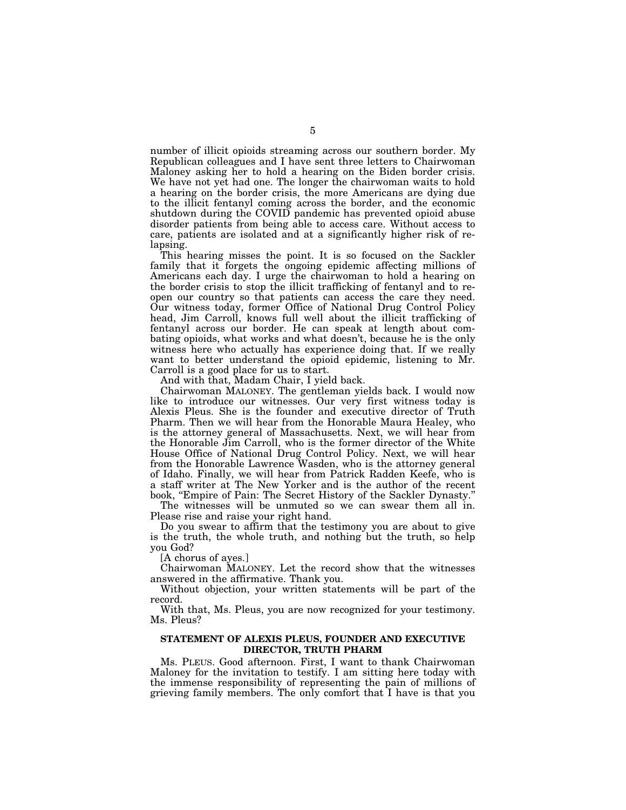number of illicit opioids streaming across our southern border. My Republican colleagues and I have sent three letters to Chairwoman Maloney asking her to hold a hearing on the Biden border crisis. We have not yet had one. The longer the chairwoman waits to hold a hearing on the border crisis, the more Americans are dying due to the illicit fentanyl coming across the border, and the economic shutdown during the COVID pandemic has prevented opioid abuse disorder patients from being able to access care. Without access to care, patients are isolated and at a significantly higher risk of relapsing.

This hearing misses the point. It is so focused on the Sackler family that it forgets the ongoing epidemic affecting millions of Americans each day. I urge the chairwoman to hold a hearing on the border crisis to stop the illicit trafficking of fentanyl and to reopen our country so that patients can access the care they need. Our witness today, former Office of National Drug Control Policy head, Jim Carroll, knows full well about the illicit trafficking of fentanyl across our border. He can speak at length about combating opioids, what works and what doesn't, because he is the only witness here who actually has experience doing that. If we really want to better understand the opioid epidemic, listening to Mr. Carroll is a good place for us to start.

And with that, Madam Chair, I yield back.

Chairwoman MALONEY. The gentleman yields back. I would now like to introduce our witnesses. Our very first witness today is Alexis Pleus. She is the founder and executive director of Truth Pharm. Then we will hear from the Honorable Maura Healey, who is the attorney general of Massachusetts. Next, we will hear from the Honorable Jim Carroll, who is the former director of the White House Office of National Drug Control Policy. Next, we will hear from the Honorable Lawrence Wasden, who is the attorney general of Idaho. Finally, we will hear from Patrick Radden Keefe, who is a staff writer at The New Yorker and is the author of the recent book, ''Empire of Pain: The Secret History of the Sackler Dynasty.''

The witnesses will be unmuted so we can swear them all in. Please rise and raise your right hand.

Do you swear to affirm that the testimony you are about to give is the truth, the whole truth, and nothing but the truth, so help you God?

[A chorus of ayes.]

Chairwoman MALONEY. Let the record show that the witnesses answered in the affirmative. Thank you.

Without objection, your written statements will be part of the record.

With that, Ms. Pleus, you are now recognized for your testimony. Ms. Pleus?

### **STATEMENT OF ALEXIS PLEUS, FOUNDER AND EXECUTIVE DIRECTOR, TRUTH PHARM**

Ms. PLEUS. Good afternoon. First, I want to thank Chairwoman Maloney for the invitation to testify. I am sitting here today with the immense responsibility of representing the pain of millions of grieving family members. The only comfort that I have is that you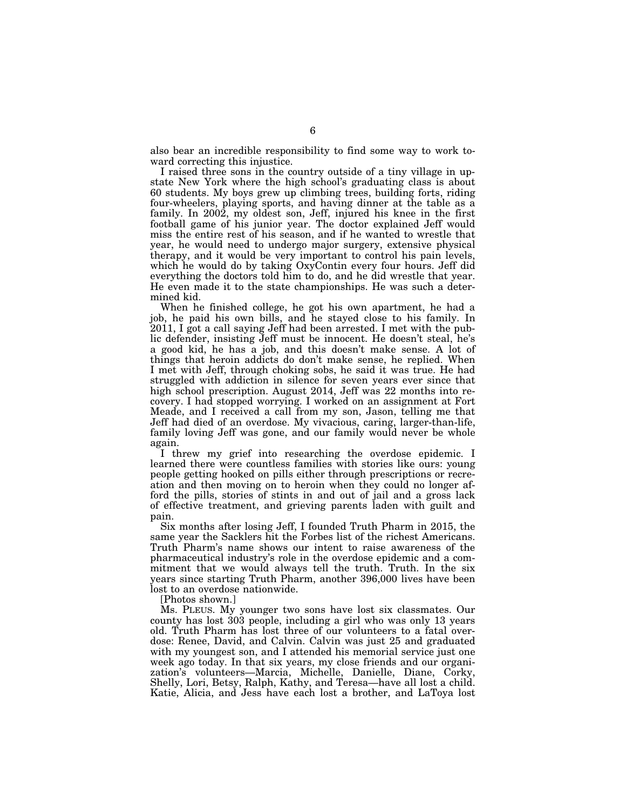also bear an incredible responsibility to find some way to work toward correcting this injustice.

I raised three sons in the country outside of a tiny village in upstate New York where the high school's graduating class is about 60 students. My boys grew up climbing trees, building forts, riding four-wheelers, playing sports, and having dinner at the table as a family. In 2002, my oldest son, Jeff, injured his knee in the first football game of his junior year. The doctor explained Jeff would miss the entire rest of his season, and if he wanted to wrestle that year, he would need to undergo major surgery, extensive physical therapy, and it would be very important to control his pain levels, which he would do by taking OxyContin every four hours. Jeff did everything the doctors told him to do, and he did wrestle that year. He even made it to the state championships. He was such a determined kid.

When he finished college, he got his own apartment, he had a job, he paid his own bills, and he stayed close to his family. In 2011, I got a call saying Jeff had been arrested. I met with the public defender, insisting Jeff must be innocent. He doesn't steal, he's a good kid, he has a job, and this doesn't make sense. A lot of things that heroin addicts do don't make sense, he replied. When I met with Jeff, through choking sobs, he said it was true. He had struggled with addiction in silence for seven years ever since that high school prescription. August 2014, Jeff was 22 months into recovery. I had stopped worrying. I worked on an assignment at Fort Meade, and I received a call from my son, Jason, telling me that Jeff had died of an overdose. My vivacious, caring, larger-than-life, family loving Jeff was gone, and our family would never be whole again.

I threw my grief into researching the overdose epidemic. I learned there were countless families with stories like ours: young people getting hooked on pills either through prescriptions or recreation and then moving on to heroin when they could no longer afford the pills, stories of stints in and out of jail and a gross lack of effective treatment, and grieving parents laden with guilt and pain.

Six months after losing Jeff, I founded Truth Pharm in 2015, the same year the Sacklers hit the Forbes list of the richest Americans. Truth Pharm's name shows our intent to raise awareness of the pharmaceutical industry's role in the overdose epidemic and a commitment that we would always tell the truth. Truth. In the six years since starting Truth Pharm, another 396,000 lives have been lost to an overdose nationwide.

[Photos shown.]

Ms. PLEUS. My younger two sons have lost six classmates. Our county has lost 303 people, including a girl who was only 13 years old. Truth Pharm has lost three of our volunteers to a fatal overdose: Renee, David, and Calvin. Calvin was just 25 and graduated with my youngest son, and I attended his memorial service just one week ago today. In that six years, my close friends and our organization's volunteers—Marcia, Michelle, Danielle, Diane, Corky, Shelly, Lori, Betsy, Ralph, Kathy, and Teresa—have all lost a child. Katie, Alicia, and Jess have each lost a brother, and LaToya lost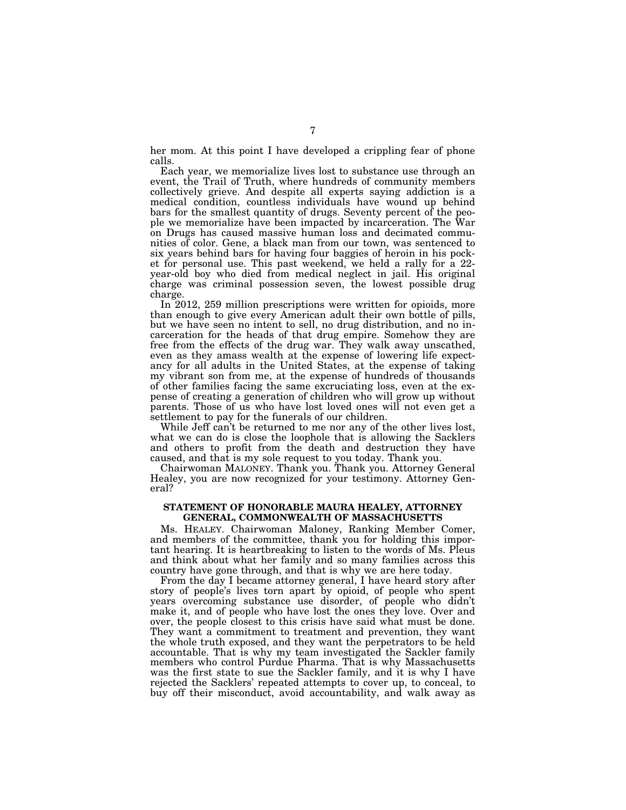her mom. At this point I have developed a crippling fear of phone calls.

Each year, we memorialize lives lost to substance use through an event, the Trail of Truth, where hundreds of community members collectively grieve. And despite all experts saying addiction is a medical condition, countless individuals have wound up behind bars for the smallest quantity of drugs. Seventy percent of the people we memorialize have been impacted by incarceration. The War on Drugs has caused massive human loss and decimated communities of color. Gene, a black man from our town, was sentenced to six years behind bars for having four baggies of heroin in his pocket for personal use. This past weekend, we held a rally for a 22 year-old boy who died from medical neglect in jail. His original charge was criminal possession seven, the lowest possible drug charge.

In 2012, 259 million prescriptions were written for opioids, more than enough to give every American adult their own bottle of pills, but we have seen no intent to sell, no drug distribution, and no incarceration for the heads of that drug empire. Somehow they are free from the effects of the drug war. They walk away unscathed, even as they amass wealth at the expense of lowering life expectancy for all adults in the United States, at the expense of taking my vibrant son from me, at the expense of hundreds of thousands of other families facing the same excruciating loss, even at the expense of creating a generation of children who will grow up without parents. Those of us who have lost loved ones will not even get a settlement to pay for the funerals of our children.

While Jeff can't be returned to me nor any of the other lives lost, what we can do is close the loophole that is allowing the Sacklers and others to profit from the death and destruction they have caused, and that is my sole request to you today. Thank you.

Chairwoman MALONEY. Thank you. Thank you. Attorney General Healey, you are now recognized for your testimony. Attorney General?

### **STATEMENT OF HONORABLE MAURA HEALEY, ATTORNEY GENERAL, COMMONWEALTH OF MASSACHUSETTS**

Ms. HEALEY. Chairwoman Maloney, Ranking Member Comer, and members of the committee, thank you for holding this important hearing. It is heartbreaking to listen to the words of Ms. Pleus and think about what her family and so many families across this country have gone through, and that is why we are here today.

From the day I became attorney general, I have heard story after story of people's lives torn apart by opioid, of people who spent years overcoming substance use disorder, of people who didn't make it, and of people who have lost the ones they love. Over and over, the people closest to this crisis have said what must be done. They want a commitment to treatment and prevention, they want the whole truth exposed, and they want the perpetrators to be held accountable. That is why my team investigated the Sackler family members who control Purdue Pharma. That is why Massachusetts was the first state to sue the Sackler family, and it is why I have rejected the Sacklers' repeated attempts to cover up, to conceal, to buy off their misconduct, avoid accountability, and walk away as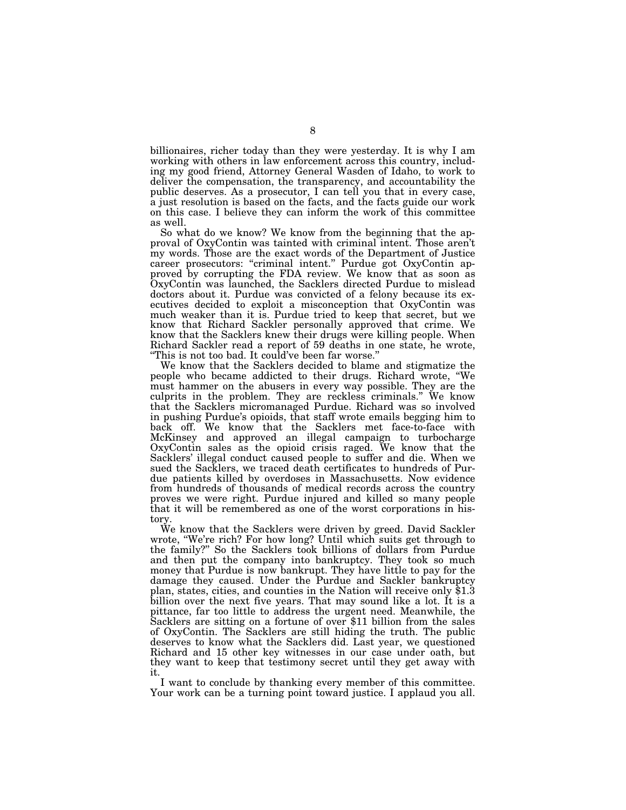billionaires, richer today than they were yesterday. It is why I am working with others in law enforcement across this country, including my good friend, Attorney General Wasden of Idaho, to work to deliver the compensation, the transparency, and accountability the public deserves. As a prosecutor, I can tell you that in every case, a just resolution is based on the facts, and the facts guide our work on this case. I believe they can inform the work of this committee as well.

So what do we know? We know from the beginning that the approval of OxyContin was tainted with criminal intent. Those aren't my words. Those are the exact words of the Department of Justice career prosecutors: "criminal intent." Purdue got OxyContin approved by corrupting the FDA review. We know that as soon as OxyContin was launched, the Sacklers directed Purdue to mislead doctors about it. Purdue was convicted of a felony because its executives decided to exploit a misconception that OxyContin was much weaker than it is. Purdue tried to keep that secret, but we know that Richard Sackler personally approved that crime. We know that the Sacklers knew their drugs were killing people. When Richard Sackler read a report of 59 deaths in one state, he wrote, ''This is not too bad. It could've been far worse.''

We know that the Sacklers decided to blame and stigmatize the people who became addicted to their drugs. Richard wrote, ''We must hammer on the abusers in every way possible. They are the culprits in the problem. They are reckless criminals.'' We know that the Sacklers micromanaged Purdue. Richard was so involved in pushing Purdue's opioids, that staff wrote emails begging him to back off. We know that the Sacklers met face-to-face with McKinsey and approved an illegal campaign to turbocharge OxyContin sales as the opioid crisis raged. We know that the Sacklers' illegal conduct caused people to suffer and die. When we sued the Sacklers, we traced death certificates to hundreds of Purdue patients killed by overdoses in Massachusetts. Now evidence from hundreds of thousands of medical records across the country proves we were right. Purdue injured and killed so many people that it will be remembered as one of the worst corporations in history.

We know that the Sacklers were driven by greed. David Sackler wrote, ''We're rich? For how long? Until which suits get through to the family?'' So the Sacklers took billions of dollars from Purdue and then put the company into bankruptcy. They took so much money that Purdue is now bankrupt. They have little to pay for the damage they caused. Under the Purdue and Sackler bankruptcy plan, states, cities, and counties in the Nation will receive only \$1.3 billion over the next five years. That may sound like a lot. It is a pittance, far too little to address the urgent need. Meanwhile, the Sacklers are sitting on a fortune of over \$11 billion from the sales of OxyContin. The Sacklers are still hiding the truth. The public deserves to know what the Sacklers did. Last year, we questioned Richard and 15 other key witnesses in our case under oath, but they want to keep that testimony secret until they get away with it.

I want to conclude by thanking every member of this committee. Your work can be a turning point toward justice. I applaud you all.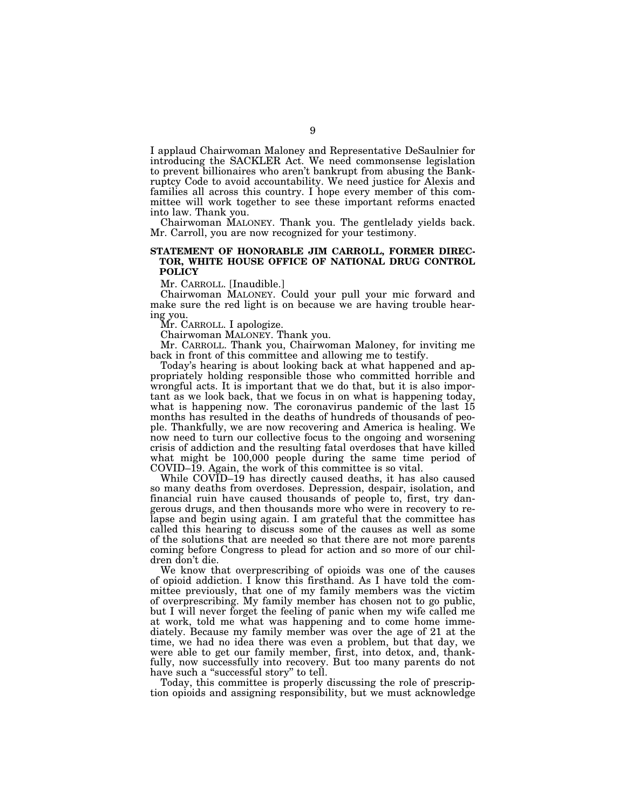I applaud Chairwoman Maloney and Representative DeSaulnier for introducing the SACKLER Act. We need commonsense legislation to prevent billionaires who aren't bankrupt from abusing the Bankruptcy Code to avoid accountability. We need justice for Alexis and families all across this country. I hope every member of this committee will work together to see these important reforms enacted into law. Thank you.

Chairwoman MALONEY. Thank you. The gentlelady yields back. Mr. Carroll, you are now recognized for your testimony.

### **STATEMENT OF HONORABLE JIM CARROLL, FORMER DIREC-TOR, WHITE HOUSE OFFICE OF NATIONAL DRUG CONTROL POLICY**

Mr. CARROLL. [Inaudible.]

Chairwoman MALONEY. Could your pull your mic forward and make sure the red light is on because we are having trouble hearing you.

Mr. CARROLL. I apologize.

Chairwoman MALONEY. Thank you.

Mr. CARROLL. Thank you, Chairwoman Maloney, for inviting me back in front of this committee and allowing me to testify.

Today's hearing is about looking back at what happened and appropriately holding responsible those who committed horrible and wrongful acts. It is important that we do that, but it is also important as we look back, that we focus in on what is happening today, what is happening now. The coronavirus pandemic of the last 15 months has resulted in the deaths of hundreds of thousands of people. Thankfully, we are now recovering and America is healing. We now need to turn our collective focus to the ongoing and worsening crisis of addiction and the resulting fatal overdoses that have killed what might be 100,000 people during the same time period of COVID–19. Again, the work of this committee is so vital.

While COVID–19 has directly caused deaths, it has also caused so many deaths from overdoses. Depression, despair, isolation, and financial ruin have caused thousands of people to, first, try dangerous drugs, and then thousands more who were in recovery to relapse and begin using again. I am grateful that the committee has called this hearing to discuss some of the causes as well as some of the solutions that are needed so that there are not more parents coming before Congress to plead for action and so more of our children don't die.

We know that overprescribing of opioids was one of the causes of opioid addiction. I know this firsthand. As I have told the committee previously, that one of my family members was the victim of overprescribing. My family member has chosen not to go public, but I will never forget the feeling of panic when my wife called me at work, told me what was happening and to come home immediately. Because my family member was over the age of 21 at the time, we had no idea there was even a problem, but that day, we were able to get our family member, first, into detox, and, thankfully, now successfully into recovery. But too many parents do not have such a "successful story" to tell.

Today, this committee is properly discussing the role of prescription opioids and assigning responsibility, but we must acknowledge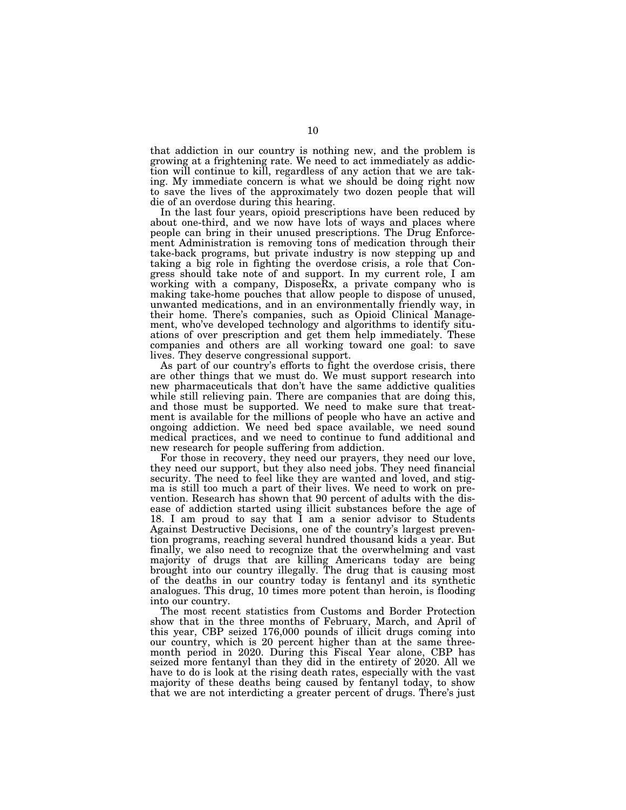that addiction in our country is nothing new, and the problem is growing at a frightening rate. We need to act immediately as addiction will continue to kill, regardless of any action that we are taking. My immediate concern is what we should be doing right now to save the lives of the approximately two dozen people that will die of an overdose during this hearing.

In the last four years, opioid prescriptions have been reduced by about one-third, and we now have lots of ways and places where people can bring in their unused prescriptions. The Drug Enforcement Administration is removing tons of medication through their take-back programs, but private industry is now stepping up and taking a big role in fighting the overdose crisis, a role that Congress should take note of and support. In my current role, I am working with a company, DisposeRx, a private company who is making take-home pouches that allow people to dispose of unused, unwanted medications, and in an environmentally friendly way, in their home. There's companies, such as Opioid Clinical Management, who've developed technology and algorithms to identify situations of over prescription and get them help immediately. These companies and others are all working toward one goal: to save lives. They deserve congressional support.

As part of our country's efforts to fight the overdose crisis, there are other things that we must do. We must support research into new pharmaceuticals that don't have the same addictive qualities while still relieving pain. There are companies that are doing this, and those must be supported. We need to make sure that treatment is available for the millions of people who have an active and ongoing addiction. We need bed space available, we need sound medical practices, and we need to continue to fund additional and new research for people suffering from addiction.

For those in recovery, they need our prayers, they need our love, they need our support, but they also need jobs. They need financial security. The need to feel like they are wanted and loved, and stigma is still too much a part of their lives. We need to work on prevention. Research has shown that 90 percent of adults with the disease of addiction started using illicit substances before the age of 18. I am proud to say that I am a senior advisor to Students Against Destructive Decisions, one of the country's largest prevention programs, reaching several hundred thousand kids a year. But finally, we also need to recognize that the overwhelming and vast majority of drugs that are killing Americans today are being brought into our country illegally. The drug that is causing most of the deaths in our country today is fentanyl and its synthetic analogues. This drug, 10 times more potent than heroin, is flooding into our country.

The most recent statistics from Customs and Border Protection show that in the three months of February, March, and April of this year, CBP seized 176,000 pounds of illicit drugs coming into our country, which is 20 percent higher than at the same threemonth period in 2020. During this Fiscal Year alone, CBP has seized more fentanyl than they did in the entirety of 2020. All we have to do is look at the rising death rates, especially with the vast majority of these deaths being caused by fentanyl today, to show that we are not interdicting a greater percent of drugs. There's just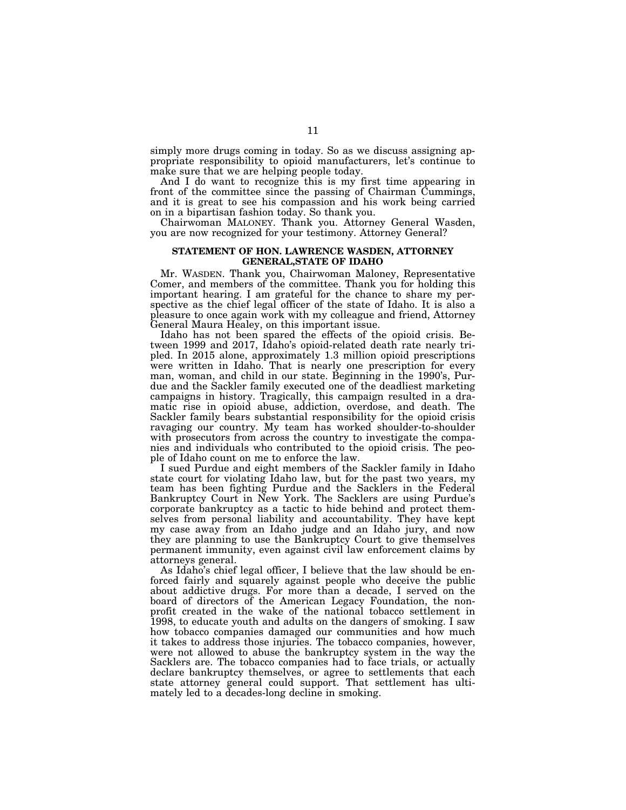simply more drugs coming in today. So as we discuss assigning appropriate responsibility to opioid manufacturers, let's continue to make sure that we are helping people today.

And I do want to recognize this is my first time appearing in front of the committee since the passing of Chairman Cummings, and it is great to see his compassion and his work being carried on in a bipartisan fashion today. So thank you.

Chairwoman MALONEY. Thank you. Attorney General Wasden, you are now recognized for your testimony. Attorney General?

### **STATEMENT OF HON. LAWRENCE WASDEN, ATTORNEY GENERAL,STATE OF IDAHO**

Mr. WASDEN. Thank you, Chairwoman Maloney, Representative Comer, and members of the committee. Thank you for holding this important hearing. I am grateful for the chance to share my perspective as the chief legal officer of the state of Idaho. It is also a pleasure to once again work with my colleague and friend, Attorney General Maura Healey, on this important issue.

Idaho has not been spared the effects of the opioid crisis. Between 1999 and 2017, Idaho's opioid-related death rate nearly tripled. In 2015 alone, approximately 1.3 million opioid prescriptions were written in Idaho. That is nearly one prescription for every man, woman, and child in our state. Beginning in the 1990's, Purdue and the Sackler family executed one of the deadliest marketing campaigns in history. Tragically, this campaign resulted in a dramatic rise in opioid abuse, addiction, overdose, and death. The Sackler family bears substantial responsibility for the opioid crisis ravaging our country. My team has worked shoulder-to-shoulder with prosecutors from across the country to investigate the companies and individuals who contributed to the opioid crisis. The people of Idaho count on me to enforce the law.

I sued Purdue and eight members of the Sackler family in Idaho state court for violating Idaho law, but for the past two years, my team has been fighting Purdue and the Sacklers in the Federal Bankruptcy Court in New York. The Sacklers are using Purdue's corporate bankruptcy as a tactic to hide behind and protect themselves from personal liability and accountability. They have kept my case away from an Idaho judge and an Idaho jury, and now they are planning to use the Bankruptcy Court to give themselves permanent immunity, even against civil law enforcement claims by attorneys general.

As Idaho's chief legal officer, I believe that the law should be enforced fairly and squarely against people who deceive the public about addictive drugs. For more than a decade, I served on the board of directors of the American Legacy Foundation, the nonprofit created in the wake of the national tobacco settlement in 1998, to educate youth and adults on the dangers of smoking. I saw how tobacco companies damaged our communities and how much it takes to address those injuries. The tobacco companies, however, were not allowed to abuse the bankruptcy system in the way the Sacklers are. The tobacco companies had to face trials, or actually declare bankruptcy themselves, or agree to settlements that each state attorney general could support. That settlement has ultimately led to a decades-long decline in smoking.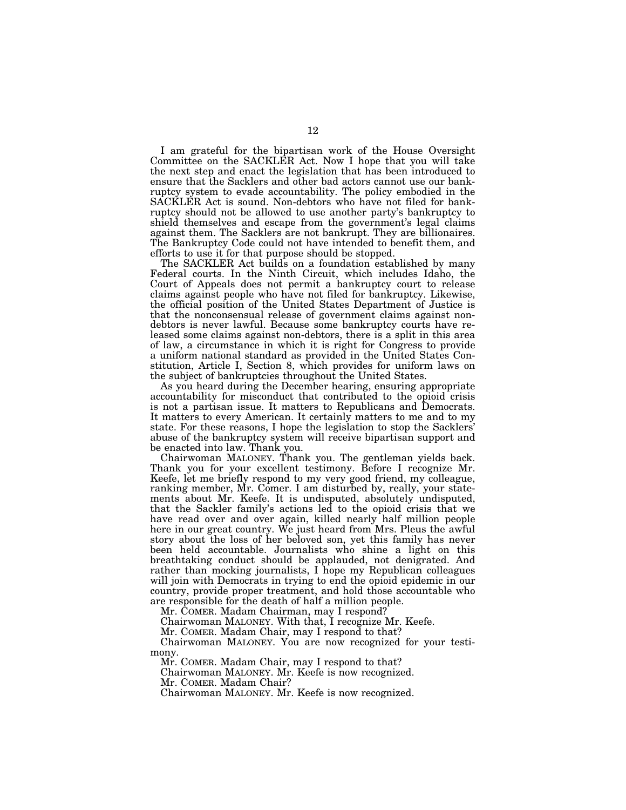I am grateful for the bipartisan work of the House Oversight Committee on the SACKLER Act. Now I hope that you will take the next step and enact the legislation that has been introduced to ensure that the Sacklers and other bad actors cannot use our bankruptcy system to evade accountability. The policy embodied in the SACKLER Act is sound. Non-debtors who have not filed for bankruptcy should not be allowed to use another party's bankruptcy to shield themselves and escape from the government's legal claims against them. The Sacklers are not bankrupt. They are billionaires. The Bankruptcy Code could not have intended to benefit them, and efforts to use it for that purpose should be stopped.

The SACKLER Act builds on a foundation established by many Federal courts. In the Ninth Circuit, which includes Idaho, the Court of Appeals does not permit a bankruptcy court to release claims against people who have not filed for bankruptcy. Likewise, the official position of the United States Department of Justice is that the nonconsensual release of government claims against nondebtors is never lawful. Because some bankruptcy courts have released some claims against non-debtors, there is a split in this area of law, a circumstance in which it is right for Congress to provide a uniform national standard as provided in the United States Constitution, Article I, Section 8, which provides for uniform laws on the subject of bankruptcies throughout the United States.

As you heard during the December hearing, ensuring appropriate accountability for misconduct that contributed to the opioid crisis is not a partisan issue. It matters to Republicans and Democrats. It matters to every American. It certainly matters to me and to my state. For these reasons, I hope the legislation to stop the Sacklers' abuse of the bankruptcy system will receive bipartisan support and be enacted into law. Thank you.

Chairwoman MALONEY. Thank you. The gentleman yields back. Thank you for your excellent testimony. Before I recognize Mr. Keefe, let me briefly respond to my very good friend, my colleague, ranking member, Mr. Comer. I am disturbed by, really, your statements about Mr. Keefe. It is undisputed, absolutely undisputed, that the Sackler family's actions led to the opioid crisis that we have read over and over again, killed nearly half million people here in our great country. We just heard from Mrs. Pleus the awful story about the loss of her beloved son, yet this family has never been held accountable. Journalists who shine a light on this breathtaking conduct should be applauded, not denigrated. And rather than mocking journalists, I hope my Republican colleagues will join with Democrats in trying to end the opioid epidemic in our country, provide proper treatment, and hold those accountable who are responsible for the death of half a million people.

Mr. COMER. Madam Chairman, may I respond?

Chairwoman MALONEY. With that, I recognize Mr. Keefe.

Mr. COMER. Madam Chair, may I respond to that?

Chairwoman MALONEY. You are now recognized for your testimony.

Mr. COMER. Madam Chair, may I respond to that?

Chairwoman MALONEY. Mr. Keefe is now recognized.

Mr. COMER. Madam Chair?

Chairwoman MALONEY. Mr. Keefe is now recognized.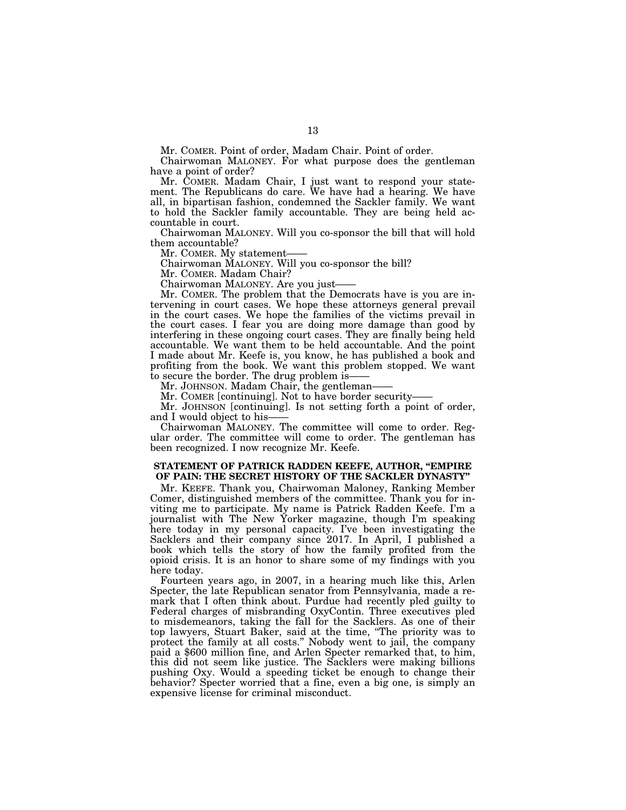Mr. COMER. Point of order, Madam Chair. Point of order.

Chairwoman MALONEY. For what purpose does the gentleman have a point of order?

Mr. COMER. Madam Chair, I just want to respond your statement. The Republicans do care. We have had a hearing. We have all, in bipartisan fashion, condemned the Sackler family. We want to hold the Sackler family accountable. They are being held accountable in court.

Chairwoman MALONEY. Will you co-sponsor the bill that will hold them accountable?

Mr. COMER. My statement-

Chairwoman MALONEY. Will you co-sponsor the bill?

Mr. COMER. Madam Chair?

Chairwoman MALONEY. Are you just——

Mr. COMER. The problem that the Democrats have is you are intervening in court cases. We hope these attorneys general prevail in the court cases. We hope the families of the victims prevail in the court cases. I fear you are doing more damage than good by interfering in these ongoing court cases. They are finally being held accountable. We want them to be held accountable. And the point I made about Mr. Keefe is, you know, he has published a book and profiting from the book. We want this problem stopped. We want to secure the border. The drug problem is-

Mr. JOHNSON. Madam Chair, the gentleman-

Mr. COMER [continuing]. Not to have border security-

Mr. JOHNSON [continuing]. Is not setting forth a point of order, and I would object to his-

Chairwoman MALONEY. The committee will come to order. Regular order. The committee will come to order. The gentleman has been recognized. I now recognize Mr. Keefe.

### **STATEMENT OF PATRICK RADDEN KEEFE, AUTHOR, ''EMPIRE OF PAIN: THE SECRET HISTORY OF THE SACKLER DYNASTY''**

Mr. KEEFE. Thank you, Chairwoman Maloney, Ranking Member Comer, distinguished members of the committee. Thank you for inviting me to participate. My name is Patrick Radden Keefe. I'm a journalist with The New Yorker magazine, though I'm speaking here today in my personal capacity. I've been investigating the Sacklers and their company since 2017. In April, I published a book which tells the story of how the family profited from the opioid crisis. It is an honor to share some of my findings with you here today.

Fourteen years ago, in 2007, in a hearing much like this, Arlen Specter, the late Republican senator from Pennsylvania, made a remark that I often think about. Purdue had recently pled guilty to Federal charges of misbranding OxyContin. Three executives pled to misdemeanors, taking the fall for the Sacklers. As one of their top lawyers, Stuart Baker, said at the time, ''The priority was to protect the family at all costs.'' Nobody went to jail, the company paid a \$600 million fine, and Arlen Specter remarked that, to him, this did not seem like justice. The Sacklers were making billions pushing Oxy. Would a speeding ticket be enough to change their behavior? Specter worried that a fine, even a big one, is simply an expensive license for criminal misconduct.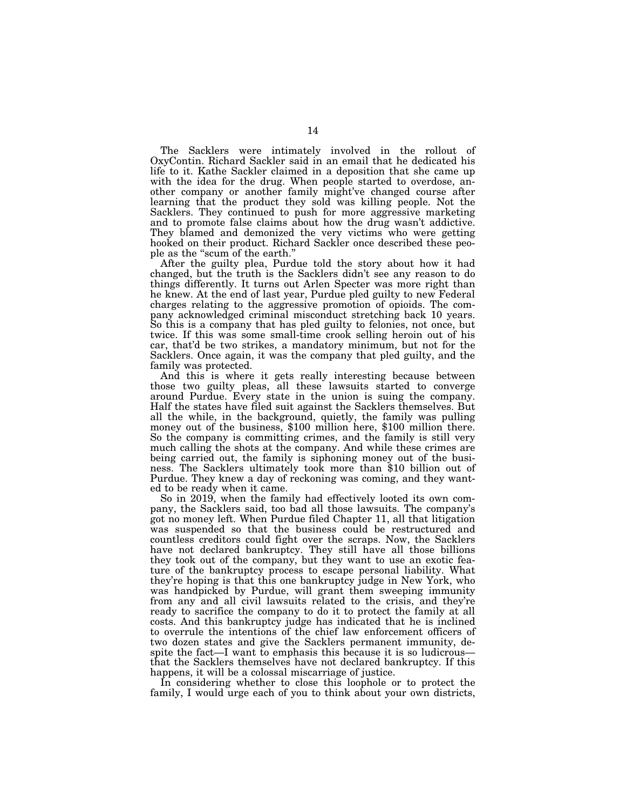The Sacklers were intimately involved in the rollout of OxyContin. Richard Sackler said in an email that he dedicated his life to it. Kathe Sackler claimed in a deposition that she came up with the idea for the drug. When people started to overdose, another company or another family might've changed course after learning that the product they sold was killing people. Not the Sacklers. They continued to push for more aggressive marketing and to promote false claims about how the drug wasn't addictive. They blamed and demonized the very victims who were getting hooked on their product. Richard Sackler once described these people as the ''scum of the earth.''

After the guilty plea, Purdue told the story about how it had changed, but the truth is the Sacklers didn't see any reason to do things differently. It turns out Arlen Specter was more right than he knew. At the end of last year, Purdue pled guilty to new Federal charges relating to the aggressive promotion of opioids. The company acknowledged criminal misconduct stretching back 10 years. So this is a company that has pled guilty to felonies, not once, but twice. If this was some small-time crook selling heroin out of his car, that'd be two strikes, a mandatory minimum, but not for the Sacklers. Once again, it was the company that pled guilty, and the family was protected.

And this is where it gets really interesting because between those two guilty pleas, all these lawsuits started to converge around Purdue. Every state in the union is suing the company. Half the states have filed suit against the Sacklers themselves. But all the while, in the background, quietly, the family was pulling money out of the business, \$100 million here, \$100 million there. So the company is committing crimes, and the family is still very much calling the shots at the company. And while these crimes are being carried out, the family is siphoning money out of the business. The Sacklers ultimately took more than \$10 billion out of Purdue. They knew a day of reckoning was coming, and they wanted to be ready when it came.

So in 2019, when the family had effectively looted its own company, the Sacklers said, too bad all those lawsuits. The company's got no money left. When Purdue filed Chapter 11, all that litigation was suspended so that the business could be restructured and countless creditors could fight over the scraps. Now, the Sacklers have not declared bankruptcy. They still have all those billions they took out of the company, but they want to use an exotic feature of the bankruptcy process to escape personal liability. What they're hoping is that this one bankruptcy judge in New York, who was handpicked by Purdue, will grant them sweeping immunity from any and all civil lawsuits related to the crisis, and they're ready to sacrifice the company to do it to protect the family at all costs. And this bankruptcy judge has indicated that he is inclined to overrule the intentions of the chief law enforcement officers of two dozen states and give the Sacklers permanent immunity, despite the fact—I want to emphasis this because it is so ludicrous that the Sacklers themselves have not declared bankruptcy. If this happens, it will be a colossal miscarriage of justice.

In considering whether to close this loophole or to protect the family, I would urge each of you to think about your own districts,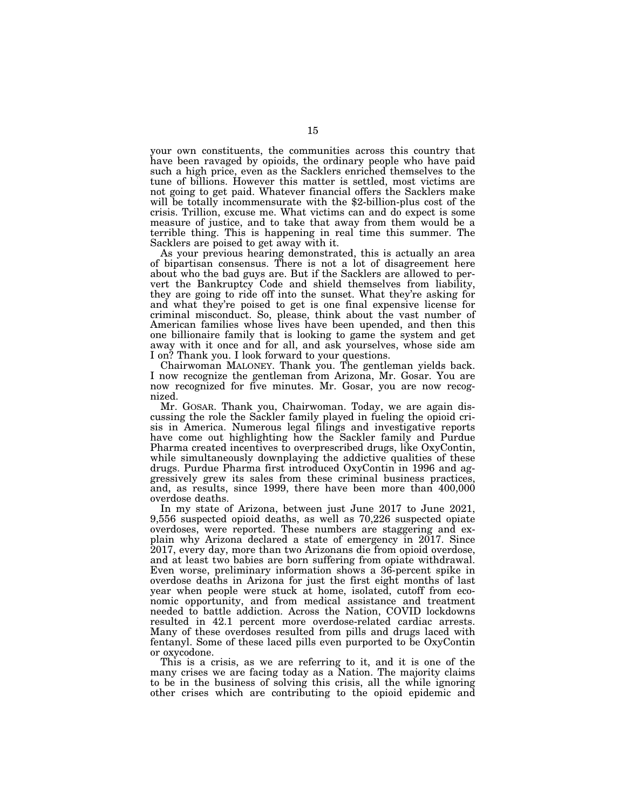your own constituents, the communities across this country that have been ravaged by opioids, the ordinary people who have paid such a high price, even as the Sacklers enriched themselves to the tune of billions. However this matter is settled, most victims are not going to get paid. Whatever financial offers the Sacklers make will be totally incommensurate with the \$2-billion-plus cost of the crisis. Trillion, excuse me. What victims can and do expect is some measure of justice, and to take that away from them would be a terrible thing. This is happening in real time this summer. The Sacklers are poised to get away with it.

As your previous hearing demonstrated, this is actually an area of bipartisan consensus. There is not a lot of disagreement here about who the bad guys are. But if the Sacklers are allowed to pervert the Bankruptcy Code and shield themselves from liability, they are going to ride off into the sunset. What they're asking for and what they're poised to get is one final expensive license for criminal misconduct. So, please, think about the vast number of American families whose lives have been upended, and then this one billionaire family that is looking to game the system and get away with it once and for all, and ask yourselves, whose side am I on? Thank you. I look forward to your questions.

Chairwoman MALONEY. Thank you. The gentleman yields back. I now recognize the gentleman from Arizona, Mr. Gosar. You are now recognized for five minutes. Mr. Gosar, you are now recognized.

Mr. GOSAR. Thank you, Chairwoman. Today, we are again discussing the role the Sackler family played in fueling the opioid crisis in America. Numerous legal filings and investigative reports have come out highlighting how the Sackler family and Purdue Pharma created incentives to overprescribed drugs, like OxyContin, while simultaneously downplaying the addictive qualities of these drugs. Purdue Pharma first introduced OxyContin in 1996 and aggressively grew its sales from these criminal business practices, and, as results, since 1999, there have been more than 400,000 overdose deaths.

In my state of Arizona, between just June 2017 to June 2021, 9,556 suspected opioid deaths, as well as 70,226 suspected opiate overdoses, were reported. These numbers are staggering and explain why Arizona declared a state of emergency in 2017. Since 2017, every day, more than two Arizonans die from opioid overdose, and at least two babies are born suffering from opiate withdrawal. Even worse, preliminary information shows a 36-percent spike in overdose deaths in Arizona for just the first eight months of last year when people were stuck at home, isolated, cutoff from economic opportunity, and from medical assistance and treatment needed to battle addiction. Across the Nation, COVID lockdowns resulted in 42.1 percent more overdose-related cardiac arrests. Many of these overdoses resulted from pills and drugs laced with fentanyl. Some of these laced pills even purported to be OxyContin or oxycodone.

This is a crisis, as we are referring to it, and it is one of the many crises we are facing today as a Nation. The majority claims to be in the business of solving this crisis, all the while ignoring other crises which are contributing to the opioid epidemic and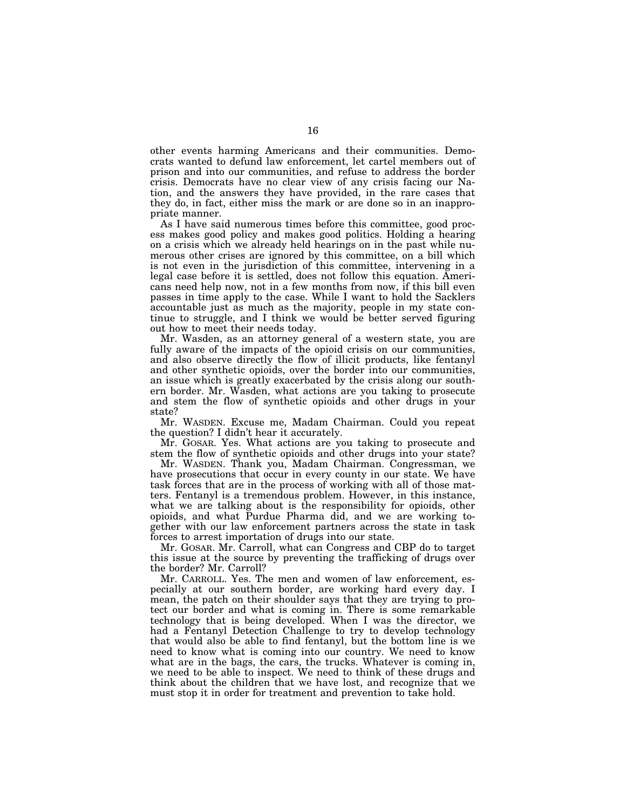other events harming Americans and their communities. Democrats wanted to defund law enforcement, let cartel members out of prison and into our communities, and refuse to address the border crisis. Democrats have no clear view of any crisis facing our Nation, and the answers they have provided, in the rare cases that they do, in fact, either miss the mark or are done so in an inappropriate manner.

As I have said numerous times before this committee, good process makes good policy and makes good politics. Holding a hearing on a crisis which we already held hearings on in the past while numerous other crises are ignored by this committee, on a bill which is not even in the jurisdiction of this committee, intervening in a legal case before it is settled, does not follow this equation. Americans need help now, not in a few months from now, if this bill even passes in time apply to the case. While I want to hold the Sacklers accountable just as much as the majority, people in my state continue to struggle, and I think we would be better served figuring out how to meet their needs today.

Mr. Wasden, as an attorney general of a western state, you are fully aware of the impacts of the opioid crisis on our communities, and also observe directly the flow of illicit products, like fentanyl and other synthetic opioids, over the border into our communities, an issue which is greatly exacerbated by the crisis along our southern border. Mr. Wasden, what actions are you taking to prosecute and stem the flow of synthetic opioids and other drugs in your state?

Mr. WASDEN. Excuse me, Madam Chairman. Could you repeat the question? I didn't hear it accurately.

Mr. GOSAR. Yes. What actions are you taking to prosecute and stem the flow of synthetic opioids and other drugs into your state?

Mr. WASDEN. Thank you, Madam Chairman. Congressman, we have prosecutions that occur in every county in our state. We have task forces that are in the process of working with all of those matters. Fentanyl is a tremendous problem. However, in this instance, what we are talking about is the responsibility for opioids, other opioids, and what Purdue Pharma did, and we are working together with our law enforcement partners across the state in task forces to arrest importation of drugs into our state.

Mr. GOSAR. Mr. Carroll, what can Congress and CBP do to target this issue at the source by preventing the trafficking of drugs over the border? Mr. Carroll?

Mr. CARROLL. Yes. The men and women of law enforcement, especially at our southern border, are working hard every day. I mean, the patch on their shoulder says that they are trying to protect our border and what is coming in. There is some remarkable technology that is being developed. When I was the director, we had a Fentanyl Detection Challenge to try to develop technology that would also be able to find fentanyl, but the bottom line is we need to know what is coming into our country. We need to know what are in the bags, the cars, the trucks. Whatever is coming in, we need to be able to inspect. We need to think of these drugs and think about the children that we have lost, and recognize that we must stop it in order for treatment and prevention to take hold.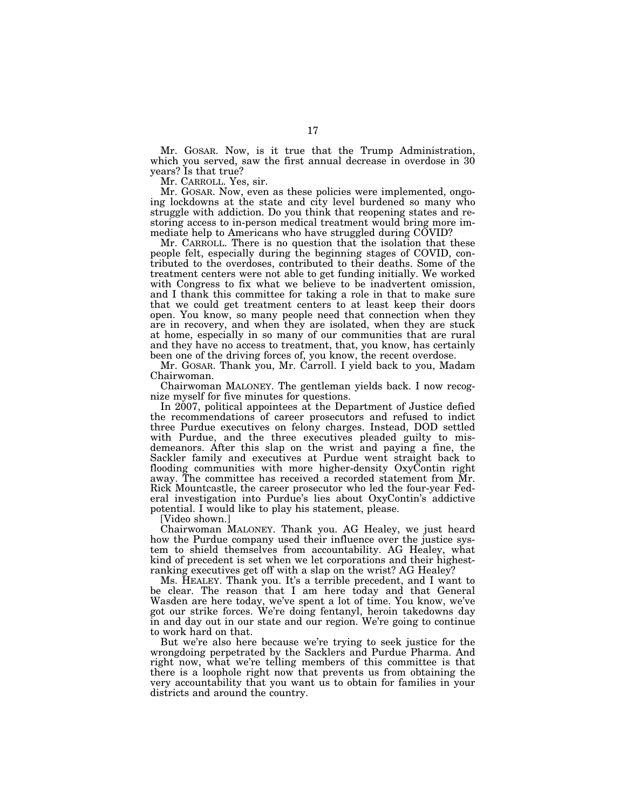Mr. GOSAR. Now, is it true that the Trump Administration, which you served, saw the first annual decrease in overdose in 30 years? Is that true?

Mr. CARROLL. Yes, sir.

Mr. GOSAR. Now, even as these policies were implemented, ongoing lockdowns at the state and city level burdened so many who struggle with addiction. Do you think that reopening states and restoring access to in-person medical treatment would bring more immediate help to Americans who have struggled during COVID?

Mr. CARROLL. There is no question that the isolation that these people felt, especially during the beginning stages of COVID, contributed to the overdoses, contributed to their deaths. Some of the treatment centers were not able to get funding initially. We worked with Congress to fix what we believe to be inadvertent omission, and I thank this committee for taking a role in that to make sure that we could get treatment centers to at least keep their doors open. You know, so many people need that connection when they are in recovery, and when they are isolated, when they are stuck at home, especially in so many of our communities that are rural and they have no access to treatment, that, you know, has certainly been one of the driving forces of, you know, the recent overdose.

Mr. GOSAR. Thank you, Mr. Carroll. I yield back to you, Madam Chairwoman.

Chairwoman MALONEY. The gentleman yields back. I now recognize myself for five minutes for questions.

In 2007, political appointees at the Department of Justice defied the recommendations of career prosecutors and refused to indict three Purdue executives on felony charges. Instead, DOD settled with Purdue, and the three executives pleaded guilty to misdemeanors. After this slap on the wrist and paying a fine, the Sackler family and executives at Purdue went straight back to flooding communities with more higher-density OxyContin right away. The committee has received a recorded statement from Mr. Rick Mountcastle, the career prosecutor who led the four-year Federal investigation into Purdue's lies about OxyContin's addictive potential. I would like to play his statement, please.

[Video shown.]

Chairwoman MALONEY. Thank you. AG Healey, we just heard how the Purdue company used their influence over the justice system to shield themselves from accountability. AG Healey, what kind of precedent is set when we let corporations and their highestranking executives get off with a slap on the wrist? AG Healey?

Ms. HEALEY. Thank you. It's a terrible precedent, and I want to be clear. The reason that I am here today and that General Wasden are here today, we've spent a lot of time. You know, we've got our strike forces. We're doing fentanyl, heroin takedowns day in and day out in our state and our region. We're going to continue to work hard on that.

But we're also here because we're trying to seek justice for the wrongdoing perpetrated by the Sacklers and Purdue Pharma. And right now, what we're telling members of this committee is that there is a loophole right now that prevents us from obtaining the very accountability that you want us to obtain for families in your districts and around the country.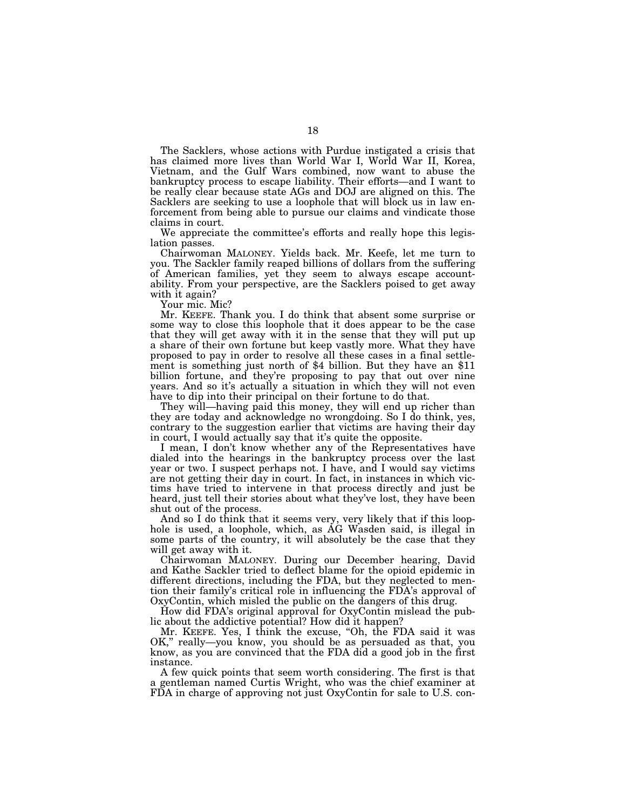The Sacklers, whose actions with Purdue instigated a crisis that has claimed more lives than World War I, World War II, Korea, Vietnam, and the Gulf Wars combined, now want to abuse the bankruptcy process to escape liability. Their efforts—and I want to be really clear because state AGs and DOJ are aligned on this. The Sacklers are seeking to use a loophole that will block us in law enforcement from being able to pursue our claims and vindicate those claims in court.

We appreciate the committee's efforts and really hope this legislation passes.

Chairwoman MALONEY. Yields back. Mr. Keefe, let me turn to you. The Sackler family reaped billions of dollars from the suffering of American families, yet they seem to always escape accountability. From your perspective, are the Sacklers poised to get away with it again?

Your mic. Mic?

Mr. KEEFE. Thank you. I do think that absent some surprise or some way to close this loophole that it does appear to be the case that they will get away with it in the sense that they will put up a share of their own fortune but keep vastly more. What they have proposed to pay in order to resolve all these cases in a final settlement is something just north of \$4 billion. But they have an \$11 billion fortune, and they're proposing to pay that out over nine years. And so it's actually a situation in which they will not even have to dip into their principal on their fortune to do that.

They will—having paid this money, they will end up richer than they are today and acknowledge no wrongdoing. So I do think, yes, contrary to the suggestion earlier that victims are having their day in court, I would actually say that it's quite the opposite.

I mean, I don't know whether any of the Representatives have dialed into the hearings in the bankruptcy process over the last year or two. I suspect perhaps not. I have, and I would say victims are not getting their day in court. In fact, in instances in which victims have tried to intervene in that process directly and just be heard, just tell their stories about what they've lost, they have been shut out of the process.

And so I do think that it seems very, very likely that if this loophole is used, a loophole, which, as AG Wasden said, is illegal in some parts of the country, it will absolutely be the case that they will get away with it.

Chairwoman MALONEY. During our December hearing, David and Kathe Sackler tried to deflect blame for the opioid epidemic in different directions, including the FDA, but they neglected to mention their family's critical role in influencing the FDA's approval of OxyContin, which misled the public on the dangers of this drug.

How did FDA's original approval for OxyContin mislead the public about the addictive potential? How did it happen?

Mr. KEEFE. Yes, I think the excuse, "Oh, the FDA said it was OK,'' really—you know, you should be as persuaded as that, you know, as you are convinced that the FDA did a good job in the first instance.

A few quick points that seem worth considering. The first is that a gentleman named Curtis Wright, who was the chief examiner at FDA in charge of approving not just OxyContin for sale to U.S. con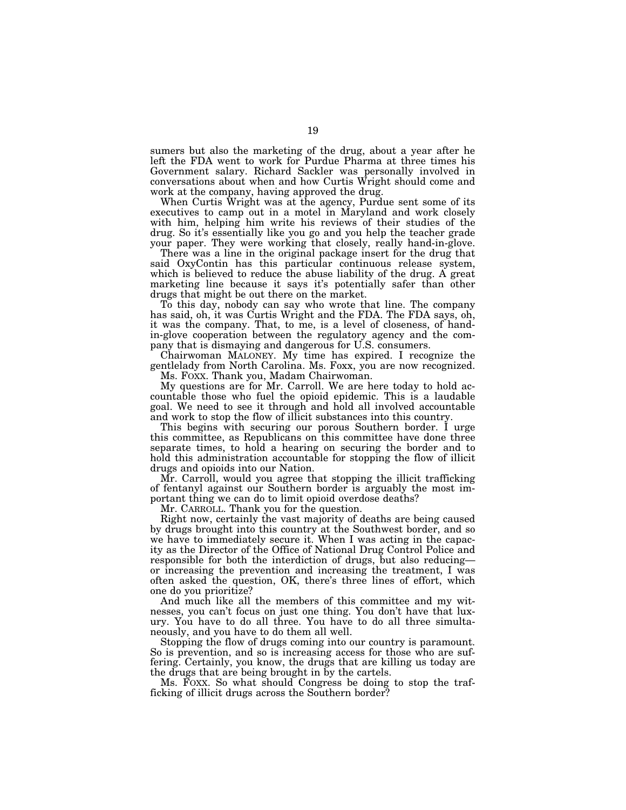sumers but also the marketing of the drug, about a year after he left the FDA went to work for Purdue Pharma at three times his Government salary. Richard Sackler was personally involved in conversations about when and how Curtis Wright should come and work at the company, having approved the drug.

When Curtis Wright was at the agency, Purdue sent some of its executives to camp out in a motel in Maryland and work closely with him, helping him write his reviews of their studies of the drug. So it's essentially like you go and you help the teacher grade your paper. They were working that closely, really hand-in-glove.

There was a line in the original package insert for the drug that said OxyContin has this particular continuous release system, which is believed to reduce the abuse liability of the drug. A great marketing line because it says it's potentially safer than other drugs that might be out there on the market.

To this day, nobody can say who wrote that line. The company has said, oh, it was Curtis Wright and the FDA. The FDA says, oh, it was the company. That, to me, is a level of closeness, of handin-glove cooperation between the regulatory agency and the company that is dismaying and dangerous for U.S. consumers.

Chairwoman MALONEY. My time has expired. I recognize the gentlelady from North Carolina. Ms. Foxx, you are now recognized. Ms. FOXX. Thank you, Madam Chairwoman.

My questions are for Mr. Carroll. We are here today to hold accountable those who fuel the opioid epidemic. This is a laudable goal. We need to see it through and hold all involved accountable and work to stop the flow of illicit substances into this country.

This begins with securing our porous Southern border. I urge this committee, as Republicans on this committee have done three separate times, to hold a hearing on securing the border and to hold this administration accountable for stopping the flow of illicit drugs and opioids into our Nation.

Mr. Carroll, would you agree that stopping the illicit trafficking of fentanyl against our Southern border is arguably the most important thing we can do to limit opioid overdose deaths?

Mr. CARROLL. Thank you for the question.

Right now, certainly the vast majority of deaths are being caused by drugs brought into this country at the Southwest border, and so we have to immediately secure it. When I was acting in the capacity as the Director of the Office of National Drug Control Police and responsible for both the interdiction of drugs, but also reducing or increasing the prevention and increasing the treatment, I was often asked the question, OK, there's three lines of effort, which one do you prioritize?

And much like all the members of this committee and my witnesses, you can't focus on just one thing. You don't have that luxury. You have to do all three. You have to do all three simultaneously, and you have to do them all well.

Stopping the flow of drugs coming into our country is paramount. So is prevention, and so is increasing access for those who are suffering. Certainly, you know, the drugs that are killing us today are the drugs that are being brought in by the cartels.

Ms. FOXX. So what should Congress be doing to stop the trafficking of illicit drugs across the Southern border?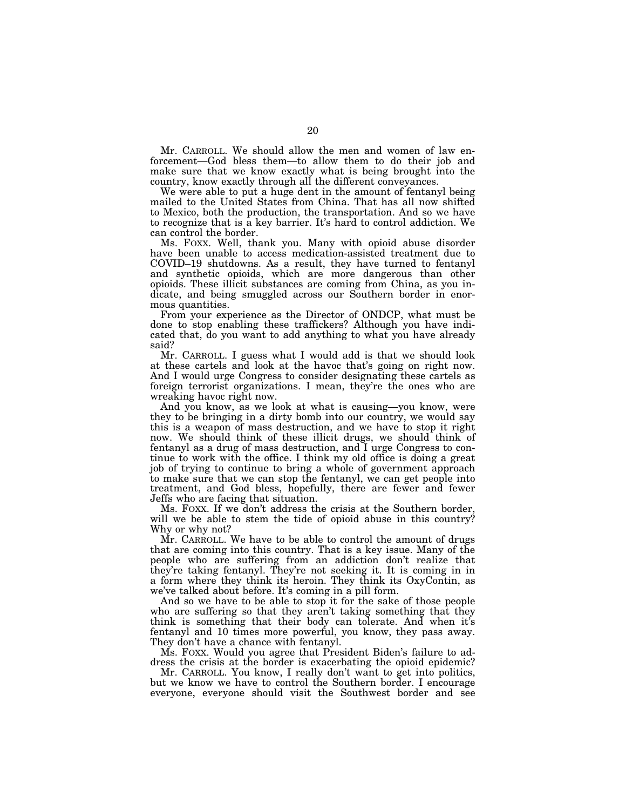Mr. CARROLL. We should allow the men and women of law enforcement—God bless them—to allow them to do their job and make sure that we know exactly what is being brought into the country, know exactly through all the different conveyances.

We were able to put a huge dent in the amount of fentanyl being mailed to the United States from China. That has all now shifted to Mexico, both the production, the transportation. And so we have to recognize that is a key barrier. It's hard to control addiction. We can control the border.

Ms. FOXX. Well, thank you. Many with opioid abuse disorder have been unable to access medication-assisted treatment due to COVID–19 shutdowns. As a result, they have turned to fentanyl and synthetic opioids, which are more dangerous than other opioids. These illicit substances are coming from China, as you indicate, and being smuggled across our Southern border in enormous quantities.

From your experience as the Director of ONDCP, what must be done to stop enabling these traffickers? Although you have indicated that, do you want to add anything to what you have already said?

Mr. CARROLL. I guess what I would add is that we should look at these cartels and look at the havoc that's going on right now. And I would urge Congress to consider designating these cartels as foreign terrorist organizations. I mean, they're the ones who are wreaking havoc right now.

And you know, as we look at what is causing—you know, were they to be bringing in a dirty bomb into our country, we would say this is a weapon of mass destruction, and we have to stop it right now. We should think of these illicit drugs, we should think of fentanyl as a drug of mass destruction, and I urge Congress to continue to work with the office. I think my old office is doing a great job of trying to continue to bring a whole of government approach to make sure that we can stop the fentanyl, we can get people into treatment, and God bless, hopefully, there are fewer and fewer Jeffs who are facing that situation.

Ms. FOXX. If we don't address the crisis at the Southern border, will we be able to stem the tide of opioid abuse in this country? Why or why not?

Mr. CARROLL. We have to be able to control the amount of drugs that are coming into this country. That is a key issue. Many of the people who are suffering from an addiction don't realize that they're taking fentanyl. They're not seeking it. It is coming in in a form where they think its heroin. They think its OxyContin, as we've talked about before. It's coming in a pill form.

And so we have to be able to stop it for the sake of those people who are suffering so that they aren't taking something that they think is something that their body can tolerate. And when it's fentanyl and 10 times more powerful, you know, they pass away. They don't have a chance with fentanyl.

Ms. FOXX. Would you agree that President Biden's failure to address the crisis at the border is exacerbating the opioid epidemic?

Mr. CARROLL. You know, I really don't want to get into politics, but we know we have to control the Southern border. I encourage everyone, everyone should visit the Southwest border and see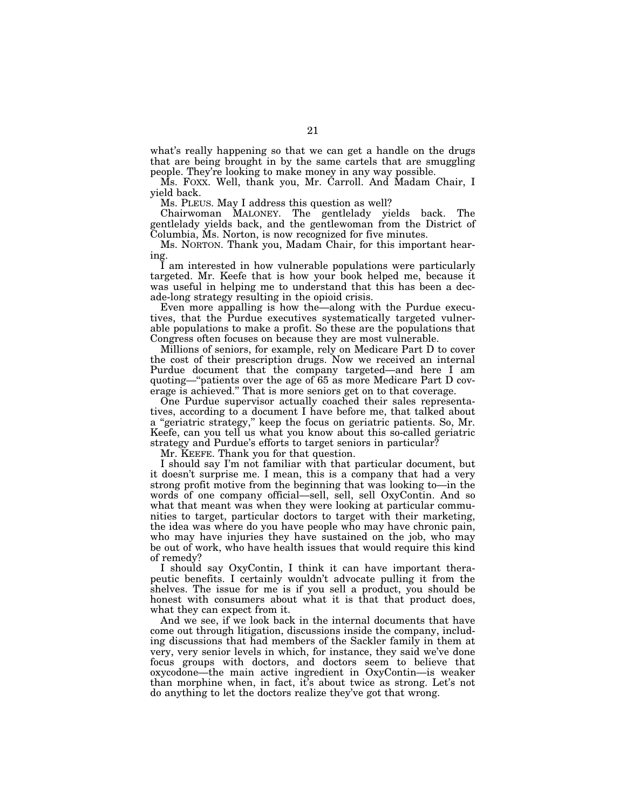what's really happening so that we can get a handle on the drugs that are being brought in by the same cartels that are smuggling people. They're looking to make money in any way possible.

Ms. FOXX. Well, thank you, Mr. Carroll. And Madam Chair, I yield back.

Ms. PLEUS. May I address this question as well?

Chairwoman MALONEY. The gentlelady yields back. The gentlelady yields back, and the gentlewoman from the District of Columbia, Ms. Norton, is now recognized for five minutes.

Ms. NORTON. Thank you, Madam Chair, for this important hearing.

I am interested in how vulnerable populations were particularly targeted. Mr. Keefe that is how your book helped me, because it was useful in helping me to understand that this has been a decade-long strategy resulting in the opioid crisis.

Even more appalling is how the—along with the Purdue executives, that the Purdue executives systematically targeted vulnerable populations to make a profit. So these are the populations that Congress often focuses on because they are most vulnerable.

Millions of seniors, for example, rely on Medicare Part D to cover the cost of their prescription drugs. Now we received an internal Purdue document that the company targeted—and here I am quoting—''patients over the age of 65 as more Medicare Part D coverage is achieved.'' That is more seniors get on to that coverage.

One Purdue supervisor actually coached their sales representatives, according to a document I have before me, that talked about a ''geriatric strategy,'' keep the focus on geriatric patients. So, Mr. Keefe, can you tell us what you know about this so-called geriatric strategy and Purdue's efforts to target seniors in particular?

Mr. KEEFE. Thank you for that question.

I should say I'm not familiar with that particular document, but it doesn't surprise me. I mean, this is a company that had a very strong profit motive from the beginning that was looking to—in the words of one company official—sell, sell, sell OxyContin. And so what that meant was when they were looking at particular communities to target, particular doctors to target with their marketing, the idea was where do you have people who may have chronic pain, who may have injuries they have sustained on the job, who may be out of work, who have health issues that would require this kind of remedy?

I should say OxyContin, I think it can have important therapeutic benefits. I certainly wouldn't advocate pulling it from the shelves. The issue for me is if you sell a product, you should be honest with consumers about what it is that that product does, what they can expect from it.

And we see, if we look back in the internal documents that have come out through litigation, discussions inside the company, including discussions that had members of the Sackler family in them at very, very senior levels in which, for instance, they said we've done focus groups with doctors, and doctors seem to believe that oxycodone—the main active ingredient in OxyContin—is weaker than morphine when, in fact, it's about twice as strong. Let's not do anything to let the doctors realize they've got that wrong.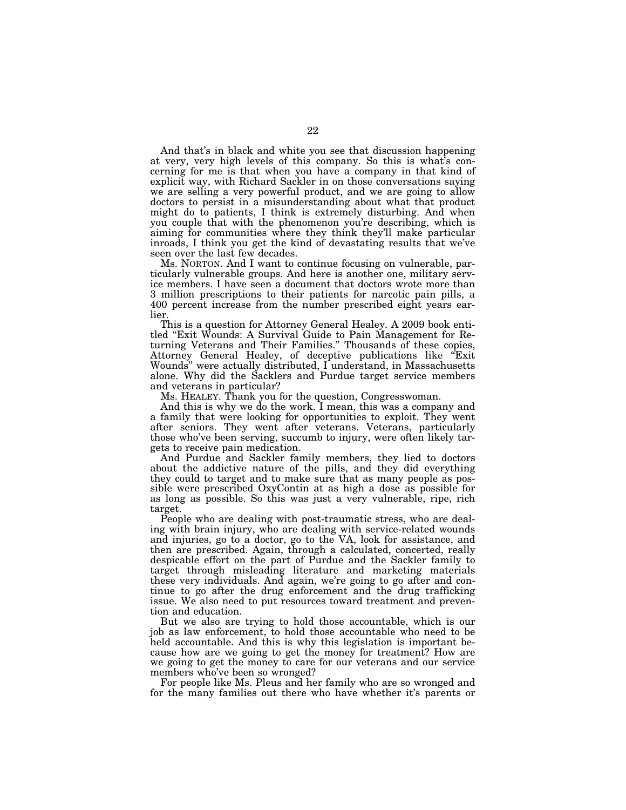And that's in black and white you see that discussion happening at very, very high levels of this company. So this is what's concerning for me is that when you have a company in that kind of explicit way, with Richard Sackler in on those conversations saying we are selling a very powerful product, and we are going to allow doctors to persist in a misunderstanding about what that product might do to patients, I think is extremely disturbing. And when you couple that with the phenomenon you're describing, which is aiming for communities where they think they'll make particular inroads, I think you get the kind of devastating results that we've seen over the last few decades.

Ms. NORTON. And I want to continue focusing on vulnerable, particularly vulnerable groups. And here is another one, military service members. I have seen a document that doctors wrote more than 3 million prescriptions to their patients for narcotic pain pills, a 400 percent increase from the number prescribed eight years earlier.

This is a question for Attorney General Healey. A 2009 book entitled ''Exit Wounds: A Survival Guide to Pain Management for Returning Veterans and Their Families.'' Thousands of these copies, Attorney General Healey, of deceptive publications like ''Exit Wounds'' were actually distributed, I understand, in Massachusetts alone. Why did the Sacklers and Purdue target service members and veterans in particular?

Ms. HEALEY. Thank you for the question, Congresswoman.

And this is why we do the work. I mean, this was a company and a family that were looking for opportunities to exploit. They went after seniors. They went after veterans. Veterans, particularly those who've been serving, succumb to injury, were often likely targets to receive pain medication.

And Purdue and Sackler family members, they lied to doctors about the addictive nature of the pills, and they did everything they could to target and to make sure that as many people as possible were prescribed OxyContin at as high a dose as possible for as long as possible. So this was just a very vulnerable, ripe, rich target.

People who are dealing with post-traumatic stress, who are dealing with brain injury, who are dealing with service-related wounds and injuries, go to a doctor, go to the VA, look for assistance, and then are prescribed. Again, through a calculated, concerted, really despicable effort on the part of Purdue and the Sackler family to target through misleading literature and marketing materials these very individuals. And again, we're going to go after and continue to go after the drug enforcement and the drug trafficking issue. We also need to put resources toward treatment and prevention and education.

But we also are trying to hold those accountable, which is our job as law enforcement, to hold those accountable who need to be held accountable. And this is why this legislation is important because how are we going to get the money for treatment? How are we going to get the money to care for our veterans and our service members who've been so wronged?

For people like Ms. Pleus and her family who are so wronged and for the many families out there who have whether it's parents or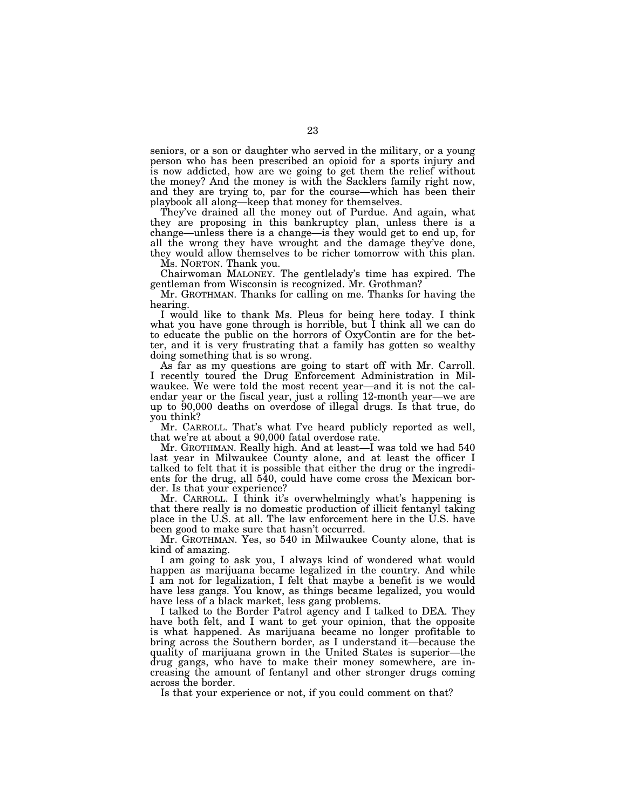seniors, or a son or daughter who served in the military, or a young person who has been prescribed an opioid for a sports injury and is now addicted, how are we going to get them the relief without the money? And the money is with the Sacklers family right now, and they are trying to, par for the course—which has been their playbook all along—keep that money for themselves.

They've drained all the money out of Purdue. And again, what they are proposing in this bankruptcy plan, unless there is a change—unless there is a change—is they would get to end up, for all the wrong they have wrought and the damage they've done, they would allow themselves to be richer tomorrow with this plan. Ms. NORTON. Thank you.

Chairwoman MALONEY. The gentlelady's time has expired. The gentleman from Wisconsin is recognized. Mr. Grothman?

Mr. GROTHMAN. Thanks for calling on me. Thanks for having the hearing.

I would like to thank Ms. Pleus for being here today. I think what you have gone through is horrible, but I think all we can do to educate the public on the horrors of OxyContin are for the better, and it is very frustrating that a family has gotten so wealthy doing something that is so wrong.

As far as my questions are going to start off with Mr. Carroll. I recently toured the Drug Enforcement Administration in Milwaukee. We were told the most recent year—and it is not the calendar year or the fiscal year, just a rolling 12-month year—we are up to 90,000 deaths on overdose of illegal drugs. Is that true, do you think?

Mr. CARROLL. That's what I've heard publicly reported as well, that we're at about a 90,000 fatal overdose rate.

Mr. GROTHMAN. Really high. And at least—I was told we had 540 last year in Milwaukee County alone, and at least the officer I talked to felt that it is possible that either the drug or the ingredients for the drug, all 540, could have come cross the Mexican border. Is that your experience?

Mr. CARROLL. I think it's overwhelmingly what's happening is that there really is no domestic production of illicit fentanyl taking place in the U.S. at all. The law enforcement here in the U.S. have been good to make sure that hasn't occurred.

Mr. GROTHMAN. Yes, so 540 in Milwaukee County alone, that is kind of amazing.

I am going to ask you, I always kind of wondered what would happen as marijuana became legalized in the country. And while I am not for legalization, I felt that maybe a benefit is we would have less gangs. You know, as things became legalized, you would have less of a black market, less gang problems.

I talked to the Border Patrol agency and I talked to DEA. They have both felt, and I want to get your opinion, that the opposite is what happened. As marijuana became no longer profitable to bring across the Southern border, as I understand it—because the quality of marijuana grown in the United States is superior—the drug gangs, who have to make their money somewhere, are increasing the amount of fentanyl and other stronger drugs coming across the border.

Is that your experience or not, if you could comment on that?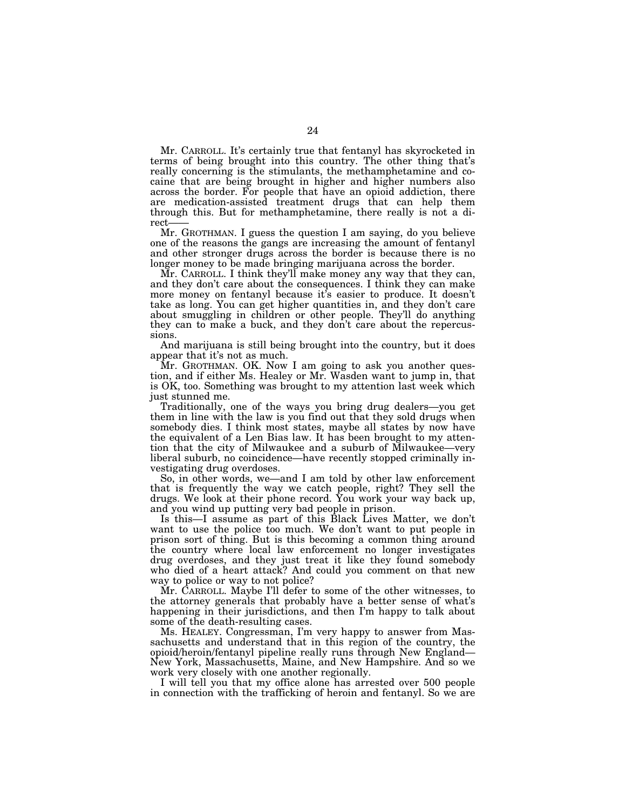Mr. CARROLL. It's certainly true that fentanyl has skyrocketed in terms of being brought into this country. The other thing that's really concerning is the stimulants, the methamphetamine and cocaine that are being brought in higher and higher numbers also across the border. For people that have an opioid addiction, there are medication-assisted treatment drugs that can help them through this. But for methamphetamine, there really is not a direct-

Mr. GROTHMAN. I guess the question I am saying, do you believe one of the reasons the gangs are increasing the amount of fentanyl and other stronger drugs across the border is because there is no longer money to be made bringing marijuana across the border.

Mr. CARROLL. I think they'll make money any way that they can, and they don't care about the consequences. I think they can make more money on fentanyl because it's easier to produce. It doesn't take as long. You can get higher quantities in, and they don't care about smuggling in children or other people. They'll do anything they can to make a buck, and they don't care about the repercussions.

And marijuana is still being brought into the country, but it does appear that it's not as much.

Mr. GROTHMAN. OK. Now I am going to ask you another question, and if either Ms. Healey or Mr. Wasden want to jump in, that is OK, too. Something was brought to my attention last week which just stunned me.

Traditionally, one of the ways you bring drug dealers—you get them in line with the law is you find out that they sold drugs when somebody dies. I think most states, maybe all states by now have the equivalent of a Len Bias law. It has been brought to my attention that the city of Milwaukee and a suburb of Milwaukee—very liberal suburb, no coincidence—have recently stopped criminally investigating drug overdoses.

So, in other words, we—and I am told by other law enforcement that is frequently the way we catch people, right? They sell the drugs. We look at their phone record. You work your way back up, and you wind up putting very bad people in prison.

Is this—I assume as part of this Black Lives Matter, we don't want to use the police too much. We don't want to put people in prison sort of thing. But is this becoming a common thing around the country where local law enforcement no longer investigates drug overdoses, and they just treat it like they found somebody who died of a heart attack? And could you comment on that new way to police or way to not police?

Mr. CARROLL. Maybe I'll defer to some of the other witnesses, to the attorney generals that probably have a better sense of what's happening in their jurisdictions, and then I'm happy to talk about some of the death-resulting cases.

Ms. HEALEY. Congressman, I'm very happy to answer from Massachusetts and understand that in this region of the country, the opioid/heroin/fentanyl pipeline really runs through New England— New York, Massachusetts, Maine, and New Hampshire. And so we work very closely with one another regionally.

I will tell you that my office alone has arrested over 500 people in connection with the trafficking of heroin and fentanyl. So we are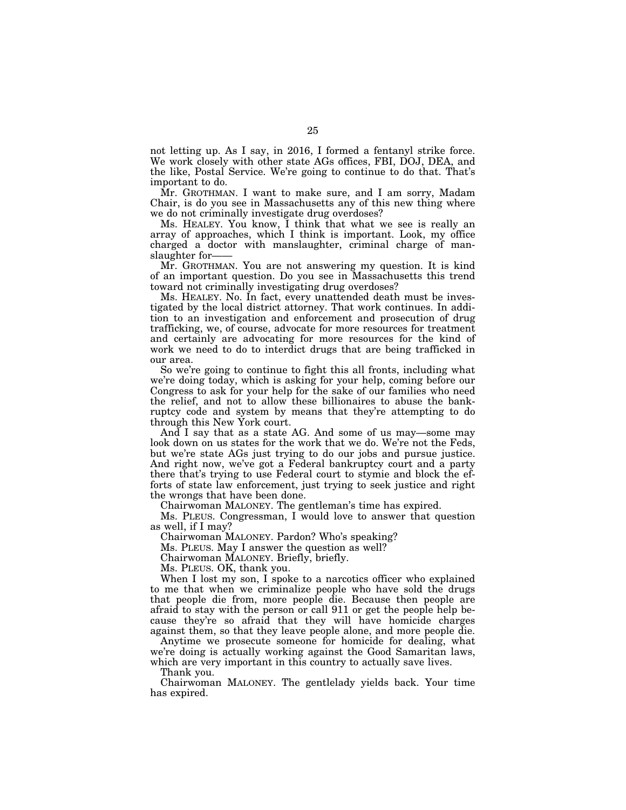not letting up. As I say, in 2016, I formed a fentanyl strike force. We work closely with other state AGs offices, FBI, DOJ, DEA, and the like, Postal Service. We're going to continue to do that. That's important to do.

Mr. GROTHMAN. I want to make sure, and I am sorry, Madam Chair, is do you see in Massachusetts any of this new thing where we do not criminally investigate drug overdoses?

Ms. HEALEY. You know, I think that what we see is really an array of approaches, which I think is important. Look, my office charged a doctor with manslaughter, criminal charge of manslaughter for-

Mr. GROTHMAN. You are not answering my question. It is kind of an important question. Do you see in Massachusetts this trend toward not criminally investigating drug overdoses?

Ms. HEALEY. No. In fact, every unattended death must be investigated by the local district attorney. That work continues. In addition to an investigation and enforcement and prosecution of drug trafficking, we, of course, advocate for more resources for treatment and certainly are advocating for more resources for the kind of work we need to do to interdict drugs that are being trafficked in our area.

So we're going to continue to fight this all fronts, including what we're doing today, which is asking for your help, coming before our Congress to ask for your help for the sake of our families who need the relief, and not to allow these billionaires to abuse the bankruptcy code and system by means that they're attempting to do through this New York court.

And I say that as a state AG. And some of us may—some may look down on us states for the work that we do. We're not the Feds, but we're state AGs just trying to do our jobs and pursue justice. And right now, we've got a Federal bankruptcy court and a party there that's trying to use Federal court to stymie and block the efforts of state law enforcement, just trying to seek justice and right the wrongs that have been done.

Chairwoman MALONEY. The gentleman's time has expired.

Ms. PLEUS. Congressman, I would love to answer that question as well, if I may?

Chairwoman MALONEY. Pardon? Who's speaking?

Ms. PLEUS. May I answer the question as well?

Chairwoman MALONEY. Briefly, briefly.

Ms. PLEUS. OK, thank you.

When I lost my son, I spoke to a narcotics officer who explained to me that when we criminalize people who have sold the drugs that people die from, more people die. Because then people are afraid to stay with the person or call 911 or get the people help because they're so afraid that they will have homicide charges against them, so that they leave people alone, and more people die.

Anytime we prosecute someone for homicide for dealing, what we're doing is actually working against the Good Samaritan laws, which are very important in this country to actually save lives.

Thank you.

Chairwoman MALONEY. The gentlelady yields back. Your time has expired.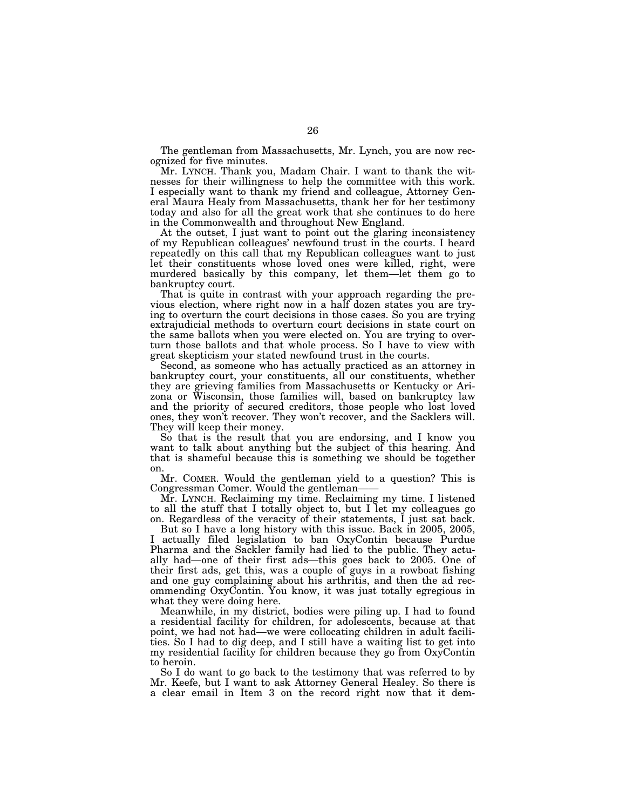The gentleman from Massachusetts, Mr. Lynch, you are now recognized for five minutes.

Mr. LYNCH. Thank you, Madam Chair. I want to thank the witnesses for their willingness to help the committee with this work. I especially want to thank my friend and colleague, Attorney General Maura Healy from Massachusetts, thank her for her testimony today and also for all the great work that she continues to do here in the Commonwealth and throughout New England.

At the outset, I just want to point out the glaring inconsistency of my Republican colleagues' newfound trust in the courts. I heard repeatedly on this call that my Republican colleagues want to just let their constituents whose loved ones were killed, right, were murdered basically by this company, let them—let them go to bankruptcy court.

That is quite in contrast with your approach regarding the previous election, where right now in a half dozen states you are trying to overturn the court decisions in those cases. So you are trying extrajudicial methods to overturn court decisions in state court on the same ballots when you were elected on. You are trying to overturn those ballots and that whole process. So I have to view with great skepticism your stated newfound trust in the courts.

Second, as someone who has actually practiced as an attorney in bankruptcy court, your constituents, all our constituents, whether they are grieving families from Massachusetts or Kentucky or Arizona or Wisconsin, those families will, based on bankruptcy law and the priority of secured creditors, those people who lost loved ones, they won't recover. They won't recover, and the Sacklers will. They will keep their money.

So that is the result that you are endorsing, and I know you want to talk about anything but the subject of this hearing. And that is shameful because this is something we should be together on.

Mr. COMER. Would the gentleman yield to a question? This is Congressman Comer. Would the gentleman——

Mr. LYNCH. Reclaiming my time. Reclaiming my time. I listened to all the stuff that I totally object to, but I let my colleagues go on. Regardless of the veracity of their statements, I just sat back.

But so I have a long history with this issue. Back in 2005, 2005, actually filed legislation to ban OxyContin because Purdue Pharma and the Sackler family had lied to the public. They actually had—one of their first ads—this goes back to 2005. One of their first ads, get this, was a couple of guys in a rowboat fishing and one guy complaining about his arthritis, and then the ad recommending OxyContin. You know, it was just totally egregious in what they were doing here.

Meanwhile, in my district, bodies were piling up. I had to found a residential facility for children, for adolescents, because at that point, we had not had—we were collocating children in adult facilities. So I had to dig deep, and I still have a waiting list to get into my residential facility for children because they go from OxyContin to heroin.

So I do want to go back to the testimony that was referred to by Mr. Keefe, but I want to ask Attorney General Healey. So there is a clear email in Item 3 on the record right now that it dem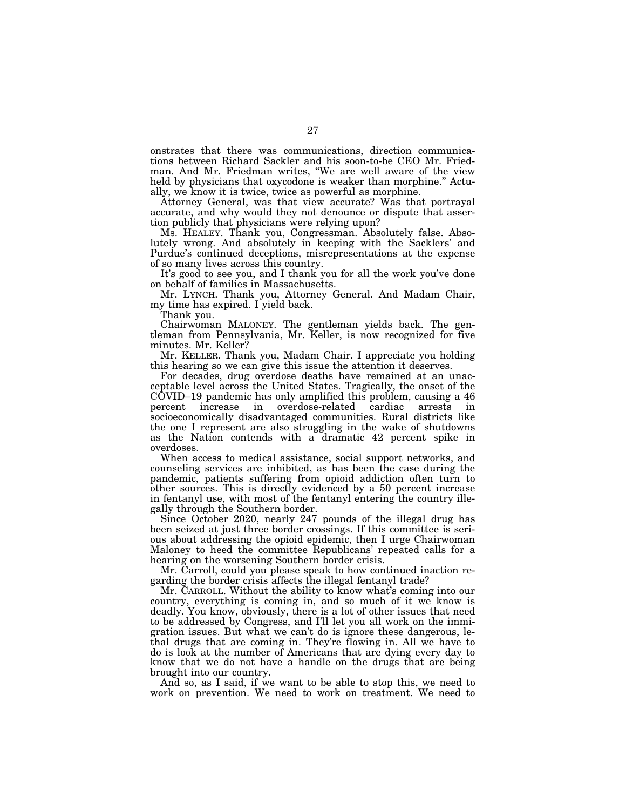onstrates that there was communications, direction communications between Richard Sackler and his soon-to-be CEO Mr. Friedman. And Mr. Friedman writes, ''We are well aware of the view held by physicians that oxycodone is weaker than morphine.'' Actually, we know it is twice, twice as powerful as morphine.

Attorney General, was that view accurate? Was that portrayal accurate, and why would they not denounce or dispute that assertion publicly that physicians were relying upon?

Ms. HEALEY. Thank you, Congressman. Absolutely false. Absolutely wrong. And absolutely in keeping with the Sacklers' and Purdue's continued deceptions, misrepresentations at the expense of so many lives across this country.

It's good to see you, and I thank you for all the work you've done on behalf of families in Massachusetts.

Mr. LYNCH. Thank you, Attorney General. And Madam Chair, my time has expired. I yield back.

Thank you.

Chairwoman MALONEY. The gentleman yields back. The gentleman from Pennsylvania, Mr. Keller, is now recognized for five minutes. Mr. Keller?

Mr. KELLER. Thank you, Madam Chair. I appreciate you holding this hearing so we can give this issue the attention it deserves.

For decades, drug overdose deaths have remained at an unacceptable level across the United States. Tragically, the onset of the COVID–19 pandemic has only amplified this problem, causing a 46 percent increase in overdose-related cardiac arrests in socioeconomically disadvantaged communities. Rural districts like the one I represent are also struggling in the wake of shutdowns as the Nation contends with a dramatic 42 percent spike in overdoses.

When access to medical assistance, social support networks, and counseling services are inhibited, as has been the case during the pandemic, patients suffering from opioid addiction often turn to other sources. This is directly evidenced by a 50 percent increase in fentanyl use, with most of the fentanyl entering the country illegally through the Southern border.

Since October 2020, nearly 247 pounds of the illegal drug has been seized at just three border crossings. If this committee is serious about addressing the opioid epidemic, then I urge Chairwoman Maloney to heed the committee Republicans' repeated calls for a hearing on the worsening Southern border crisis.

Mr. Carroll, could you please speak to how continued inaction regarding the border crisis affects the illegal fentanyl trade?

Mr. CARROLL. Without the ability to know what's coming into our country, everything is coming in, and so much of it we know is deadly. You know, obviously, there is a lot of other issues that need to be addressed by Congress, and I'll let you all work on the immigration issues. But what we can't do is ignore these dangerous, lethal drugs that are coming in. They're flowing in. All we have to do is look at the number of Americans that are dying every day to know that we do not have a handle on the drugs that are being brought into our country.

And so, as I said, if we want to be able to stop this, we need to work on prevention. We need to work on treatment. We need to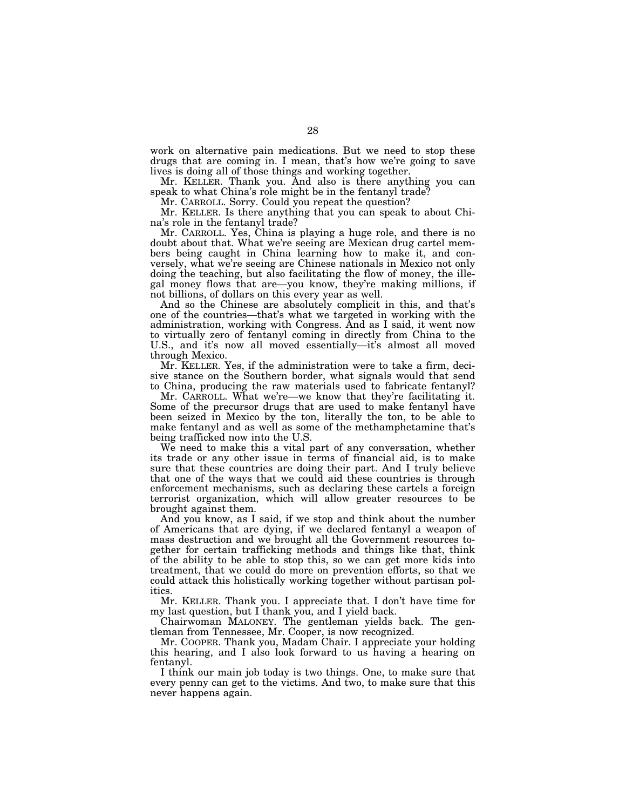work on alternative pain medications. But we need to stop these drugs that are coming in. I mean, that's how we're going to save lives is doing all of those things and working together.

Mr. KELLER. Thank you. And also is there anything you can speak to what China's role might be in the fentanyl trade?

Mr. CARROLL. Sorry. Could you repeat the question?

Mr. KELLER. Is there anything that you can speak to about China's role in the fentanyl trade?

Mr. CARROLL. Yes, China is playing a huge role, and there is no doubt about that. What we're seeing are Mexican drug cartel members being caught in China learning how to make it, and conversely, what we're seeing are Chinese nationals in Mexico not only doing the teaching, but also facilitating the flow of money, the illegal money flows that are—you know, they're making millions, if not billions, of dollars on this every year as well.

And so the Chinese are absolutely complicit in this, and that's one of the countries—that's what we targeted in working with the administration, working with Congress. And as I said, it went now to virtually zero of fentanyl coming in directly from China to the U.S., and it's now all moved essentially—it's almost all moved through Mexico.

Mr. KELLER. Yes, if the administration were to take a firm, decisive stance on the Southern border, what signals would that send to China, producing the raw materials used to fabricate fentanyl?

Mr. CARROLL. What we're—we know that they're facilitating it. Some of the precursor drugs that are used to make fentanyl have been seized in Mexico by the ton, literally the ton, to be able to make fentanyl and as well as some of the methamphetamine that's being trafficked now into the U.S.

We need to make this a vital part of any conversation, whether its trade or any other issue in terms of financial aid, is to make sure that these countries are doing their part. And I truly believe that one of the ways that we could aid these countries is through enforcement mechanisms, such as declaring these cartels a foreign terrorist organization, which will allow greater resources to be brought against them.

And you know, as I said, if we stop and think about the number of Americans that are dying, if we declared fentanyl a weapon of mass destruction and we brought all the Government resources together for certain trafficking methods and things like that, think of the ability to be able to stop this, so we can get more kids into treatment, that we could do more on prevention efforts, so that we could attack this holistically working together without partisan politics.

Mr. KELLER. Thank you. I appreciate that. I don't have time for my last question, but I thank you, and I yield back.

Chairwoman MALONEY. The gentleman yields back. The gentleman from Tennessee, Mr. Cooper, is now recognized.

Mr. COOPER. Thank you, Madam Chair. I appreciate your holding this hearing, and I also look forward to us having a hearing on fentanyl.

I think our main job today is two things. One, to make sure that every penny can get to the victims. And two, to make sure that this never happens again.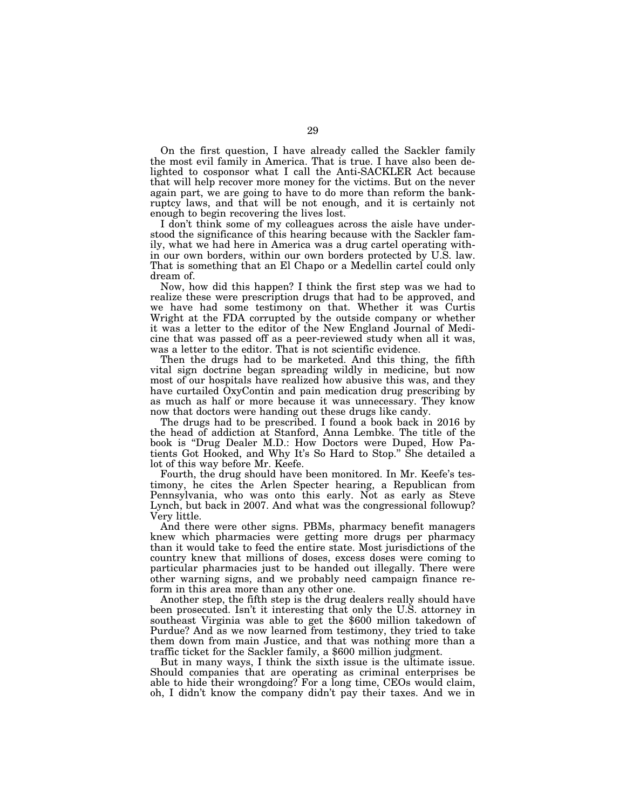On the first question, I have already called the Sackler family the most evil family in America. That is true. I have also been delighted to cosponsor what I call the Anti-SACKLER Act because that will help recover more money for the victims. But on the never again part, we are going to have to do more than reform the bankruptcy laws, and that will be not enough, and it is certainly not enough to begin recovering the lives lost.

I don't think some of my colleagues across the aisle have understood the significance of this hearing because with the Sackler family, what we had here in America was a drug cartel operating within our own borders, within our own borders protected by U.S. law. That is something that an El Chapo or a Medellin cartel could only dream of.

Now, how did this happen? I think the first step was we had to realize these were prescription drugs that had to be approved, and we have had some testimony on that. Whether it was Curtis Wright at the FDA corrupted by the outside company or whether it was a letter to the editor of the New England Journal of Medicine that was passed off as a peer-reviewed study when all it was, was a letter to the editor. That is not scientific evidence.

Then the drugs had to be marketed. And this thing, the fifth vital sign doctrine began spreading wildly in medicine, but now most of our hospitals have realized how abusive this was, and they have curtailed OxyContin and pain medication drug prescribing by as much as half or more because it was unnecessary. They know now that doctors were handing out these drugs like candy.

The drugs had to be prescribed. I found a book back in 2016 by the head of addiction at Stanford, Anna Lembke. The title of the book is ''Drug Dealer M.D.: How Doctors were Duped, How Patients Got Hooked, and Why It's So Hard to Stop.'' She detailed a lot of this way before Mr. Keefe.

Fourth, the drug should have been monitored. In Mr. Keefe's testimony, he cites the Arlen Specter hearing, a Republican from Pennsylvania, who was onto this early. Not as early as Steve Lynch, but back in 2007. And what was the congressional followup? Very little.

And there were other signs. PBMs, pharmacy benefit managers knew which pharmacies were getting more drugs per pharmacy than it would take to feed the entire state. Most jurisdictions of the country knew that millions of doses, excess doses were coming to particular pharmacies just to be handed out illegally. There were other warning signs, and we probably need campaign finance reform in this area more than any other one.

Another step, the fifth step is the drug dealers really should have been prosecuted. Isn't it interesting that only the U.S. attorney in southeast Virginia was able to get the \$600 million takedown of Purdue? And as we now learned from testimony, they tried to take them down from main Justice, and that was nothing more than a traffic ticket for the Sackler family, a \$600 million judgment.

But in many ways, I think the sixth issue is the ultimate issue. Should companies that are operating as criminal enterprises be able to hide their wrongdoing? For a long time, CEOs would claim, oh, I didn't know the company didn't pay their taxes. And we in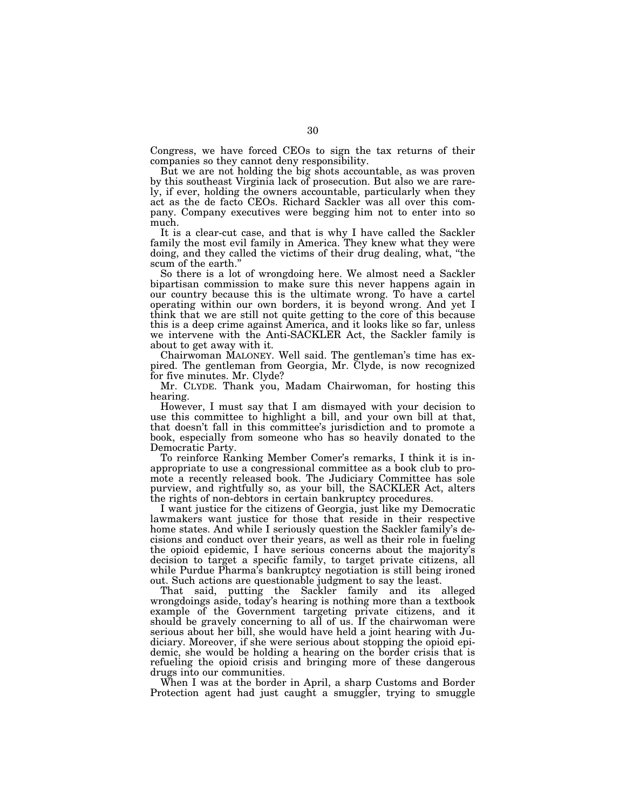Congress, we have forced CEOs to sign the tax returns of their companies so they cannot deny responsibility.

But we are not holding the big shots accountable, as was proven by this southeast Virginia lack of prosecution. But also we are rarely, if ever, holding the owners accountable, particularly when they act as the de facto CEOs. Richard Sackler was all over this company. Company executives were begging him not to enter into so much.

It is a clear-cut case, and that is why I have called the Sackler family the most evil family in America. They knew what they were doing, and they called the victims of their drug dealing, what, ''the scum of the earth.''

So there is a lot of wrongdoing here. We almost need a Sackler bipartisan commission to make sure this never happens again in our country because this is the ultimate wrong. To have a cartel operating within our own borders, it is beyond wrong. And yet I think that we are still not quite getting to the core of this because this is a deep crime against America, and it looks like so far, unless we intervene with the Anti-SACKLER Act, the Sackler family is about to get away with it.

Chairwoman MALONEY. Well said. The gentleman's time has expired. The gentleman from Georgia, Mr. Clyde, is now recognized for five minutes. Mr. Clyde?

Mr. CLYDE. Thank you, Madam Chairwoman, for hosting this hearing.

However, I must say that I am dismayed with your decision to use this committee to highlight a bill, and your own bill at that, that doesn't fall in this committee's jurisdiction and to promote a book, especially from someone who has so heavily donated to the Democratic Party.

To reinforce Ranking Member Comer's remarks, I think it is inappropriate to use a congressional committee as a book club to promote a recently released book. The Judiciary Committee has sole purview, and rightfully so, as your bill, the SACKLER Act, alters the rights of non-debtors in certain bankruptcy procedures.

I want justice for the citizens of Georgia, just like my Democratic lawmakers want justice for those that reside in their respective home states. And while I seriously question the Sackler family's decisions and conduct over their years, as well as their role in fueling the opioid epidemic, I have serious concerns about the majority's decision to target a specific family, to target private citizens, all while Purdue Pharma's bankruptcy negotiation is still being ironed out. Such actions are questionable judgment to say the least.

That said, putting the Sackler family and its alleged wrongdoings aside, today's hearing is nothing more than a textbook example of the Government targeting private citizens, and it should be gravely concerning to all of us. If the chairwoman were serious about her bill, she would have held a joint hearing with Judiciary. Moreover, if she were serious about stopping the opioid epidemic, she would be holding a hearing on the border crisis that is refueling the opioid crisis and bringing more of these dangerous drugs into our communities.

When I was at the border in April, a sharp Customs and Border Protection agent had just caught a smuggler, trying to smuggle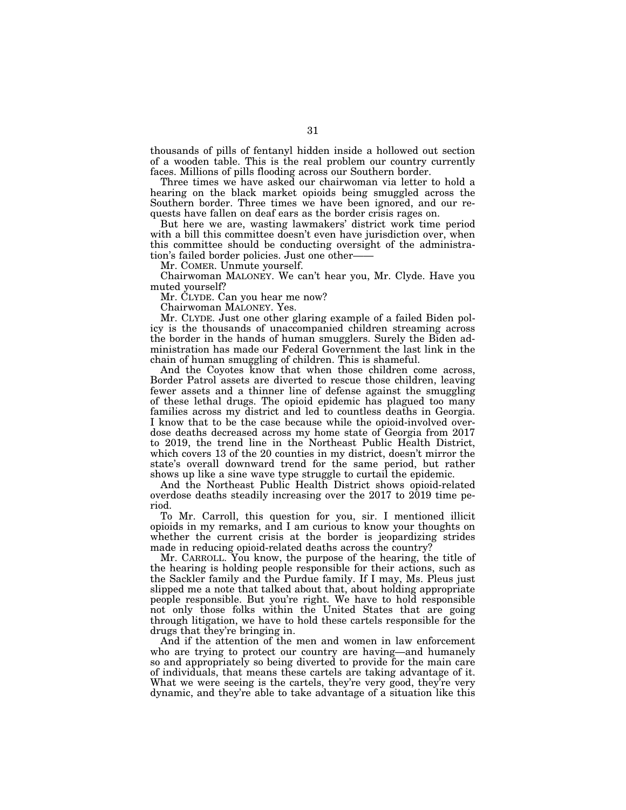thousands of pills of fentanyl hidden inside a hollowed out section of a wooden table. This is the real problem our country currently faces. Millions of pills flooding across our Southern border.

Three times we have asked our chairwoman via letter to hold a hearing on the black market opioids being smuggled across the Southern border. Three times we have been ignored, and our requests have fallen on deaf ears as the border crisis rages on.

But here we are, wasting lawmakers' district work time period with a bill this committee doesn't even have jurisdiction over, when this committee should be conducting oversight of the administration's failed border policies. Just one other——

Mr. COMER. Unmute yourself.

Chairwoman MALONEY. We can't hear you, Mr. Clyde. Have you muted yourself?

Mr. CLYDE. Can you hear me now?

Chairwoman MALONEY. Yes.

Mr. CLYDE. Just one other glaring example of a failed Biden policy is the thousands of unaccompanied children streaming across the border in the hands of human smugglers. Surely the Biden administration has made our Federal Government the last link in the chain of human smuggling of children. This is shameful.

And the Coyotes know that when those children come across, Border Patrol assets are diverted to rescue those children, leaving fewer assets and a thinner line of defense against the smuggling of these lethal drugs. The opioid epidemic has plagued too many families across my district and led to countless deaths in Georgia. I know that to be the case because while the opioid-involved overdose deaths decreased across my home state of Georgia from 2017 to 2019, the trend line in the Northeast Public Health District, which covers 13 of the 20 counties in my district, doesn't mirror the state's overall downward trend for the same period, but rather shows up like a sine wave type struggle to curtail the epidemic.

And the Northeast Public Health District shows opioid-related overdose deaths steadily increasing over the 2017 to 2019 time period.

To Mr. Carroll, this question for you, sir. I mentioned illicit opioids in my remarks, and I am curious to know your thoughts on whether the current crisis at the border is jeopardizing strides made in reducing opioid-related deaths across the country?

Mr. CARROLL. You know, the purpose of the hearing, the title of the hearing is holding people responsible for their actions, such as the Sackler family and the Purdue family. If I may, Ms. Pleus just slipped me a note that talked about that, about holding appropriate people responsible. But you're right. We have to hold responsible not only those folks within the United States that are going through litigation, we have to hold these cartels responsible for the drugs that they're bringing in.

And if the attention of the men and women in law enforcement who are trying to protect our country are having—and humanely so and appropriately so being diverted to provide for the main care of individuals, that means these cartels are taking advantage of it. What we were seeing is the cartels, they're very good, they're very dynamic, and they're able to take advantage of a situation like this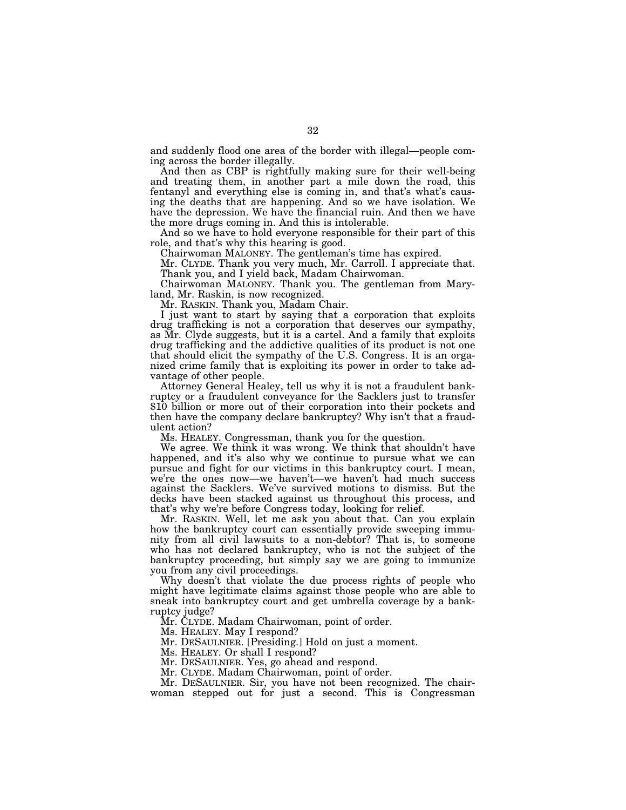and suddenly flood one area of the border with illegal—people coming across the border illegally.

And then as CBP is rightfully making sure for their well-being and treating them, in another part a mile down the road, this fentanyl and everything else is coming in, and that's what's causing the deaths that are happening. And so we have isolation. We have the depression. We have the financial ruin. And then we have the more drugs coming in. And this is intolerable.

And so we have to hold everyone responsible for their part of this role, and that's why this hearing is good.

Chairwoman MALONEY. The gentleman's time has expired.

Mr. CLYDE. Thank you very much, Mr. Carroll. I appreciate that. Thank you, and I yield back, Madam Chairwoman.

Chairwoman MALONEY. Thank you. The gentleman from Maryland, Mr. Raskin, is now recognized.

Mr. RASKIN. Thank you, Madam Chair.

I just want to start by saying that a corporation that exploits drug trafficking is not a corporation that deserves our sympathy, as Mr. Clyde suggests, but it is a cartel. And a family that exploits drug trafficking and the addictive qualities of its product is not one that should elicit the sympathy of the U.S. Congress. It is an organized crime family that is exploiting its power in order to take advantage of other people.

Attorney General Healey, tell us why it is not a fraudulent bankruptcy or a fraudulent conveyance for the Sacklers just to transfer \$10 billion or more out of their corporation into their pockets and then have the company declare bankruptcy? Why isn't that a fraudulent action?

Ms. HEALEY. Congressman, thank you for the question.

We agree. We think it was wrong. We think that shouldn't have happened, and it's also why we continue to pursue what we can pursue and fight for our victims in this bankruptcy court. I mean, we're the ones now—we haven't—we haven't had much success against the Sacklers. We've survived motions to dismiss. But the decks have been stacked against us throughout this process, and that's why we're before Congress today, looking for relief.

Mr. RASKIN. Well, let me ask you about that. Can you explain how the bankruptcy court can essentially provide sweeping immunity from all civil lawsuits to a non-debtor? That is, to someone who has not declared bankruptcy, who is not the subject of the bankruptcy proceeding, but simply say we are going to immunize you from any civil proceedings.

Why doesn't that violate the due process rights of people who might have legitimate claims against those people who are able to sneak into bankruptcy court and get umbrella coverage by a bankruptcy judge?

Mr. CLYDE. Madam Chairwoman, point of order.

Ms. HEALEY. May I respond?

Mr. DESAULNIER. [Presiding.] Hold on just a moment.

Ms. HEALEY. Or shall I respond?

Mr. DESAULNIER. Yes, go ahead and respond.

Mr. CLYDE. Madam Chairwoman, point of order.

Mr. DESAULNIER. Sir, you have not been recognized. The chairwoman stepped out for just a second. This is Congressman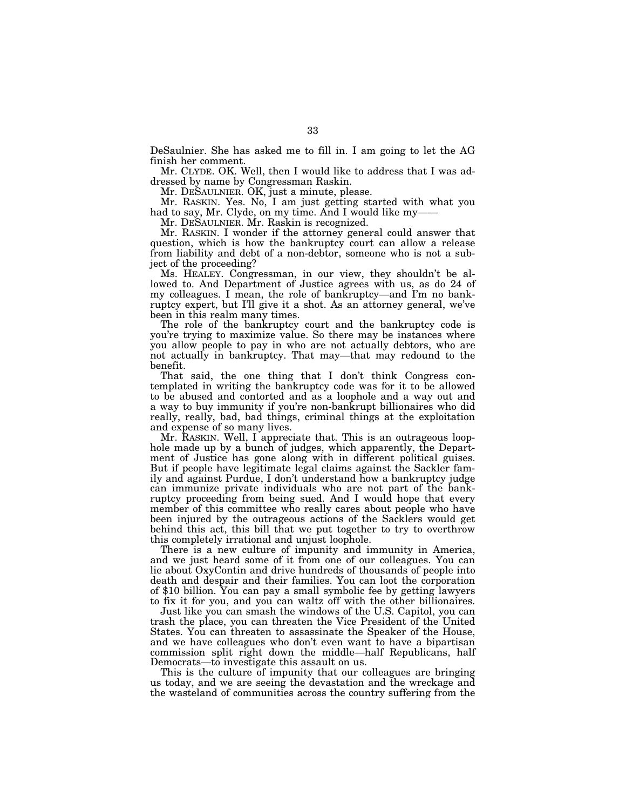DeSaulnier. She has asked me to fill in. I am going to let the AG finish her comment.

Mr. CLYDE. OK. Well, then I would like to address that I was addressed by name by Congressman Raskin.

Mr. DESAULNIER. OK, just a minute, please.

Mr. RASKIN. Yes. No, I am just getting started with what you had to say, Mr. Clyde, on my time. And I would like my-

Mr. DESAULNIER. Mr. Raskin is recognized.

Mr. RASKIN. I wonder if the attorney general could answer that question, which is how the bankruptcy court can allow a release from liability and debt of a non-debtor, someone who is not a subject of the proceeding?

Ms. HEALEY. Congressman, in our view, they shouldn't be allowed to. And Department of Justice agrees with us, as do 24 of my colleagues. I mean, the role of bankruptcy—and I'm no bankruptcy expert, but I'll give it a shot. As an attorney general, we've been in this realm many times.

The role of the bankruptcy court and the bankruptcy code is you're trying to maximize value. So there may be instances where you allow people to pay in who are not actually debtors, who are not actually in bankruptcy. That may—that may redound to the benefit.

That said, the one thing that I don't think Congress contemplated in writing the bankruptcy code was for it to be allowed to be abused and contorted and as a loophole and a way out and a way to buy immunity if you're non-bankrupt billionaires who did really, really, bad, bad things, criminal things at the exploitation and expense of so many lives.

Mr. RASKIN. Well, I appreciate that. This is an outrageous loophole made up by a bunch of judges, which apparently, the Department of Justice has gone along with in different political guises. But if people have legitimate legal claims against the Sackler family and against Purdue, I don't understand how a bankruptcy judge can immunize private individuals who are not part of the bankruptcy proceeding from being sued. And I would hope that every member of this committee who really cares about people who have been injured by the outrageous actions of the Sacklers would get behind this act, this bill that we put together to try to overthrow this completely irrational and unjust loophole.

There is a new culture of impunity and immunity in America, and we just heard some of it from one of our colleagues. You can lie about OxyContin and drive hundreds of thousands of people into death and despair and their families. You can loot the corporation of \$10 billion. You can pay a small symbolic fee by getting lawyers to fix it for you, and you can waltz off with the other billionaires.

Just like you can smash the windows of the U.S. Capitol, you can trash the place, you can threaten the Vice President of the United States. You can threaten to assassinate the Speaker of the House, and we have colleagues who don't even want to have a bipartisan commission split right down the middle—half Republicans, half Democrats—to investigate this assault on us.

This is the culture of impunity that our colleagues are bringing us today, and we are seeing the devastation and the wreckage and the wasteland of communities across the country suffering from the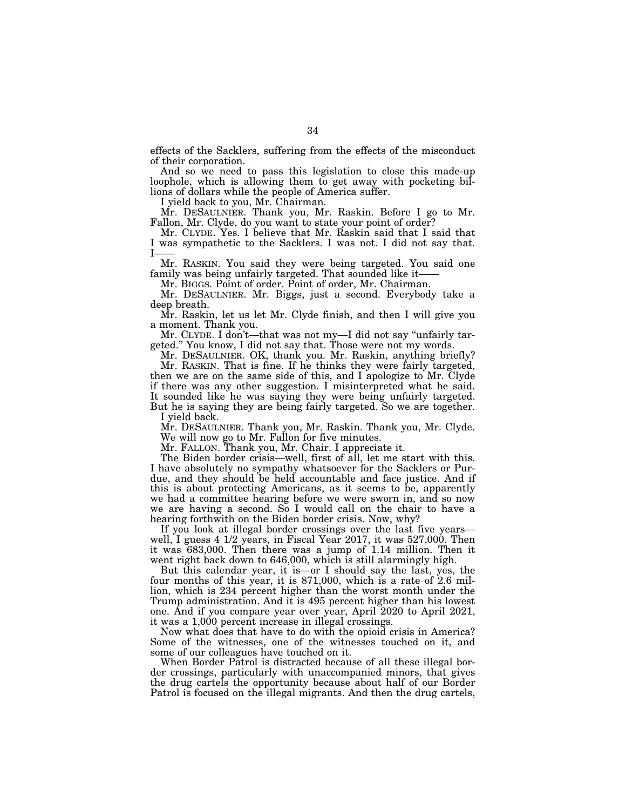effects of the Sacklers, suffering from the effects of the misconduct of their corporation.

And so we need to pass this legislation to close this made-up loophole, which is allowing them to get away with pocketing billions of dollars while the people of America suffer.

I yield back to you, Mr. Chairman.

Mr. DESAULNIER. Thank you, Mr. Raskin. Before I go to Mr. Fallon, Mr. Clyde, do you want to state your point of order?

Mr. CLYDE. Yes. I believe that Mr. Raskin said that I said that I was sympathetic to the Sacklers. I was not. I did not say that. I——

Mr. RASKIN. You said they were being targeted. You said one family was being unfairly targeted. That sounded like it-

Mr. BIGGS. Point of order. Point of order, Mr. Chairman.

Mr. DESAULNIER. Mr. Biggs, just a second. Everybody take a deep breath.

Mr. Raskin, let us let Mr. Clyde finish, and then I will give you a moment. Thank you.

Mr. CLYDE. I don't—that was not my—I did not say ''unfairly targeted.'' You know, I did not say that. Those were not my words.

Mr. DESAULNIER. OK, thank you. Mr. Raskin, anything briefly? Mr. RASKIN. That is fine. If he thinks they were fairly targeted,

then we are on the same side of this, and I apologize to Mr. Clyde if there was any other suggestion. I misinterpreted what he said. It sounded like he was saying they were being unfairly targeted. But he is saying they are being fairly targeted. So we are together.

I yield back.

Mr. DESAULNIER. Thank you, Mr. Raskin. Thank you, Mr. Clyde. We will now go to Mr. Fallon for five minutes.

Mr. FALLON. Thank you, Mr. Chair. I appreciate it.

The Biden border crisis—well, first of all, let me start with this. I have absolutely no sympathy whatsoever for the Sacklers or Purdue, and they should be held accountable and face justice. And if this is about protecting Americans, as it seems to be, apparently we had a committee hearing before we were sworn in, and so now we are having a second. So I would call on the chair to have a hearing forthwith on the Biden border crisis. Now, why?

If you look at illegal border crossings over the last five years well, I guess 4 1/2 years, in Fiscal Year 2017, it was 527,000. Then it was 683,000. Then there was a jump of 1.14 million. Then it went right back down to 646,000, which is still alarmingly high.

But this calendar year, it is—or I should say the last, yes, the four months of this year, it is 871,000, which is a rate of 2.6 million, which is 234 percent higher than the worst month under the Trump administration. And it is 495 percent higher than his lowest one. And if you compare year over year, April 2020 to April 2021, it was a 1,000 percent increase in illegal crossings.

Now what does that have to do with the opioid crisis in America? Some of the witnesses, one of the witnesses touched on it, and some of our colleagues have touched on it.

When Border Patrol is distracted because of all these illegal border crossings, particularly with unaccompanied minors, that gives the drug cartels the opportunity because about half of our Border Patrol is focused on the illegal migrants. And then the drug cartels,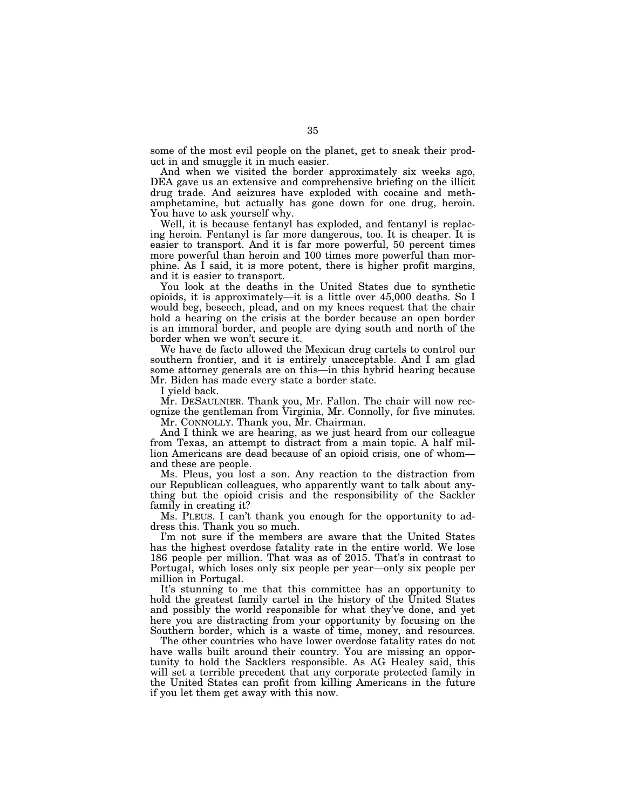some of the most evil people on the planet, get to sneak their product in and smuggle it in much easier.

And when we visited the border approximately six weeks ago, DEA gave us an extensive and comprehensive briefing on the illicit drug trade. And seizures have exploded with cocaine and methamphetamine, but actually has gone down for one drug, heroin. You have to ask yourself why.

Well, it is because fentanyl has exploded, and fentanyl is replacing heroin. Fentanyl is far more dangerous, too. It is cheaper. It is easier to transport. And it is far more powerful, 50 percent times more powerful than heroin and 100 times more powerful than morphine. As I said, it is more potent, there is higher profit margins, and it is easier to transport.

You look at the deaths in the United States due to synthetic opioids, it is approximately—it is a little over 45,000 deaths. So I would beg, beseech, plead, and on my knees request that the chair hold a hearing on the crisis at the border because an open border is an immoral border, and people are dying south and north of the border when we won't secure it.

We have de facto allowed the Mexican drug cartels to control our southern frontier, and it is entirely unacceptable. And I am glad some attorney generals are on this—in this hybrid hearing because Mr. Biden has made every state a border state.

I yield back.

Mr. DESAULNIER. Thank you, Mr. Fallon. The chair will now recognize the gentleman from Virginia, Mr. Connolly, for five minutes.

Mr. CONNOLLY. Thank you, Mr. Chairman.

And I think we are hearing, as we just heard from our colleague from Texas, an attempt to distract from a main topic. A half million Americans are dead because of an opioid crisis, one of whom and these are people.

Ms. Pleus, you lost a son. Any reaction to the distraction from our Republican colleagues, who apparently want to talk about anything but the opioid crisis and the responsibility of the Sackler family in creating it?

Ms. PLEUS. I can't thank you enough for the opportunity to address this. Thank you so much.

I'm not sure if the members are aware that the United States has the highest overdose fatality rate in the entire world. We lose 186 people per million. That was as of 2015. That's in contrast to Portugal, which loses only six people per year—only six people per million in Portugal.

It's stunning to me that this committee has an opportunity to hold the greatest family cartel in the history of the United States and possibly the world responsible for what they've done, and yet here you are distracting from your opportunity by focusing on the Southern border, which is a waste of time, money, and resources.

The other countries who have lower overdose fatality rates do not have walls built around their country. You are missing an opportunity to hold the Sacklers responsible. As AG Healey said, this will set a terrible precedent that any corporate protected family in the United States can profit from killing Americans in the future if you let them get away with this now.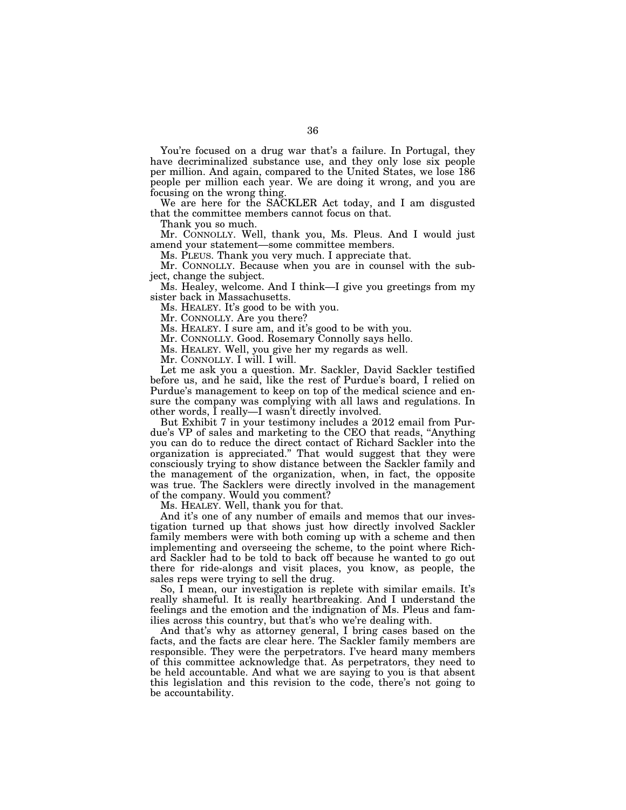You're focused on a drug war that's a failure. In Portugal, they have decriminalized substance use, and they only lose six people per million. And again, compared to the United States, we lose 186 people per million each year. We are doing it wrong, and you are focusing on the wrong thing.

We are here for the SACKLER Act today, and I am disgusted that the committee members cannot focus on that.

Thank you so much.

Mr. CONNOLLY. Well, thank you, Ms. Pleus. And I would just amend your statement—some committee members.

Ms. PLEUS. Thank you very much. I appreciate that.

Mr. CONNOLLY. Because when you are in counsel with the subject, change the subject.

Ms. Healey, welcome. And I think—I give you greetings from my sister back in Massachusetts.

Ms. HEALEY. It's good to be with you.

Mr. CONNOLLY. Are you there?

Ms. HEALEY. I sure am, and it's good to be with you.

Mr. CONNOLLY. Good. Rosemary Connolly says hello.

Ms. HEALEY. Well, you give her my regards as well.

Mr. CONNOLLY. I will. I will.

Let me ask you a question. Mr. Sackler, David Sackler testified before us, and he said, like the rest of Purdue's board, I relied on Purdue's management to keep on top of the medical science and ensure the company was complying with all laws and regulations. In other words, I really—I wasn't directly involved.

But Exhibit 7 in your testimony includes a 2012 email from Purdue's VP of sales and marketing to the CEO that reads, ''Anything you can do to reduce the direct contact of Richard Sackler into the organization is appreciated.'' That would suggest that they were consciously trying to show distance between the Sackler family and the management of the organization, when, in fact, the opposite was true. The Sacklers were directly involved in the management of the company. Would you comment?

Ms. HEALEY. Well, thank you for that.

And it's one of any number of emails and memos that our investigation turned up that shows just how directly involved Sackler family members were with both coming up with a scheme and then implementing and overseeing the scheme, to the point where Richard Sackler had to be told to back off because he wanted to go out there for ride-alongs and visit places, you know, as people, the sales reps were trying to sell the drug.

So, I mean, our investigation is replete with similar emails. It's really shameful. It is really heartbreaking. And I understand the feelings and the emotion and the indignation of Ms. Pleus and families across this country, but that's who we're dealing with.

And that's why as attorney general, I bring cases based on the facts, and the facts are clear here. The Sackler family members are responsible. They were the perpetrators. I've heard many members of this committee acknowledge that. As perpetrators, they need to be held accountable. And what we are saying to you is that absent this legislation and this revision to the code, there's not going to be accountability.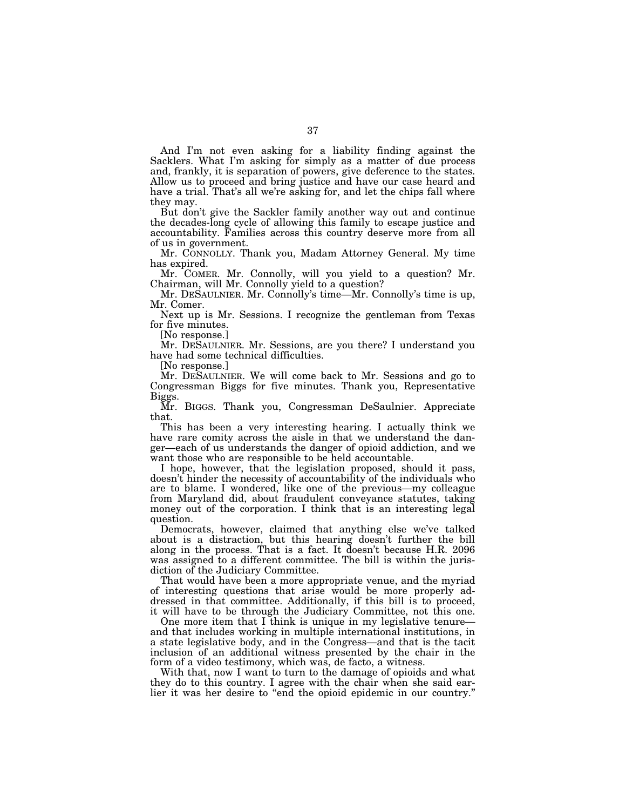And I'm not even asking for a liability finding against the Sacklers. What I'm asking for simply as a matter of due process and, frankly, it is separation of powers, give deference to the states. Allow us to proceed and bring justice and have our case heard and have a trial. That's all we're asking for, and let the chips fall where they may.

But don't give the Sackler family another way out and continue the decades-long cycle of allowing this family to escape justice and accountability. Families across this country deserve more from all of us in government.

Mr. CONNOLLY. Thank you, Madam Attorney General. My time has expired.

Mr. COMER. Mr. Connolly, will you yield to a question? Mr. Chairman, will Mr. Connolly yield to a question?

Mr. DESAULNIER. Mr. Connolly's time—Mr. Connolly's time is up, Mr. Comer.

Next up is Mr. Sessions. I recognize the gentleman from Texas for five minutes.

[No response.]

Mr. DESAULNIER. Mr. Sessions, are you there? I understand you have had some technical difficulties.

[No response.]

Mr. DESAULNIER. We will come back to Mr. Sessions and go to Congressman Biggs for five minutes. Thank you, Representative Biggs.

Mr. BIGGS. Thank you, Congressman DeSaulnier. Appreciate that.

This has been a very interesting hearing. I actually think we have rare comity across the aisle in that we understand the danger—each of us understands the danger of opioid addiction, and we want those who are responsible to be held accountable.

I hope, however, that the legislation proposed, should it pass, doesn't hinder the necessity of accountability of the individuals who are to blame. I wondered, like one of the previous—my colleague from Maryland did, about fraudulent conveyance statutes, taking money out of the corporation. I think that is an interesting legal question.

Democrats, however, claimed that anything else we've talked about is a distraction, but this hearing doesn't further the bill along in the process. That is a fact. It doesn't because H.R. 2096 was assigned to a different committee. The bill is within the jurisdiction of the Judiciary Committee.

That would have been a more appropriate venue, and the myriad of interesting questions that arise would be more properly addressed in that committee. Additionally, if this bill is to proceed, it will have to be through the Judiciary Committee, not this one.

One more item that I think is unique in my legislative tenure and that includes working in multiple international institutions, in a state legislative body, and in the Congress—and that is the tacit inclusion of an additional witness presented by the chair in the form of a video testimony, which was, de facto, a witness.

With that, now I want to turn to the damage of opioids and what they do to this country. I agree with the chair when she said earlier it was her desire to "end the opioid epidemic in our country."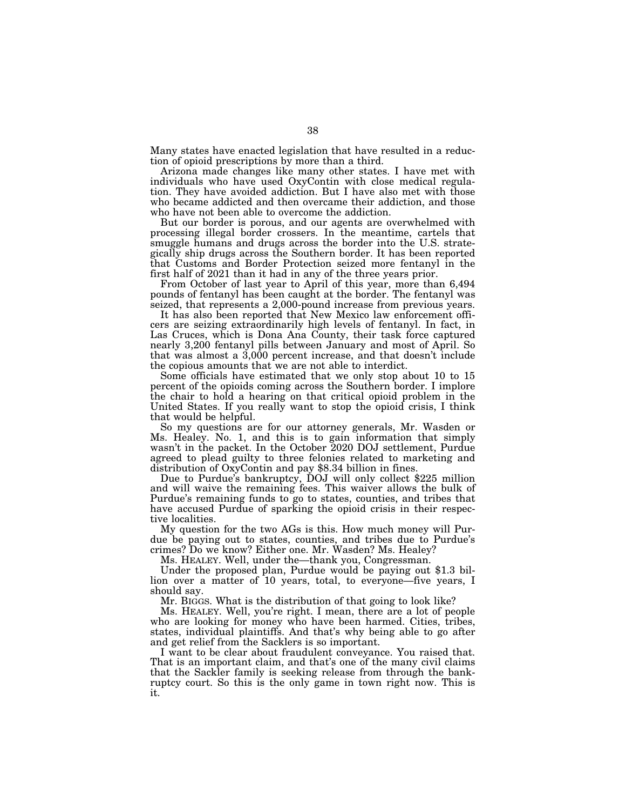Many states have enacted legislation that have resulted in a reduction of opioid prescriptions by more than a third.

Arizona made changes like many other states. I have met with individuals who have used OxyContin with close medical regulation. They have avoided addiction. But I have also met with those who became addicted and then overcame their addiction, and those who have not been able to overcome the addiction.

But our border is porous, and our agents are overwhelmed with processing illegal border crossers. In the meantime, cartels that smuggle humans and drugs across the border into the U.S. strategically ship drugs across the Southern border. It has been reported that Customs and Border Protection seized more fentanyl in the first half of 2021 than it had in any of the three years prior.

From October of last year to April of this year, more than 6,494 pounds of fentanyl has been caught at the border. The fentanyl was seized, that represents a 2,000-pound increase from previous years.

It has also been reported that New Mexico law enforcement officers are seizing extraordinarily high levels of fentanyl. In fact, in Las Cruces, which is Dona Ana County, their task force captured nearly 3,200 fentanyl pills between January and most of April. So that was almost a 3,000 percent increase, and that doesn't include the copious amounts that we are not able to interdict.

Some officials have estimated that we only stop about 10 to 15 percent of the opioids coming across the Southern border. I implore the chair to hold a hearing on that critical opioid problem in the United States. If you really want to stop the opioid crisis, I think that would be helpful.

So my questions are for our attorney generals, Mr. Wasden or Ms. Healey. No. 1, and this is to gain information that simply wasn't in the packet. In the October 2020 DOJ settlement, Purdue agreed to plead guilty to three felonies related to marketing and distribution of OxyContin and pay \$8.34 billion in fines.

Due to Purdue's bankruptcy, DOJ will only collect \$225 million and will waive the remaining fees. This waiver allows the bulk of Purdue's remaining funds to go to states, counties, and tribes that have accused Purdue of sparking the opioid crisis in their respective localities.

My question for the two AGs is this. How much money will Purdue be paying out to states, counties, and tribes due to Purdue's crimes? Do we know? Either one. Mr. Wasden? Ms. Healey?

Ms. HEALEY. Well, under the—thank you, Congressman.

Under the proposed plan, Purdue would be paying out \$1.3 billion over a matter of 10 years, total, to everyone—five years, I should say.

Mr. BIGGS. What is the distribution of that going to look like?

Ms. HEALEY. Well, you're right. I mean, there are a lot of people who are looking for money who have been harmed. Cities, tribes, states, individual plaintiffs. And that's why being able to go after and get relief from the Sacklers is so important.

I want to be clear about fraudulent conveyance. You raised that. That is an important claim, and that's one of the many civil claims that the Sackler family is seeking release from through the bankruptcy court. So this is the only game in town right now. This is it.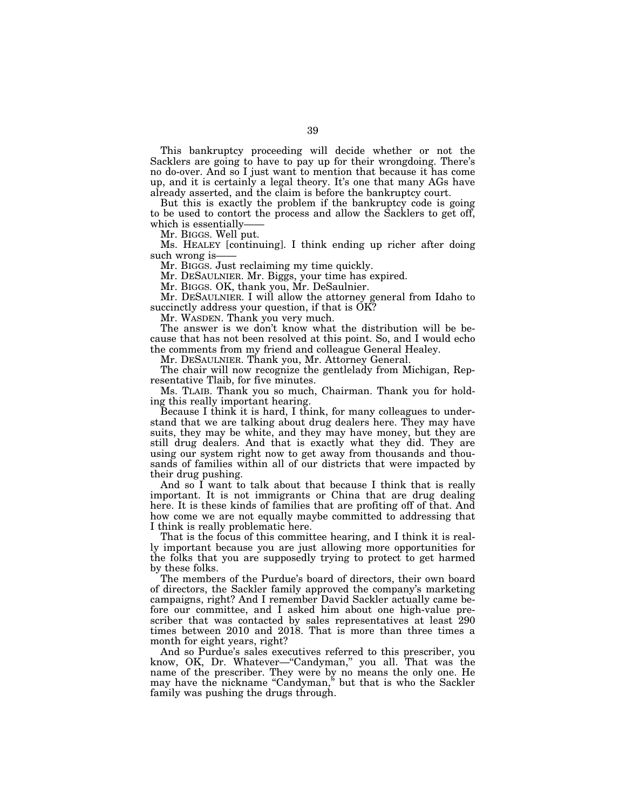This bankruptcy proceeding will decide whether or not the Sacklers are going to have to pay up for their wrongdoing. There's no do-over. And so I just want to mention that because it has come up, and it is certainly a legal theory. It's one that many AGs have already asserted, and the claim is before the bankruptcy court.

But this is exactly the problem if the bankruptcy code is going to be used to contort the process and allow the Sacklers to get off, which is essentially-

Mr. BIGGS. Well put.

Ms. HEALEY [continuing]. I think ending up richer after doing such wrong is-

Mr. BIGGS. Just reclaiming my time quickly.

Mr. DESAULNIER. Mr. Biggs, your time has expired.

Mr. BIGGS. OK, thank you, Mr. DeSaulnier.

Mr. DESAULNIER. I will allow the attorney general from Idaho to succinctly address your question, if that is OK?

Mr. WASDEN. Thank you very much.

The answer is we don't know what the distribution will be because that has not been resolved at this point. So, and I would echo the comments from my friend and colleague General Healey.

Mr. DESAULNIER. Thank you, Mr. Attorney General.

The chair will now recognize the gentlelady from Michigan, Representative Tlaib, for five minutes.

Ms. TLAIB. Thank you so much, Chairman. Thank you for holding this really important hearing.

Because I think it is hard, I think, for many colleagues to understand that we are talking about drug dealers here. They may have suits, they may be white, and they may have money, but they are still drug dealers. And that is exactly what they did. They are using our system right now to get away from thousands and thousands of families within all of our districts that were impacted by their drug pushing.

And so I want to talk about that because I think that is really important. It is not immigrants or China that are drug dealing here. It is these kinds of families that are profiting off of that. And how come we are not equally maybe committed to addressing that I think is really problematic here.

That is the focus of this committee hearing, and I think it is really important because you are just allowing more opportunities for the folks that you are supposedly trying to protect to get harmed by these folks.

The members of the Purdue's board of directors, their own board of directors, the Sackler family approved the company's marketing campaigns, right? And I remember David Sackler actually came before our committee, and I asked him about one high-value prescriber that was contacted by sales representatives at least 290 times between 2010 and 2018. That is more than three times a month for eight years, right?

And so Purdue's sales executives referred to this prescriber, you know, OK, Dr. Whatever-"Candyman," you all. That was the name of the prescriber. They were by no means the only one. He may have the nickname "Candyman," but that is who the Sackler family was pushing the drugs through.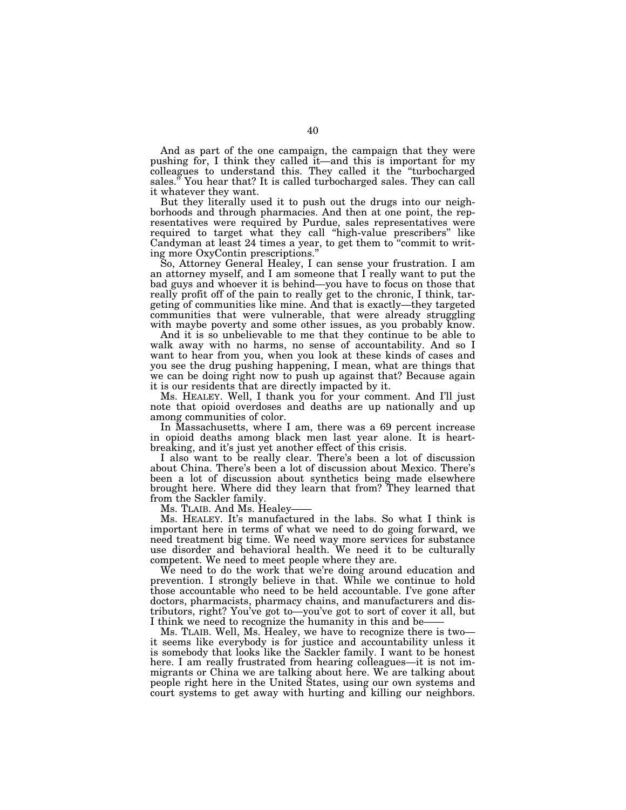And as part of the one campaign, the campaign that they were pushing for, I think they called it—and this is important for my colleagues to understand this. They called it the ''turbocharged sales.'' You hear that? It is called turbocharged sales. They can call it whatever they want.

But they literally used it to push out the drugs into our neighborhoods and through pharmacies. And then at one point, the representatives were required by Purdue, sales representatives were required to target what they call ''high-value prescribers'' like Candyman at least 24 times a year, to get them to ''commit to writing more OxyContin prescriptions.''

So, Attorney General Healey, I can sense your frustration. I am an attorney myself, and I am someone that I really want to put the bad guys and whoever it is behind—you have to focus on those that really profit off of the pain to really get to the chronic, I think, targeting of communities like mine. And that is exactly—they targeted communities that were vulnerable, that were already struggling with maybe poverty and some other issues, as you probably know.

And it is so unbelievable to me that they continue to be able to walk away with no harms, no sense of accountability. And so I want to hear from you, when you look at these kinds of cases and you see the drug pushing happening, I mean, what are things that we can be doing right now to push up against that? Because again it is our residents that are directly impacted by it.

Ms. HEALEY. Well, I thank you for your comment. And I'll just note that opioid overdoses and deaths are up nationally and up among communities of color.

In Massachusetts, where I am, there was a 69 percent increase in opioid deaths among black men last year alone. It is heartbreaking, and it's just yet another effect of this crisis.

I also want to be really clear. There's been a lot of discussion about China. There's been a lot of discussion about Mexico. There's been a lot of discussion about synthetics being made elsewhere brought here. Where did they learn that from? They learned that from the Sackler family.

Ms. TLAIB. And Ms. Healey-

Ms. HEALEY. It's manufactured in the labs. So what I think is important here in terms of what we need to do going forward, we need treatment big time. We need way more services for substance use disorder and behavioral health. We need it to be culturally competent. We need to meet people where they are.

We need to do the work that we're doing around education and prevention. I strongly believe in that. While we continue to hold those accountable who need to be held accountable. I've gone after doctors, pharmacists, pharmacy chains, and manufacturers and distributors, right? You've got to—you've got to sort of cover it all, but I think we need to recognize the humanity in this and be-

Ms. TLAIB. Well, Ms. Healey, we have to recognize there is two it seems like everybody is for justice and accountability unless it is somebody that looks like the Sackler family. I want to be honest here. I am really frustrated from hearing colleagues—it is not immigrants or China we are talking about here. We are talking about people right here in the United States, using our own systems and court systems to get away with hurting and killing our neighbors.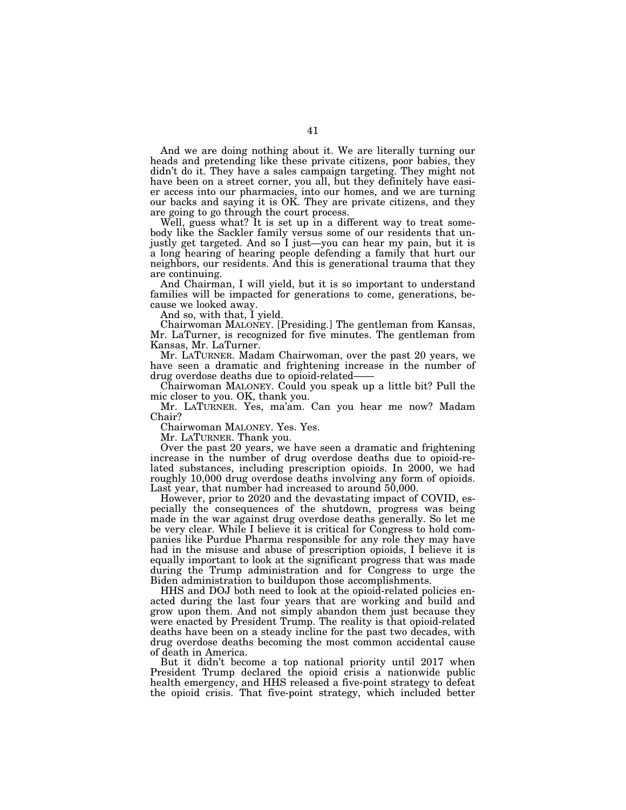And we are doing nothing about it. We are literally turning our heads and pretending like these private citizens, poor babies, they didn't do it. They have a sales campaign targeting. They might not have been on a street corner, you all, but they definitely have easier access into our pharmacies, into our homes, and we are turning our backs and saying it is OK. They are private citizens, and they are going to go through the court process.

Well, guess what? It is set up in a different way to treat somebody like the Sackler family versus some of our residents that unjustly get targeted. And so I just—you can hear my pain, but it is a long hearing of hearing people defending a family that hurt our neighbors, our residents. And this is generational trauma that they are continuing.

And Chairman, I will yield, but it is so important to understand families will be impacted for generations to come, generations, because we looked away.

And so, with that, I yield.

Chairwoman MALONEY. [Presiding.] The gentleman from Kansas, Mr. LaTurner, is recognized for five minutes. The gentleman from Kansas, Mr. LaTurner.

Mr. LATURNER. Madam Chairwoman, over the past 20 years, we have seen a dramatic and frightening increase in the number of drug overdose deaths due to opioid-related-

Chairwoman MALONEY. Could you speak up a little bit? Pull the mic closer to you. OK, thank you.

Mr. LATURNER. Yes, ma'am. Can you hear me now? Madam Chair?

Chairwoman MALONEY. Yes. Yes.

Mr. LATURNER. Thank you.

Over the past 20 years, we have seen a dramatic and frightening increase in the number of drug overdose deaths due to opioid-related substances, including prescription opioids. In 2000, we had roughly 10,000 drug overdose deaths involving any form of opioids. Last year, that number had increased to around 50,000.

However, prior to 2020 and the devastating impact of COVID, especially the consequences of the shutdown, progress was being made in the war against drug overdose deaths generally. So let me be very clear. While I believe it is critical for Congress to hold companies like Purdue Pharma responsible for any role they may have had in the misuse and abuse of prescription opioids, I believe it is equally important to look at the significant progress that was made during the Trump administration and for Congress to urge the Biden administration to buildupon those accomplishments.

HHS and DOJ both need to look at the opioid-related policies enacted during the last four years that are working and build and grow upon them. And not simply abandon them just because they were enacted by President Trump. The reality is that opioid-related deaths have been on a steady incline for the past two decades, with drug overdose deaths becoming the most common accidental cause of death in America.

But it didn't become a top national priority until 2017 when President Trump declared the opioid crisis a nationwide public health emergency, and HHS released a five-point strategy to defeat the opioid crisis. That five-point strategy, which included better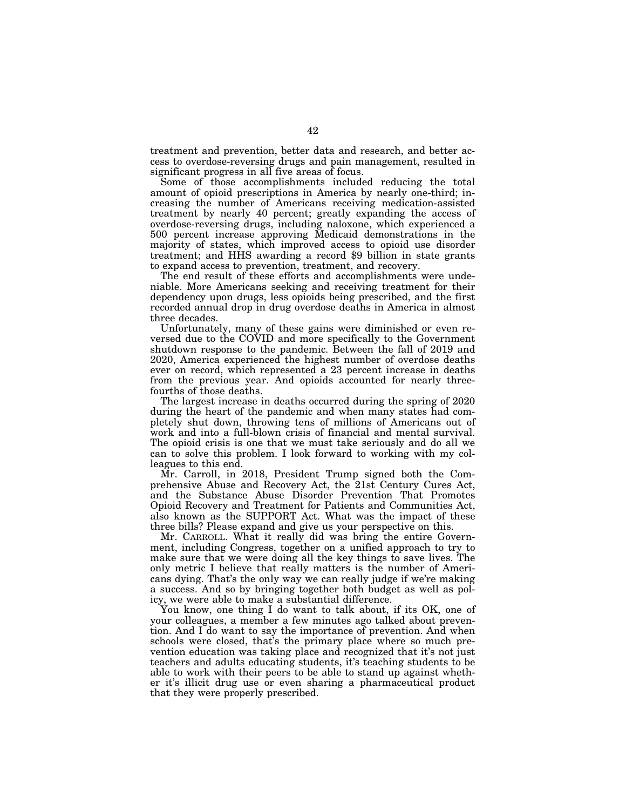treatment and prevention, better data and research, and better access to overdose-reversing drugs and pain management, resulted in significant progress in all five areas of focus.

Some of those accomplishments included reducing the total amount of opioid prescriptions in America by nearly one-third; increasing the number of Americans receiving medication-assisted treatment by nearly 40 percent; greatly expanding the access of overdose-reversing drugs, including naloxone, which experienced a 500 percent increase approving Medicaid demonstrations in the majority of states, which improved access to opioid use disorder treatment; and HHS awarding a record \$9 billion in state grants to expand access to prevention, treatment, and recovery.

The end result of these efforts and accomplishments were undeniable. More Americans seeking and receiving treatment for their dependency upon drugs, less opioids being prescribed, and the first recorded annual drop in drug overdose deaths in America in almost three decades.

Unfortunately, many of these gains were diminished or even reversed due to the COVID and more specifically to the Government shutdown response to the pandemic. Between the fall of 2019 and 2020, America experienced the highest number of overdose deaths ever on record, which represented a 23 percent increase in deaths from the previous year. And opioids accounted for nearly threefourths of those deaths.

The largest increase in deaths occurred during the spring of 2020 during the heart of the pandemic and when many states had completely shut down, throwing tens of millions of Americans out of work and into a full-blown crisis of financial and mental survival. The opioid crisis is one that we must take seriously and do all we can to solve this problem. I look forward to working with my colleagues to this end.

Mr. Carroll, in 2018, President Trump signed both the Comprehensive Abuse and Recovery Act, the 21st Century Cures Act, and the Substance Abuse Disorder Prevention That Promotes Opioid Recovery and Treatment for Patients and Communities Act, also known as the SUPPORT Act. What was the impact of these three bills? Please expand and give us your perspective on this.

Mr. CARROLL. What it really did was bring the entire Government, including Congress, together on a unified approach to try to make sure that we were doing all the key things to save lives. The only metric I believe that really matters is the number of Americans dying. That's the only way we can really judge if we're making a success. And so by bringing together both budget as well as policy, we were able to make a substantial difference.

You know, one thing I do want to talk about, if its OK, one of your colleagues, a member a few minutes ago talked about prevention. And I do want to say the importance of prevention. And when schools were closed, that's the primary place where so much prevention education was taking place and recognized that it's not just teachers and adults educating students, it's teaching students to be able to work with their peers to be able to stand up against whether it's illicit drug use or even sharing a pharmaceutical product that they were properly prescribed.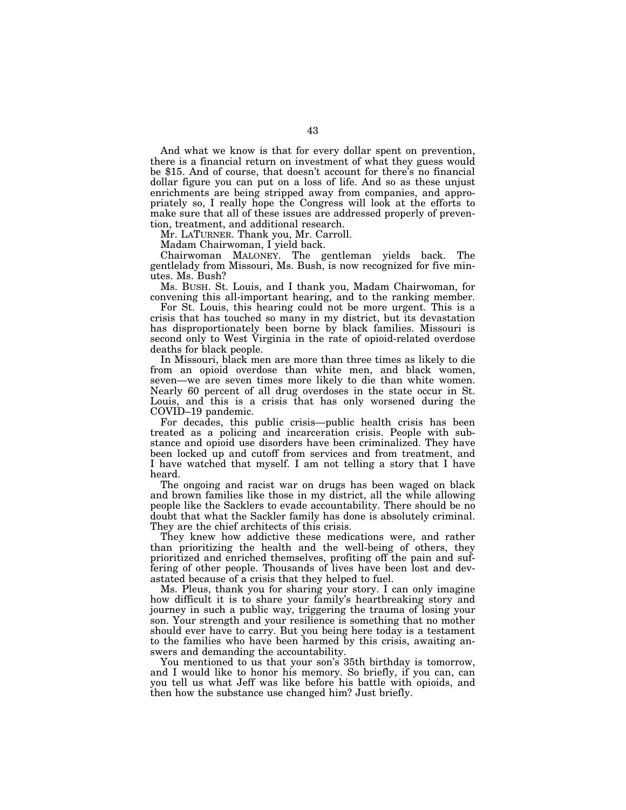And what we know is that for every dollar spent on prevention, there is a financial return on investment of what they guess would be \$15. And of course, that doesn't account for there's no financial dollar figure you can put on a loss of life. And so as these unjust enrichments are being stripped away from companies, and appropriately so, I really hope the Congress will look at the efforts to make sure that all of these issues are addressed properly of prevention, treatment, and additional research.

Mr. LATURNER. Thank you, Mr. Carroll.

Madam Chairwoman, I yield back.

Chairwoman MALONEY. The gentleman yields back. The gentlelady from Missouri, Ms. Bush, is now recognized for five minutes. Ms. Bush?

Ms. BUSH. St. Louis, and I thank you, Madam Chairwoman, for convening this all-important hearing, and to the ranking member.

For St. Louis, this hearing could not be more urgent. This is a crisis that has touched so many in my district, but its devastation has disproportionately been borne by black families. Missouri is second only to West Virginia in the rate of opioid-related overdose deaths for black people.

In Missouri, black men are more than three times as likely to die from an opioid overdose than white men, and black women, seven—we are seven times more likely to die than white women. Nearly 60 percent of all drug overdoses in the state occur in St. Louis, and this is a crisis that has only worsened during the COVID–19 pandemic.

For decades, this public crisis—public health crisis has been treated as a policing and incarceration crisis. People with substance and opioid use disorders have been criminalized. They have been locked up and cutoff from services and from treatment, and I have watched that myself. I am not telling a story that I have heard.

The ongoing and racist war on drugs has been waged on black and brown families like those in my district, all the while allowing people like the Sacklers to evade accountability. There should be no doubt that what the Sackler family has done is absolutely criminal. They are the chief architects of this crisis.

They knew how addictive these medications were, and rather than prioritizing the health and the well-being of others, they prioritized and enriched themselves, profiting off the pain and suffering of other people. Thousands of lives have been lost and devastated because of a crisis that they helped to fuel.

Ms. Pleus, thank you for sharing your story. I can only imagine how difficult it is to share your family's heartbreaking story and journey in such a public way, triggering the trauma of losing your son. Your strength and your resilience is something that no mother should ever have to carry. But you being here today is a testament to the families who have been harmed by this crisis, awaiting answers and demanding the accountability.

You mentioned to us that your son's 35th birthday is tomorrow, and I would like to honor his memory. So briefly, if you can, can you tell us what Jeff was like before his battle with opioids, and then how the substance use changed him? Just briefly.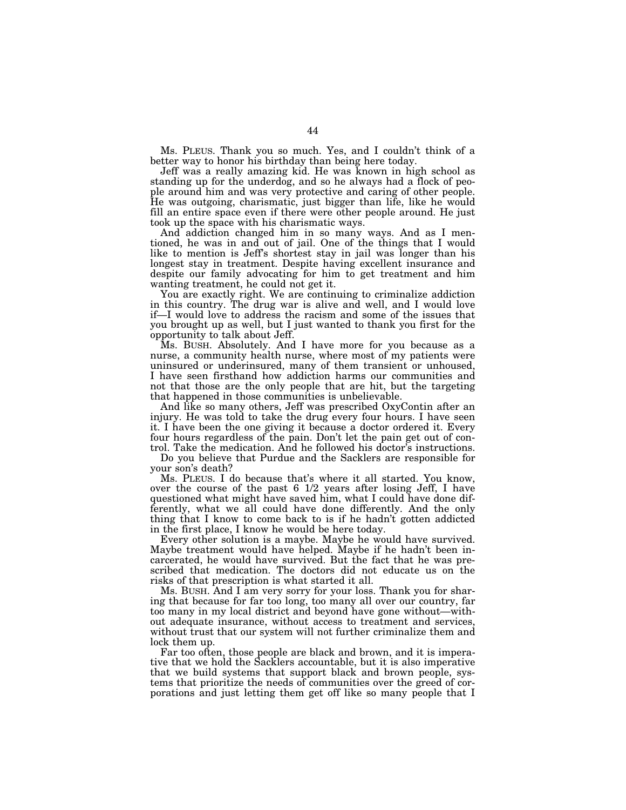Ms. PLEUS. Thank you so much. Yes, and I couldn't think of a better way to honor his birthday than being here today.

Jeff was a really amazing kid. He was known in high school as standing up for the underdog, and so he always had a flock of people around him and was very protective and caring of other people. He was outgoing, charismatic, just bigger than life, like he would fill an entire space even if there were other people around. He just took up the space with his charismatic ways.

And addiction changed him in so many ways. And as I mentioned, he was in and out of jail. One of the things that I would like to mention is Jeff's shortest stay in jail was longer than his longest stay in treatment. Despite having excellent insurance and despite our family advocating for him to get treatment and him wanting treatment, he could not get it.

You are exactly right. We are continuing to criminalize addiction in this country. The drug war is alive and well, and I would love if—I would love to address the racism and some of the issues that you brought up as well, but I just wanted to thank you first for the opportunity to talk about Jeff.

Ms. BUSH. Absolutely. And I have more for you because as a nurse, a community health nurse, where most of my patients were uninsured or underinsured, many of them transient or unhoused, I have seen firsthand how addiction harms our communities and not that those are the only people that are hit, but the targeting that happened in those communities is unbelievable.

And like so many others, Jeff was prescribed OxyContin after an injury. He was told to take the drug every four hours. I have seen it. I have been the one giving it because a doctor ordered it. Every four hours regardless of the pain. Don't let the pain get out of control. Take the medication. And he followed his doctor's instructions.

Do you believe that Purdue and the Sacklers are responsible for your son's death?

Ms. PLEUS. I do because that's where it all started. You know, over the course of the past 6 1/2 years after losing Jeff, I have questioned what might have saved him, what I could have done differently, what we all could have done differently. And the only thing that I know to come back to is if he hadn't gotten addicted in the first place, I know he would be here today.

Every other solution is a maybe. Maybe he would have survived. Maybe treatment would have helped. Maybe if he hadn't been incarcerated, he would have survived. But the fact that he was prescribed that medication. The doctors did not educate us on the risks of that prescription is what started it all.

Ms. BUSH. And I am very sorry for your loss. Thank you for sharing that because for far too long, too many all over our country, far too many in my local district and beyond have gone without—without adequate insurance, without access to treatment and services, without trust that our system will not further criminalize them and lock them up.

Far too often, those people are black and brown, and it is imperative that we hold the Sacklers accountable, but it is also imperative that we build systems that support black and brown people, systems that prioritize the needs of communities over the greed of corporations and just letting them get off like so many people that I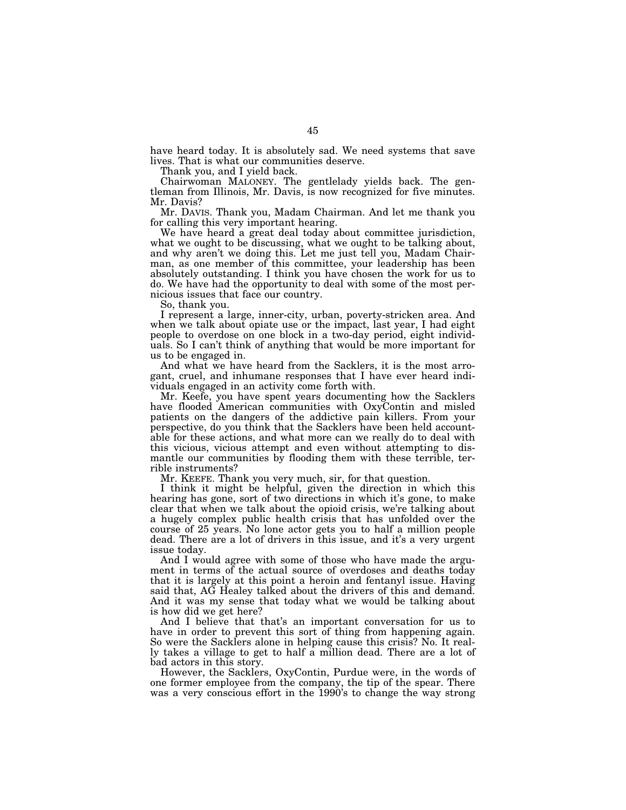have heard today. It is absolutely sad. We need systems that save lives. That is what our communities deserve.

Thank you, and I yield back.

Chairwoman MALONEY. The gentlelady yields back. The gentleman from Illinois, Mr. Davis, is now recognized for five minutes. Mr. Davis?

Mr. DAVIS. Thank you, Madam Chairman. And let me thank you for calling this very important hearing.

We have heard a great deal today about committee jurisdiction, what we ought to be discussing, what we ought to be talking about, and why aren't we doing this. Let me just tell you, Madam Chairman, as one member of this committee, your leadership has been absolutely outstanding. I think you have chosen the work for us to do. We have had the opportunity to deal with some of the most pernicious issues that face our country.

So, thank you.

I represent a large, inner-city, urban, poverty-stricken area. And when we talk about opiate use or the impact, last year, I had eight people to overdose on one block in a two-day period, eight individuals. So I can't think of anything that would be more important for us to be engaged in.

And what we have heard from the Sacklers, it is the most arrogant, cruel, and inhumane responses that I have ever heard individuals engaged in an activity come forth with.

Mr. Keefe, you have spent years documenting how the Sacklers have flooded American communities with OxyContin and misled patients on the dangers of the addictive pain killers. From your perspective, do you think that the Sacklers have been held accountable for these actions, and what more can we really do to deal with this vicious, vicious attempt and even without attempting to dismantle our communities by flooding them with these terrible, terrible instruments?

Mr. KEEFE. Thank you very much, sir, for that question.

I think it might be helpful, given the direction in which this hearing has gone, sort of two directions in which it's gone, to make clear that when we talk about the opioid crisis, we're talking about a hugely complex public health crisis that has unfolded over the course of 25 years. No lone actor gets you to half a million people dead. There are a lot of drivers in this issue, and it's a very urgent issue today.

And I would agree with some of those who have made the argument in terms of the actual source of overdoses and deaths today that it is largely at this point a heroin and fentanyl issue. Having said that, AG Healey talked about the drivers of this and demand. And it was my sense that today what we would be talking about is how did we get here?

And I believe that that's an important conversation for us to have in order to prevent this sort of thing from happening again. So were the Sacklers alone in helping cause this crisis? No. It really takes a village to get to half a million dead. There are a lot of bad actors in this story.

However, the Sacklers, OxyContin, Purdue were, in the words of one former employee from the company, the tip of the spear. There was a very conscious effort in the 1990's to change the way strong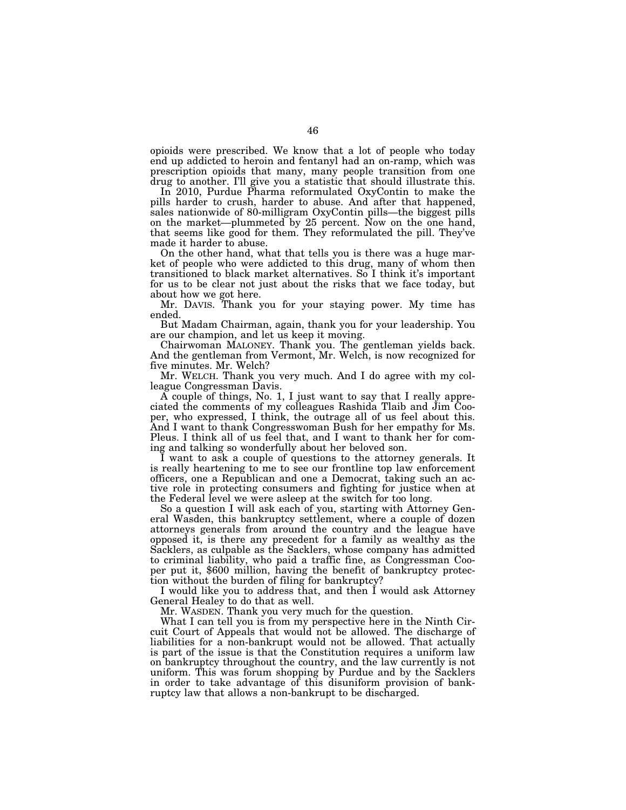opioids were prescribed. We know that a lot of people who today end up addicted to heroin and fentanyl had an on-ramp, which was prescription opioids that many, many people transition from one drug to another. I'll give you a statistic that should illustrate this.

In 2010, Purdue Pharma reformulated OxyContin to make the pills harder to crush, harder to abuse. And after that happened, sales nationwide of 80-milligram OxyContin pills—the biggest pills on the market—plummeted by 25 percent. Now on the one hand, that seems like good for them. They reformulated the pill. They've made it harder to abuse.

On the other hand, what that tells you is there was a huge market of people who were addicted to this drug, many of whom then transitioned to black market alternatives. So I think it's important for us to be clear not just about the risks that we face today, but about how we got here.

Mr. DAVIS. Thank you for your staying power. My time has ended.

But Madam Chairman, again, thank you for your leadership. You are our champion, and let us keep it moving.

Chairwoman MALONEY. Thank you. The gentleman yields back. And the gentleman from Vermont, Mr. Welch, is now recognized for five minutes. Mr. Welch?

Mr. WELCH. Thank you very much. And I do agree with my colleague Congressman Davis.

A couple of things, No. 1, I just want to say that I really appreciated the comments of my colleagues Rashida Tlaib and Jim Cooper, who expressed, I think, the outrage all of us feel about this. And I want to thank Congresswoman Bush for her empathy for Ms. Pleus. I think all of us feel that, and I want to thank her for coming and talking so wonderfully about her beloved son.

I want to ask a couple of questions to the attorney generals. It is really heartening to me to see our frontline top law enforcement officers, one a Republican and one a Democrat, taking such an active role in protecting consumers and fighting for justice when at the Federal level we were asleep at the switch for too long.

So a question I will ask each of you, starting with Attorney General Wasden, this bankruptcy settlement, where a couple of dozen attorneys generals from around the country and the league have opposed it, is there any precedent for a family as wealthy as the Sacklers, as culpable as the Sacklers, whose company has admitted to criminal liability, who paid a traffic fine, as Congressman Cooper put it, \$600 million, having the benefit of bankruptcy protection without the burden of filing for bankruptcy?

I would like you to address that, and then I would ask Attorney General Healey to do that as well.

Mr. WASDEN. Thank you very much for the question.

What I can tell you is from my perspective here in the Ninth Circuit Court of Appeals that would not be allowed. The discharge of liabilities for a non-bankrupt would not be allowed. That actually is part of the issue is that the Constitution requires a uniform law on bankruptcy throughout the country, and the law currently is not uniform. This was forum shopping by Purdue and by the Sacklers in order to take advantage of this disuniform provision of bankruptcy law that allows a non-bankrupt to be discharged.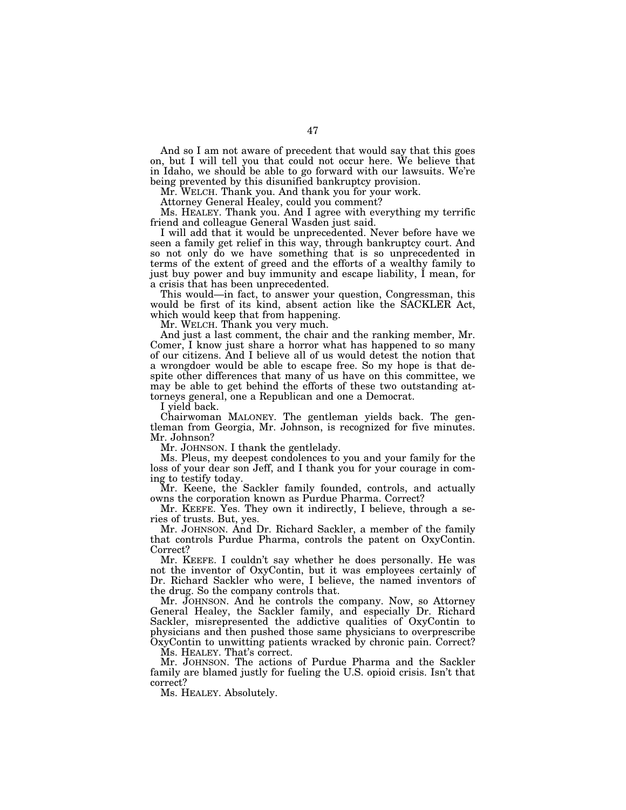And so I am not aware of precedent that would say that this goes on, but I will tell you that could not occur here. We believe that in Idaho, we should be able to go forward with our lawsuits. We're being prevented by this disunified bankruptcy provision.

Mr. WELCH. Thank you. And thank you for your work.

Attorney General Healey, could you comment?

Ms. HEALEY. Thank you. And I agree with everything my terrific friend and colleague General Wasden just said.

I will add that it would be unprecedented. Never before have we seen a family get relief in this way, through bankruptcy court. And so not only do we have something that is so unprecedented in terms of the extent of greed and the efforts of a wealthy family to just buy power and buy immunity and escape liability, I mean, for a crisis that has been unprecedented.

This would—in fact, to answer your question, Congressman, this would be first of its kind, absent action like the SACKLER Act, which would keep that from happening.

Mr. WELCH. Thank you very much.

And just a last comment, the chair and the ranking member, Mr. Comer, I know just share a horror what has happened to so many of our citizens. And I believe all of us would detest the notion that a wrongdoer would be able to escape free. So my hope is that despite other differences that many of us have on this committee, we may be able to get behind the efforts of these two outstanding attorneys general, one a Republican and one a Democrat.

I yield back.

Chairwoman MALONEY. The gentleman yields back. The gentleman from Georgia, Mr. Johnson, is recognized for five minutes. Mr. Johnson?

Mr. JOHNSON. I thank the gentlelady.

Ms. Pleus, my deepest condolences to you and your family for the loss of your dear son Jeff, and I thank you for your courage in coming to testify today.

Mr. Keene, the Sackler family founded, controls, and actually owns the corporation known as Purdue Pharma. Correct?

Mr. KEEFE. Yes. They own it indirectly, I believe, through a series of trusts. But, yes.

Mr. JOHNSON. And Dr. Richard Sackler, a member of the family that controls Purdue Pharma, controls the patent on OxyContin. Correct?

Mr. KEEFE. I couldn't say whether he does personally. He was not the inventor of OxyContin, but it was employees certainly of Dr. Richard Sackler who were, I believe, the named inventors of the drug. So the company controls that.

Mr. JOHNSON. And he controls the company. Now, so Attorney General Healey, the Sackler family, and especially Dr. Richard Sackler, misrepresented the addictive qualities of OxyContin to physicians and then pushed those same physicians to overprescribe OxyContin to unwitting patients wracked by chronic pain. Correct?

Ms. HEALEY. That's correct.

Mr. JOHNSON. The actions of Purdue Pharma and the Sackler family are blamed justly for fueling the U.S. opioid crisis. Isn't that correct?

Ms. HEALEY. Absolutely.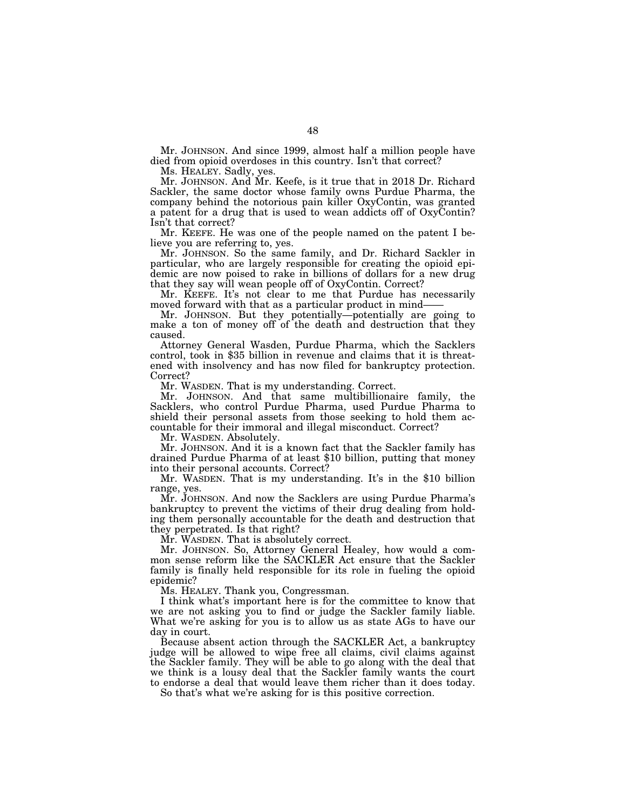Mr. JOHNSON. And since 1999, almost half a million people have died from opioid overdoses in this country. Isn't that correct?

Ms. HEALEY. Sadly, yes.

Mr. JOHNSON. And Mr. Keefe, is it true that in 2018 Dr. Richard Sackler, the same doctor whose family owns Purdue Pharma, the company behind the notorious pain killer OxyContin, was granted a patent for a drug that is used to wean addicts off of OxyContin? Isn't that correct?

Mr. KEEFE. He was one of the people named on the patent I believe you are referring to, yes.

Mr. JOHNSON. So the same family, and Dr. Richard Sackler in particular, who are largely responsible for creating the opioid epidemic are now poised to rake in billions of dollars for a new drug that they say will wean people off of OxyContin. Correct?

Mr. KEEFE. It's not clear to me that Purdue has necessarily moved forward with that as a particular product in mind-

Mr. JOHNSON. But they potentially—potentially are going to make a ton of money off of the death and destruction that they caused.

Attorney General Wasden, Purdue Pharma, which the Sacklers control, took in \$35 billion in revenue and claims that it is threatened with insolvency and has now filed for bankruptcy protection. Correct?

Mr. WASDEN. That is my understanding. Correct.

Mr. JOHNSON. And that same multibillionaire family, the Sacklers, who control Purdue Pharma, used Purdue Pharma to shield their personal assets from those seeking to hold them accountable for their immoral and illegal misconduct. Correct?

Mr. WASDEN. Absolutely.

Mr. JOHNSON. And it is a known fact that the Sackler family has drained Purdue Pharma of at least \$10 billion, putting that money into their personal accounts. Correct?

Mr. WASDEN. That is my understanding. It's in the \$10 billion range, yes.

Mr. JOHNSON. And now the Sacklers are using Purdue Pharma's bankruptcy to prevent the victims of their drug dealing from holding them personally accountable for the death and destruction that they perpetrated. Is that right?

Mr. WASDEN. That is absolutely correct.

Mr. JOHNSON. So, Attorney General Healey, how would a common sense reform like the SACKLER Act ensure that the Sackler family is finally held responsible for its role in fueling the opioid epidemic?

Ms. HEALEY. Thank you, Congressman.

I think what's important here is for the committee to know that we are not asking you to find or judge the Sackler family liable. What we're asking for you is to allow us as state AGs to have our day in court.

Because absent action through the SACKLER Act, a bankruptcy judge will be allowed to wipe free all claims, civil claims against the Sackler family. They will be able to go along with the deal that we think is a lousy deal that the Sackler family wants the court to endorse a deal that would leave them richer than it does today.

So that's what we're asking for is this positive correction.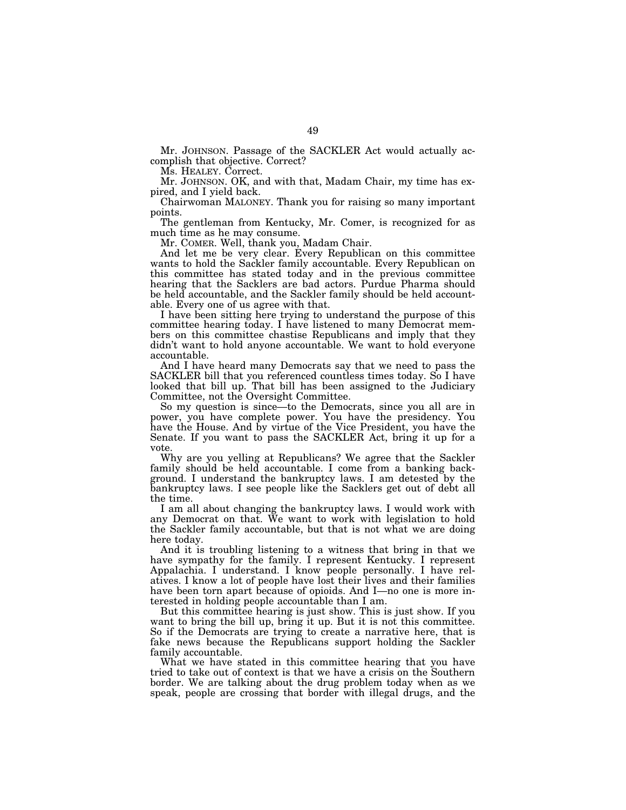Mr. JOHNSON. Passage of the SACKLER Act would actually accomplish that objective. Correct?

Ms. HEALEY. Correct.

Mr. JOHNSON. OK, and with that, Madam Chair, my time has expired, and I yield back.

Chairwoman MALONEY. Thank you for raising so many important points.

The gentleman from Kentucky, Mr. Comer, is recognized for as much time as he may consume.

Mr. COMER. Well, thank you, Madam Chair.

And let me be very clear. Every Republican on this committee wants to hold the Sackler family accountable. Every Republican on this committee has stated today and in the previous committee hearing that the Sacklers are bad actors. Purdue Pharma should be held accountable, and the Sackler family should be held accountable. Every one of us agree with that.

I have been sitting here trying to understand the purpose of this committee hearing today. I have listened to many Democrat members on this committee chastise Republicans and imply that they didn't want to hold anyone accountable. We want to hold everyone accountable.

And I have heard many Democrats say that we need to pass the SACKLER bill that you referenced countless times today. So I have looked that bill up. That bill has been assigned to the Judiciary Committee, not the Oversight Committee.

So my question is since—to the Democrats, since you all are in power, you have complete power. You have the presidency. You have the House. And by virtue of the Vice President, you have the Senate. If you want to pass the SACKLER Act, bring it up for a vote.

Why are you yelling at Republicans? We agree that the Sackler family should be held accountable. I come from a banking background. I understand the bankruptcy laws. I am detested by the bankruptcy laws. I see people like the Sacklers get out of debt all the time.

I am all about changing the bankruptcy laws. I would work with any Democrat on that. We want to work with legislation to hold the Sackler family accountable, but that is not what we are doing here today.

And it is troubling listening to a witness that bring in that we have sympathy for the family. I represent Kentucky. I represent Appalachia. I understand. I know people personally. I have relatives. I know a lot of people have lost their lives and their families have been torn apart because of opioids. And I—no one is more interested in holding people accountable than I am.

But this committee hearing is just show. This is just show. If you want to bring the bill up, bring it up. But it is not this committee. So if the Democrats are trying to create a narrative here, that is fake news because the Republicans support holding the Sackler family accountable.

What we have stated in this committee hearing that you have tried to take out of context is that we have a crisis on the Southern border. We are talking about the drug problem today when as we speak, people are crossing that border with illegal drugs, and the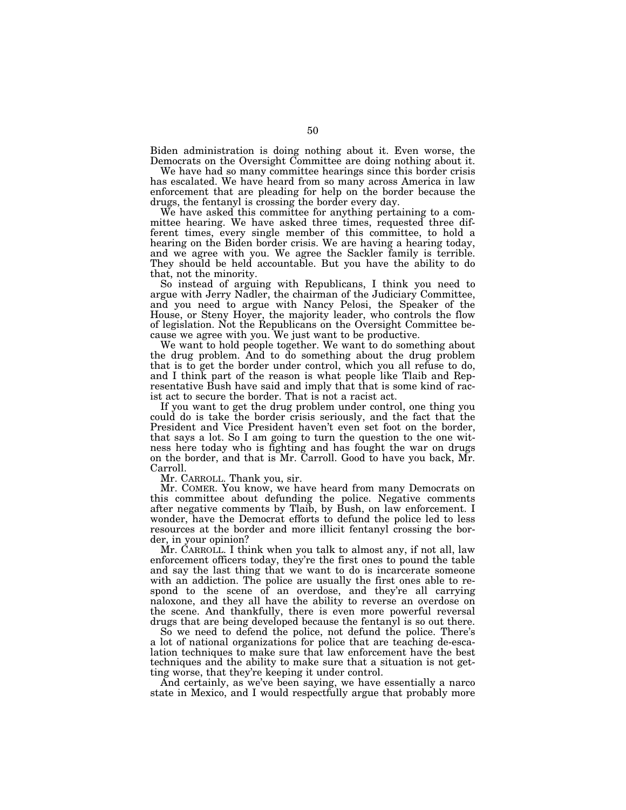Biden administration is doing nothing about it. Even worse, the Democrats on the Oversight Committee are doing nothing about it.

We have had so many committee hearings since this border crisis has escalated. We have heard from so many across America in law enforcement that are pleading for help on the border because the drugs, the fentanyl is crossing the border every day.

We have asked this committee for anything pertaining to a committee hearing. We have asked three times, requested three different times, every single member of this committee, to hold a hearing on the Biden border crisis. We are having a hearing today, and we agree with you. We agree the Sackler family is terrible. They should be held accountable. But you have the ability to do that, not the minority.

So instead of arguing with Republicans, I think you need to argue with Jerry Nadler, the chairman of the Judiciary Committee, and you need to argue with Nancy Pelosi, the Speaker of the House, or Steny Hoyer, the majority leader, who controls the flow of legislation. Not the Republicans on the Oversight Committee because we agree with you. We just want to be productive.

We want to hold people together. We want to do something about the drug problem. And to do something about the drug problem that is to get the border under control, which you all refuse to do, and I think part of the reason is what people like Tlaib and Representative Bush have said and imply that that is some kind of racist act to secure the border. That is not a racist act.

If you want to get the drug problem under control, one thing you could do is take the border crisis seriously, and the fact that the President and Vice President haven't even set foot on the border, that says a lot. So I am going to turn the question to the one witness here today who is fighting and has fought the war on drugs on the border, and that is Mr. Carroll. Good to have you back, Mr. Carroll.

Mr. CARROLL. Thank you, sir.

Mr. COMER. You know, we have heard from many Democrats on this committee about defunding the police. Negative comments after negative comments by Tlaib, by Bush, on law enforcement. I wonder, have the Democrat efforts to defund the police led to less resources at the border and more illicit fentanyl crossing the border, in your opinion?

Mr. CARROLL. I think when you talk to almost any, if not all, law enforcement officers today, they're the first ones to pound the table and say the last thing that we want to do is incarcerate someone with an addiction. The police are usually the first ones able to respond to the scene of an overdose, and they're all carrying naloxone, and they all have the ability to reverse an overdose on the scene. And thankfully, there is even more powerful reversal drugs that are being developed because the fentanyl is so out there.

So we need to defend the police, not defund the police. There's a lot of national organizations for police that are teaching de-escalation techniques to make sure that law enforcement have the best techniques and the ability to make sure that a situation is not getting worse, that they're keeping it under control.

And certainly, as we've been saying, we have essentially a narco state in Mexico, and I would respectfully argue that probably more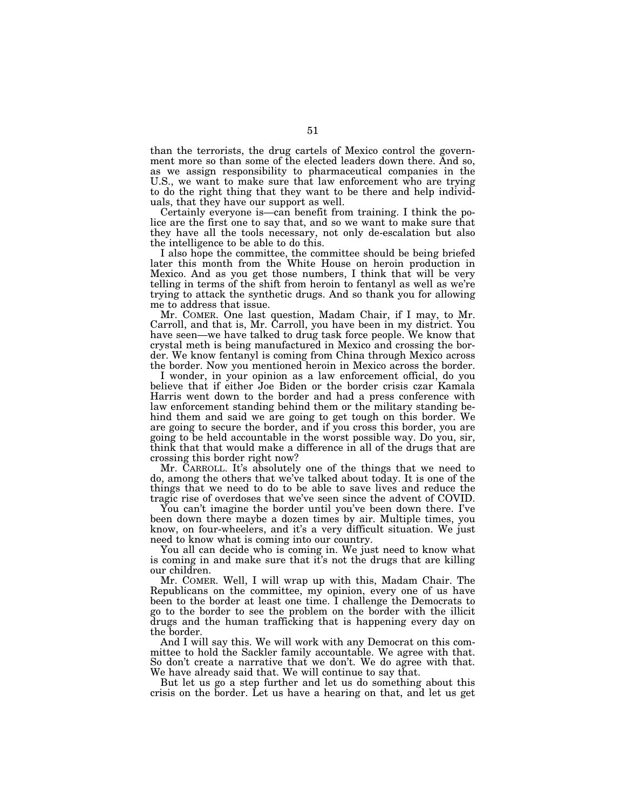than the terrorists, the drug cartels of Mexico control the government more so than some of the elected leaders down there. And so, as we assign responsibility to pharmaceutical companies in the U.S., we want to make sure that law enforcement who are trying to do the right thing that they want to be there and help individuals, that they have our support as well.

Certainly everyone is—can benefit from training. I think the police are the first one to say that, and so we want to make sure that they have all the tools necessary, not only de-escalation but also the intelligence to be able to do this.

I also hope the committee, the committee should be being briefed later this month from the White House on heroin production in Mexico. And as you get those numbers, I think that will be very telling in terms of the shift from heroin to fentanyl as well as we're trying to attack the synthetic drugs. And so thank you for allowing me to address that issue.

Mr. COMER. One last question, Madam Chair, if I may, to Mr. Carroll, and that is, Mr. Carroll, you have been in my district. You have seen—we have talked to drug task force people. We know that crystal meth is being manufactured in Mexico and crossing the border. We know fentanyl is coming from China through Mexico across the border. Now you mentioned heroin in Mexico across the border.

I wonder, in your opinion as a law enforcement official, do you believe that if either Joe Biden or the border crisis czar Kamala Harris went down to the border and had a press conference with law enforcement standing behind them or the military standing behind them and said we are going to get tough on this border. We are going to secure the border, and if you cross this border, you are going to be held accountable in the worst possible way. Do you, sir, think that that would make a difference in all of the drugs that are crossing this border right now?

Mr. CARROLL. It's absolutely one of the things that we need to do, among the others that we've talked about today. It is one of the things that we need to do to be able to save lives and reduce the tragic rise of overdoses that we've seen since the advent of COVID.

You can't imagine the border until you've been down there. I've been down there maybe a dozen times by air. Multiple times, you know, on four-wheelers, and it's a very difficult situation. We just need to know what is coming into our country.

You all can decide who is coming in. We just need to know what is coming in and make sure that it's not the drugs that are killing our children.

Mr. COMER. Well, I will wrap up with this, Madam Chair. The Republicans on the committee, my opinion, every one of us have been to the border at least one time. I challenge the Democrats to go to the border to see the problem on the border with the illicit drugs and the human trafficking that is happening every day on the border.

And I will say this. We will work with any Democrat on this committee to hold the Sackler family accountable. We agree with that. So don't create a narrative that we don't. We do agree with that. We have already said that. We will continue to say that.

But let us go a step further and let us do something about this crisis on the border. Let us have a hearing on that, and let us get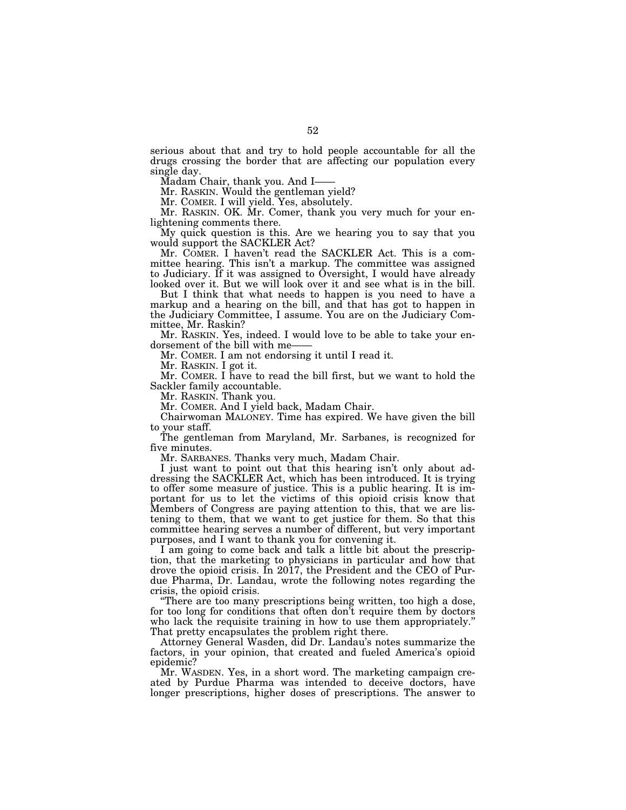serious about that and try to hold people accountable for all the drugs crossing the border that are affecting our population every single day.

Madam Chair, thank you. And I——

Mr. RASKIN. Would the gentleman yield?

Mr. COMER. I will yield. Yes, absolutely.

Mr. RASKIN. OK. Mr. Comer, thank you very much for your enlightening comments there.

My quick question is this. Are we hearing you to say that you would support the SACKLER Act?

Mr. COMER. I haven't read the SACKLER Act. This is a committee hearing. This isn't a markup. The committee was assigned to Judiciary. If it was assigned to Oversight, I would have already looked over it. But we will look over it and see what is in the bill.

But I think that what needs to happen is you need to have a markup and a hearing on the bill, and that has got to happen in the Judiciary Committee, I assume. You are on the Judiciary Committee, Mr. Raskin?

Mr. RASKIN. Yes, indeed. I would love to be able to take your endorsement of the bill with me-

Mr. COMER. I am not endorsing it until I read it.

Mr. RASKIN. I got it.

Mr. COMER. I have to read the bill first, but we want to hold the Sackler family accountable.

Mr. RASKIN. Thank you.

Mr. COMER. And I yield back, Madam Chair.

Chairwoman MALONEY. Time has expired. We have given the bill to your staff.

The gentleman from Maryland, Mr. Sarbanes, is recognized for five minutes.

Mr. SARBANES. Thanks very much, Madam Chair.

I just want to point out that this hearing isn't only about addressing the SACKLER Act, which has been introduced. It is trying to offer some measure of justice. This is a public hearing. It is important for us to let the victims of this opioid crisis know that Members of Congress are paying attention to this, that we are listening to them, that we want to get justice for them. So that this committee hearing serves a number of different, but very important purposes, and I want to thank you for convening it.

I am going to come back and talk a little bit about the prescription, that the marketing to physicians in particular and how that drove the opioid crisis. In 2017, the President and the CEO of Purdue Pharma, Dr. Landau, wrote the following notes regarding the crisis, the opioid crisis.

''There are too many prescriptions being written, too high a dose, for too long for conditions that often don't require them by doctors who lack the requisite training in how to use them appropriately." That pretty encapsulates the problem right there.

Attorney General Wasden, did Dr. Landau's notes summarize the factors, in your opinion, that created and fueled America's opioid epidemic?

Mr. WASDEN. Yes, in a short word. The marketing campaign created by Purdue Pharma was intended to deceive doctors, have longer prescriptions, higher doses of prescriptions. The answer to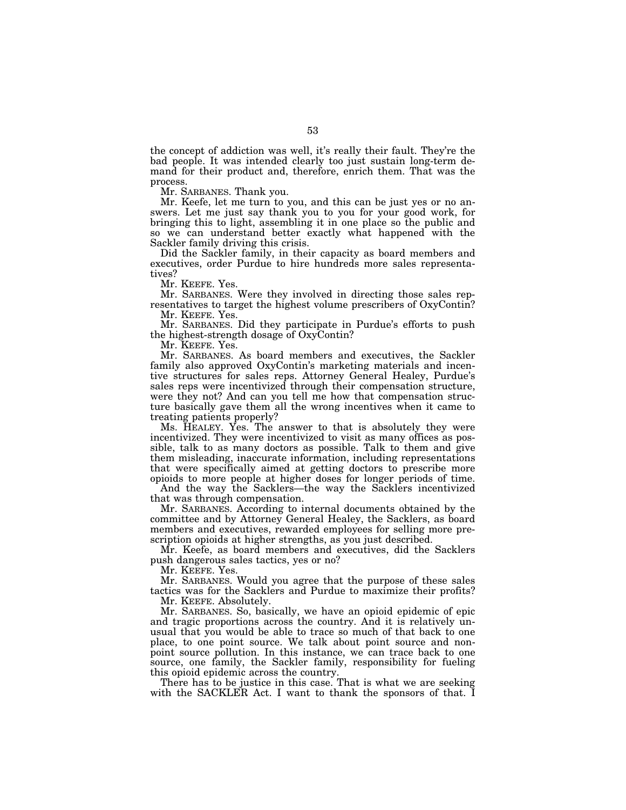the concept of addiction was well, it's really their fault. They're the bad people. It was intended clearly too just sustain long-term demand for their product and, therefore, enrich them. That was the process.

Mr. SARBANES. Thank you.

Mr. Keefe, let me turn to you, and this can be just yes or no answers. Let me just say thank you to you for your good work, for bringing this to light, assembling it in one place so the public and so we can understand better exactly what happened with the Sackler family driving this crisis.

Did the Sackler family, in their capacity as board members and executives, order Purdue to hire hundreds more sales representatives?

Mr. KEEFE. Yes.

Mr. SARBANES. Were they involved in directing those sales representatives to target the highest volume prescribers of OxyContin? Mr. KEEFE. Yes.

Mr. SARBANES. Did they participate in Purdue's efforts to push the highest-strength dosage of OxyContin?

Mr. KEEFE. Yes.

Mr. SARBANES. As board members and executives, the Sackler family also approved OxyContin's marketing materials and incentive structures for sales reps. Attorney General Healey, Purdue's sales reps were incentivized through their compensation structure, were they not? And can you tell me how that compensation structure basically gave them all the wrong incentives when it came to treating patients properly?

Ms. HEALEY. Yes. The answer to that is absolutely they were incentivized. They were incentivized to visit as many offices as possible, talk to as many doctors as possible. Talk to them and give them misleading, inaccurate information, including representations that were specifically aimed at getting doctors to prescribe more opioids to more people at higher doses for longer periods of time.

And the way the Sacklers—the way the Sacklers incentivized that was through compensation.

Mr. SARBANES. According to internal documents obtained by the committee and by Attorney General Healey, the Sacklers, as board members and executives, rewarded employees for selling more prescription opioids at higher strengths, as you just described.

Mr. Keefe, as board members and executives, did the Sacklers push dangerous sales tactics, yes or no?

Mr. KEEFE. Yes.

Mr. SARBANES. Would you agree that the purpose of these sales tactics was for the Sacklers and Purdue to maximize their profits? Mr. KEEFE. Absolutely.

Mr. SARBANES. So, basically, we have an opioid epidemic of epic and tragic proportions across the country. And it is relatively unusual that you would be able to trace so much of that back to one place, to one point source. We talk about point source and nonpoint source pollution. In this instance, we can trace back to one source, one family, the Sackler family, responsibility for fueling this opioid epidemic across the country.

There has to be justice in this case. That is what we are seeking with the SACKLER Act. I want to thank the sponsors of that. I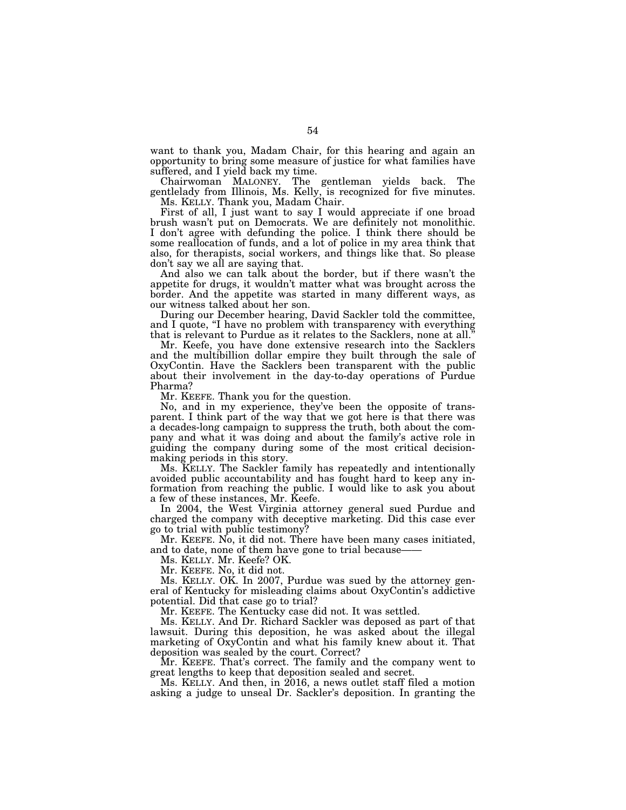want to thank you, Madam Chair, for this hearing and again an opportunity to bring some measure of justice for what families have suffered, and I yield back my time.

Chairwoman MALONEY. The gentleman yields back. The gentlelady from Illinois, Ms. Kelly, is recognized for five minutes. Ms. KELLY. Thank you, Madam Chair.

First of all, I just want to say I would appreciate if one broad brush wasn't put on Democrats. We are definitely not monolithic. I don't agree with defunding the police. I think there should be some reallocation of funds, and a lot of police in my area think that also, for therapists, social workers, and things like that. So please don't say we all are saying that.

And also we can talk about the border, but if there wasn't the appetite for drugs, it wouldn't matter what was brought across the border. And the appetite was started in many different ways, as our witness talked about her son.

During our December hearing, David Sackler told the committee, and I quote, "I have no problem with transparency with everything that is relevant to Purdue as it relates to the Sacklers, none at all.''

Mr. Keefe, you have done extensive research into the Sacklers and the multibillion dollar empire they built through the sale of OxyContin. Have the Sacklers been transparent with the public about their involvement in the day-to-day operations of Purdue Pharma?

Mr. KEEFE. Thank you for the question.

No, and in my experience, they've been the opposite of transparent. I think part of the way that we got here is that there was a decades-long campaign to suppress the truth, both about the company and what it was doing and about the family's active role in guiding the company during some of the most critical decisionmaking periods in this story.

Ms. KELLY. The Sackler family has repeatedly and intentionally avoided public accountability and has fought hard to keep any information from reaching the public. I would like to ask you about a few of these instances, Mr. Keefe.

In 2004, the West Virginia attorney general sued Purdue and charged the company with deceptive marketing. Did this case ever go to trial with public testimony?

Mr. KEEFE. No, it did not. There have been many cases initiated, and to date, none of them have gone to trial because-

Ms. KELLY. Mr. Keefe? OK.

Mr. KEEFE. No, it did not.

Ms. KELLY. OK. In 2007, Purdue was sued by the attorney general of Kentucky for misleading claims about OxyContin's addictive potential. Did that case go to trial?

Mr. KEEFE. The Kentucky case did not. It was settled.

Ms. KELLY. And Dr. Richard Sackler was deposed as part of that lawsuit. During this deposition, he was asked about the illegal marketing of OxyContin and what his family knew about it. That deposition was sealed by the court. Correct?

Mr. KEEFE. That's correct. The family and the company went to great lengths to keep that deposition sealed and secret.

Ms. KELLY. And then, in 2016, a news outlet staff filed a motion asking a judge to unseal Dr. Sackler's deposition. In granting the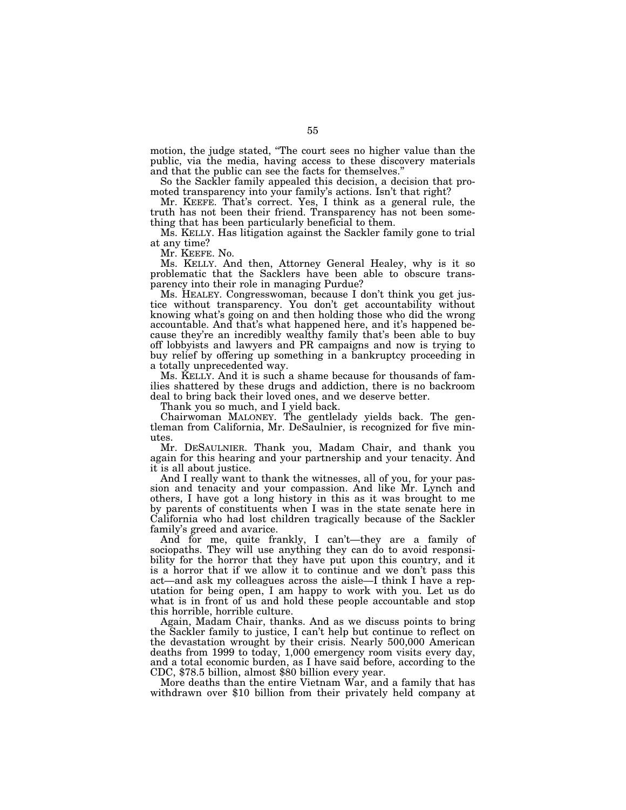motion, the judge stated, "The court sees no higher value than the public, via the media, having access to these discovery materials and that the public can see the facts for themselves.''

So the Sackler family appealed this decision, a decision that promoted transparency into your family's actions. Isn't that right?

Mr. KEEFE. That's correct. Yes, I think as a general rule, the truth has not been their friend. Transparency has not been something that has been particularly beneficial to them.

Ms. KELLY. Has litigation against the Sackler family gone to trial at any time?

Mr. KEEFE. No.

Ms. KELLY. And then, Attorney General Healey, why is it so problematic that the Sacklers have been able to obscure transparency into their role in managing Purdue?

Ms. HEALEY. Congresswoman, because I don't think you get justice without transparency. You don't get accountability without knowing what's going on and then holding those who did the wrong accountable. And that's what happened here, and it's happened because they're an incredibly wealthy family that's been able to buy off lobbyists and lawyers and PR campaigns and now is trying to buy relief by offering up something in a bankruptcy proceeding in a totally unprecedented way.

Ms. KELLY. And it is such a shame because for thousands of families shattered by these drugs and addiction, there is no backroom deal to bring back their loved ones, and we deserve better.

Thank you so much, and I yield back.

Chairwoman MALONEY. The gentlelady yields back. The gentleman from California, Mr. DeSaulnier, is recognized for five minutes.

Mr. DESAULNIER. Thank you, Madam Chair, and thank you again for this hearing and your partnership and your tenacity. And it is all about justice.

And I really want to thank the witnesses, all of you, for your passion and tenacity and your compassion. And like Mr. Lynch and others, I have got a long history in this as it was brought to me by parents of constituents when I was in the state senate here in California who had lost children tragically because of the Sackler family's greed and avarice.

And for me, quite frankly, I can't—they are a family of sociopaths. They will use anything they can do to avoid responsibility for the horror that they have put upon this country, and it is a horror that if we allow it to continue and we don't pass this act—and ask my colleagues across the aisle—I think I have a reputation for being open, I am happy to work with you. Let us do what is in front of us and hold these people accountable and stop this horrible, horrible culture.

Again, Madam Chair, thanks. And as we discuss points to bring the Sackler family to justice, I can't help but continue to reflect on the devastation wrought by their crisis. Nearly 500,000 American deaths from 1999 to today, 1,000 emergency room visits every day, and a total economic burden, as I have said before, according to the CDC, \$78.5 billion, almost \$80 billion every year.

More deaths than the entire Vietnam War, and a family that has withdrawn over \$10 billion from their privately held company at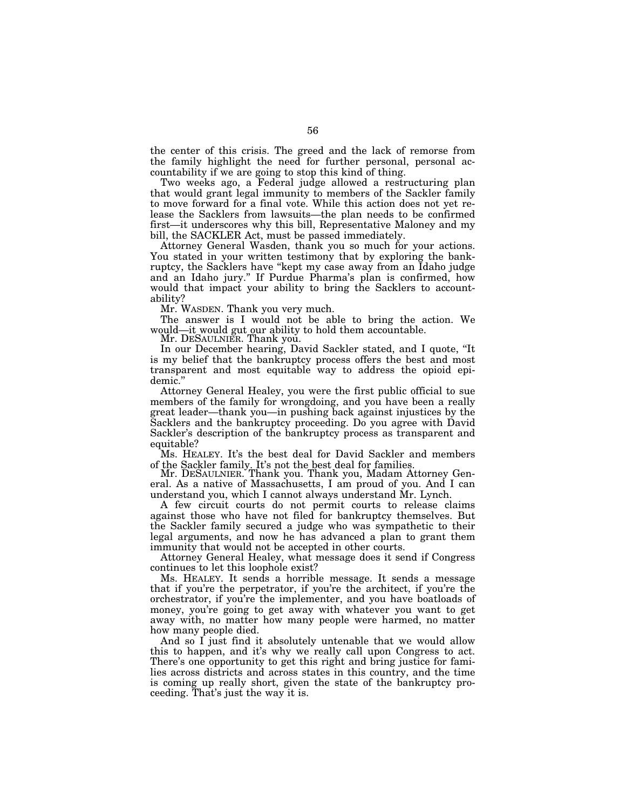the center of this crisis. The greed and the lack of remorse from the family highlight the need for further personal, personal accountability if we are going to stop this kind of thing.

Two weeks ago, a Federal judge allowed a restructuring plan that would grant legal immunity to members of the Sackler family to move forward for a final vote. While this action does not yet release the Sacklers from lawsuits—the plan needs to be confirmed first—it underscores why this bill, Representative Maloney and my bill, the SACKLER Act, must be passed immediately.

Attorney General Wasden, thank you so much for your actions. You stated in your written testimony that by exploring the bankruptcy, the Sacklers have ''kept my case away from an Idaho judge and an Idaho jury.'' If Purdue Pharma's plan is confirmed, how would that impact your ability to bring the Sacklers to accountability?

Mr. WASDEN. Thank you very much.

The answer is I would not be able to bring the action. We would—it would gut our ability to hold them accountable. Mr. DESAULNIER. Thank you.

In our December hearing, David Sackler stated, and I quote, ''It is my belief that the bankruptcy process offers the best and most transparent and most equitable way to address the opioid epidemic.''

Attorney General Healey, you were the first public official to sue members of the family for wrongdoing, and you have been a really great leader—thank you—in pushing back against injustices by the Sacklers and the bankruptcy proceeding. Do you agree with David Sackler's description of the bankruptcy process as transparent and equitable?

Ms. HEALEY. It's the best deal for David Sackler and members

of the Sackler family. It's not the best deal for families. Mr. DESAULNIER. Thank you. Thank you, Madam Attorney General. As a native of Massachusetts, I am proud of you. And I can understand you, which I cannot always understand Mr. Lynch.

A few circuit courts do not permit courts to release claims against those who have not filed for bankruptcy themselves. But the Sackler family secured a judge who was sympathetic to their legal arguments, and now he has advanced a plan to grant them immunity that would not be accepted in other courts.

Attorney General Healey, what message does it send if Congress continues to let this loophole exist?

Ms. HEALEY. It sends a horrible message. It sends a message that if you're the perpetrator, if you're the architect, if you're the orchestrator, if you're the implementer, and you have boatloads of money, you're going to get away with whatever you want to get away with, no matter how many people were harmed, no matter how many people died.

And so I just find it absolutely untenable that we would allow this to happen, and it's why we really call upon Congress to act. There's one opportunity to get this right and bring justice for families across districts and across states in this country, and the time is coming up really short, given the state of the bankruptcy proceeding. That's just the way it is.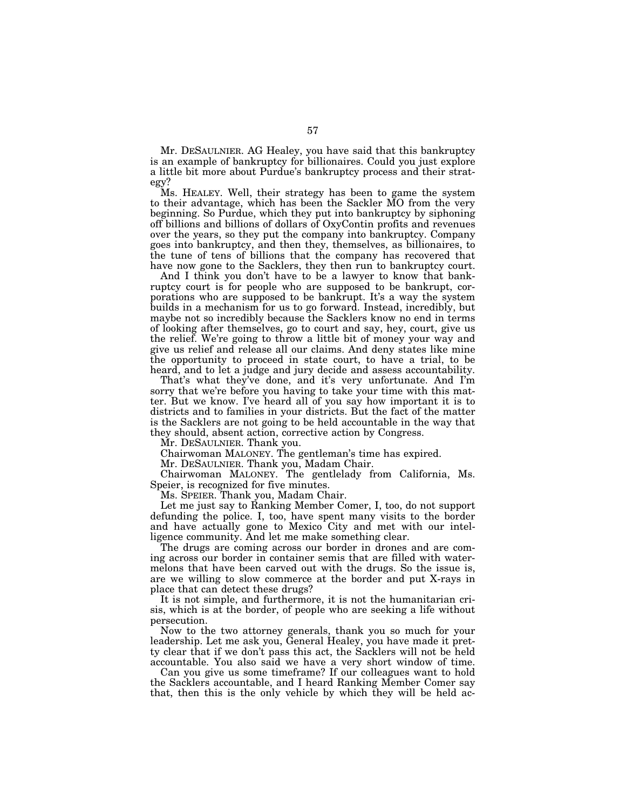Mr. DESAULNIER. AG Healey, you have said that this bankruptcy is an example of bankruptcy for billionaires. Could you just explore a little bit more about Purdue's bankruptcy process and their strategy?

Ms. HEALEY. Well, their strategy has been to game the system to their advantage, which has been the Sackler MO from the very beginning. So Purdue, which they put into bankruptcy by siphoning off billions and billions of dollars of OxyContin profits and revenues over the years, so they put the company into bankruptcy. Company goes into bankruptcy, and then they, themselves, as billionaires, to the tune of tens of billions that the company has recovered that have now gone to the Sacklers, they then run to bankruptcy court.

And I think you don't have to be a lawyer to know that bankruptcy court is for people who are supposed to be bankrupt, corporations who are supposed to be bankrupt. It's a way the system builds in a mechanism for us to go forward. Instead, incredibly, but maybe not so incredibly because the Sacklers know no end in terms of looking after themselves, go to court and say, hey, court, give us the relief. We're going to throw a little bit of money your way and give us relief and release all our claims. And deny states like mine the opportunity to proceed in state court, to have a trial, to be heard, and to let a judge and jury decide and assess accountability.

That's what they've done, and it's very unfortunate. And I'm sorry that we're before you having to take your time with this matter. But we know. I've heard all of you say how important it is to districts and to families in your districts. But the fact of the matter is the Sacklers are not going to be held accountable in the way that they should, absent action, corrective action by Congress.

Mr. DESAULNIER. Thank you.

Chairwoman MALONEY. The gentleman's time has expired.

Mr. DESAULNIER. Thank you, Madam Chair.

Chairwoman MALONEY. The gentlelady from California, Ms. Speier, is recognized for five minutes.

Ms. SPEIER. Thank you, Madam Chair.

Let me just say to Ranking Member Comer, I, too, do not support defunding the police. I, too, have spent many visits to the border and have actually gone to Mexico City and met with our intelligence community. And let me make something clear.

The drugs are coming across our border in drones and are coming across our border in container semis that are filled with watermelons that have been carved out with the drugs. So the issue is, are we willing to slow commerce at the border and put X-rays in place that can detect these drugs?

It is not simple, and furthermore, it is not the humanitarian crisis, which is at the border, of people who are seeking a life without persecution.

Now to the two attorney generals, thank you so much for your leadership. Let me ask you, General Healey, you have made it pretty clear that if we don't pass this act, the Sacklers will not be held accountable. You also said we have a very short window of time.

Can you give us some timeframe? If our colleagues want to hold the Sacklers accountable, and I heard Ranking Member Comer say that, then this is the only vehicle by which they will be held ac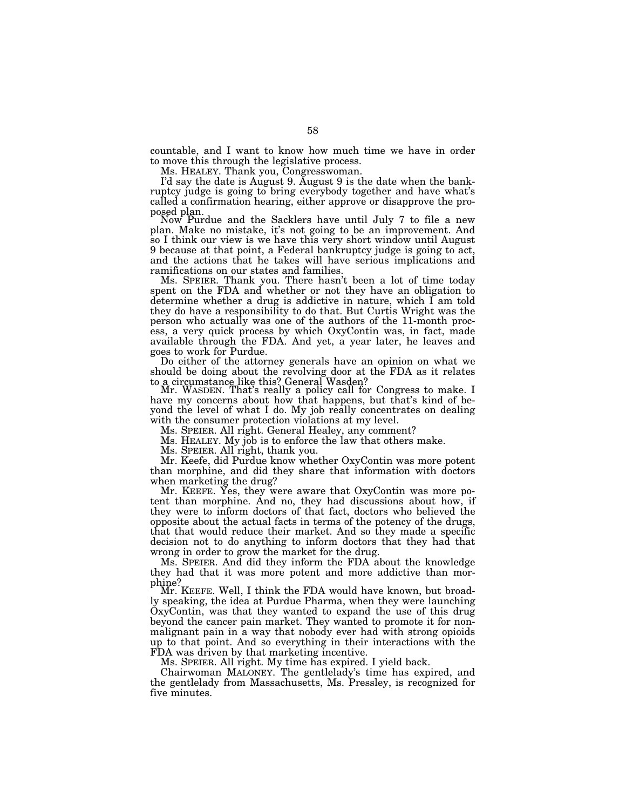countable, and I want to know how much time we have in order to move this through the legislative process.

Ms. HEALEY. Thank you, Congresswoman.

I'd say the date is August 9. August 9 is the date when the bankruptcy judge is going to bring everybody together and have what's called a confirmation hearing, either approve or disapprove the pro-

posed plan. Now Purdue and the Sacklers have until July 7 to file a new plan. Make no mistake, it's not going to be an improvement. And so I think our view is we have this very short window until August 9 because at that point, a Federal bankruptcy judge is going to act, and the actions that he takes will have serious implications and ramifications on our states and families.

Ms. SPEIER. Thank you. There hasn't been a lot of time today spent on the FDA and whether or not they have an obligation to determine whether a drug is addictive in nature, which I am told they do have a responsibility to do that. But Curtis Wright was the person who actually was one of the authors of the 11-month process, a very quick process by which OxyContin was, in fact, made available through the FDA. And yet, a year later, he leaves and goes to work for Purdue.

Do either of the attorney generals have an opinion on what we should be doing about the revolving door at the FDA as it relates to a circumstance like this? General Wasden?

Mr. WASDEN. That's really a policy call for Congress to make. I have my concerns about how that happens, but that's kind of beyond the level of what I do. My job really concentrates on dealing with the consumer protection violations at my level.

Ms. SPEIER. All right. General Healey, any comment?

Ms. HEALEY. My job is to enforce the law that others make.

Ms. SPEIER. All right, thank you.

Mr. Keefe, did Purdue know whether OxyContin was more potent than morphine, and did they share that information with doctors when marketing the drug?

Mr. KEEFE. Yes, they were aware that OxyContin was more potent than morphine. And no, they had discussions about how, if they were to inform doctors of that fact, doctors who believed the opposite about the actual facts in terms of the potency of the drugs, that that would reduce their market. And so they made a specific decision not to do anything to inform doctors that they had that wrong in order to grow the market for the drug.

Ms. SPEIER. And did they inform the FDA about the knowledge they had that it was more potent and more addictive than mor-

phine?<br>Mr. KEEFE. Well, I think the FDA would have known, but broadly speaking, the idea at Purdue Pharma, when they were launching OxyContin, was that they wanted to expand the use of this drug beyond the cancer pain market. They wanted to promote it for nonmalignant pain in a way that nobody ever had with strong opioids up to that point. And so everything in their interactions with the FDA was driven by that marketing incentive.

Ms. SPEIER. All right. My time has expired. I yield back.

Chairwoman MALONEY. The gentlelady's time has expired, and the gentlelady from Massachusetts, Ms. Pressley, is recognized for five minutes.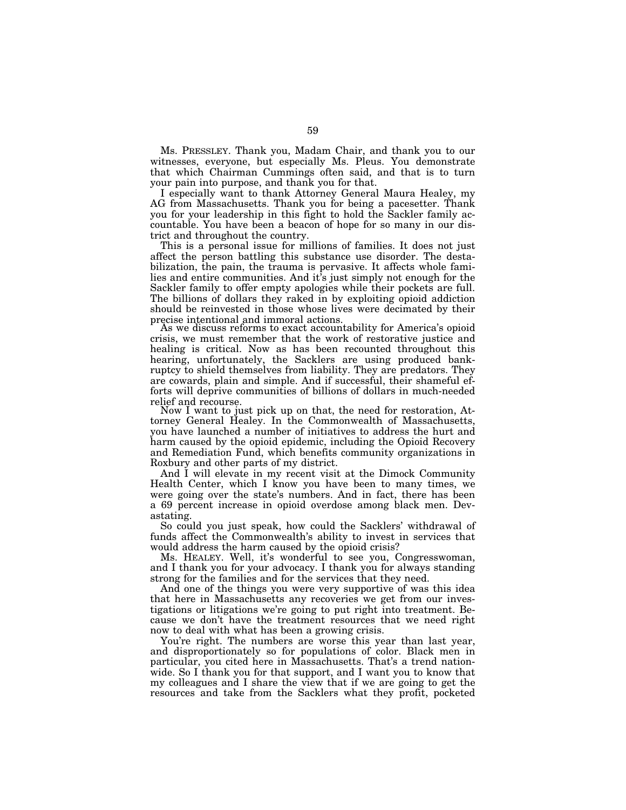Ms. PRESSLEY. Thank you, Madam Chair, and thank you to our witnesses, everyone, but especially Ms. Pleus. You demonstrate that which Chairman Cummings often said, and that is to turn your pain into purpose, and thank you for that.

I especially want to thank Attorney General Maura Healey, my AG from Massachusetts. Thank you for being a pacesetter. Thank you for your leadership in this fight to hold the Sackler family accountable. You have been a beacon of hope for so many in our district and throughout the country.

This is a personal issue for millions of families. It does not just affect the person battling this substance use disorder. The destabilization, the pain, the trauma is pervasive. It affects whole families and entire communities. And it's just simply not enough for the Sackler family to offer empty apologies while their pockets are full. The billions of dollars they raked in by exploiting opioid addiction should be reinvested in those whose lives were decimated by their precise intentional and immoral actions.

As we discuss reforms to exact accountability for America's opioid crisis, we must remember that the work of restorative justice and healing is critical. Now as has been recounted throughout this hearing, unfortunately, the Sacklers are using produced bankruptcy to shield themselves from liability. They are predators. They are cowards, plain and simple. And if successful, their shameful efforts will deprive communities of billions of dollars in much-needed relief and recourse.

Now I want to just pick up on that, the need for restoration, Attorney General Healey. In the Commonwealth of Massachusetts, you have launched a number of initiatives to address the hurt and harm caused by the opioid epidemic, including the Opioid Recovery and Remediation Fund, which benefits community organizations in Roxbury and other parts of my district.

And I will elevate in my recent visit at the Dimock Community Health Center, which I know you have been to many times, we were going over the state's numbers. And in fact, there has been a 69 percent increase in opioid overdose among black men. Devastating.

So could you just speak, how could the Sacklers' withdrawal of funds affect the Commonwealth's ability to invest in services that would address the harm caused by the opioid crisis?

Ms. HEALEY. Well, it's wonderful to see you, Congresswoman, and I thank you for your advocacy. I thank you for always standing strong for the families and for the services that they need.

And one of the things you were very supportive of was this idea that here in Massachusetts any recoveries we get from our investigations or litigations we're going to put right into treatment. Because we don't have the treatment resources that we need right now to deal with what has been a growing crisis.

You're right. The numbers are worse this year than last year, and disproportionately so for populations of color. Black men in particular, you cited here in Massachusetts. That's a trend nationwide. So I thank you for that support, and I want you to know that my colleagues and I share the view that if we are going to get the resources and take from the Sacklers what they profit, pocketed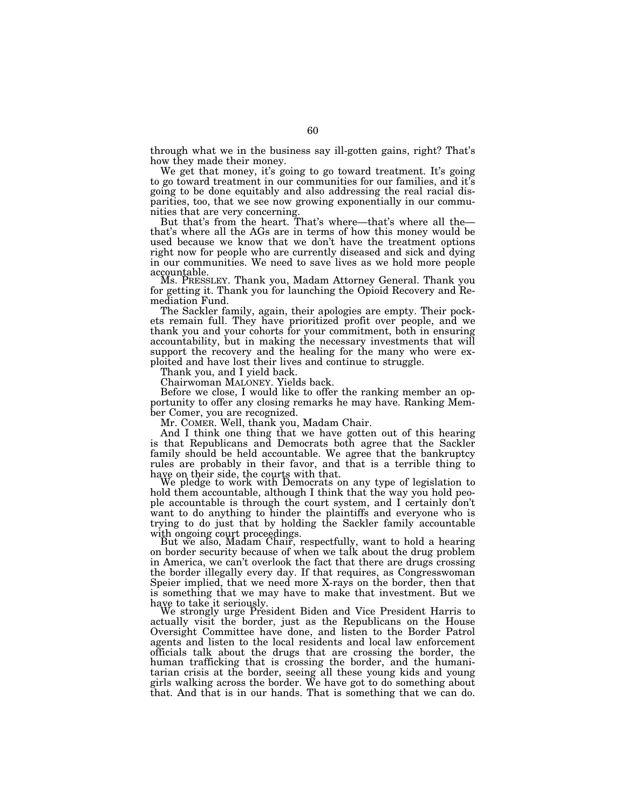through what we in the business say ill-gotten gains, right? That's how they made their money.

We get that money, it's going to go toward treatment. It's going to go toward treatment in our communities for our families, and it's going to be done equitably and also addressing the real racial disparities, too, that we see now growing exponentially in our communities that are very concerning.

But that's from the heart. That's where—that's where all the that's where all the AGs are in terms of how this money would be used because we know that we don't have the treatment options right now for people who are currently diseased and sick and dying in our communities. We need to save lives as we hold more people

accountable. Ms. PRESSLEY. Thank you, Madam Attorney General. Thank you for getting it. Thank you for launching the Opioid Recovery and Remediation Fund.

The Sackler family, again, their apologies are empty. Their pockets remain full. They have prioritized profit over people, and we thank you and your cohorts for your commitment, both in ensuring accountability, but in making the necessary investments that will support the recovery and the healing for the many who were exploited and have lost their lives and continue to struggle.

Thank you, and I yield back.

Chairwoman MALONEY. Yields back.

Before we close, I would like to offer the ranking member an opportunity to offer any closing remarks he may have. Ranking Member Comer, you are recognized.

Mr. COMER. Well, thank you, Madam Chair.

And I think one thing that we have gotten out of this hearing is that Republicans and Democrats both agree that the Sackler family should be held accountable. We agree that the bankruptcy rules are probably in their favor, and that is a terrible thing to have on their side, the courts with that.<br>We pledge to work with Democrats on any type of legislation to

hold them accountable, although I think that the way you hold people accountable is through the court system, and I certainly don't want to do anything to hinder the plaintiffs and everyone who is trying to do just that by holding the Sackler family accountable<br>with ongoing court proceedings.

But we also, Madam Chair, respectfully, want to hold a hearing on border security because of when we talk about the drug problem in America, we can't overlook the fact that there are drugs crossing the border illegally every day. If that requires, as Congresswoman Speier implied, that we need more X-rays on the border, then that is something that we may have to make that investment. But we have to take it seriously.<br>We strongly urge President Biden and Vice President Harris to

actually visit the border, just as the Republicans on the House Oversight Committee have done, and listen to the Border Patrol agents and listen to the local residents and local law enforcement officials talk about the drugs that are crossing the border, the human trafficking that is crossing the border, and the humanitarian crisis at the border, seeing all these young kids and young girls walking across the border. We have got to do something about that. And that is in our hands. That is something that we can do.